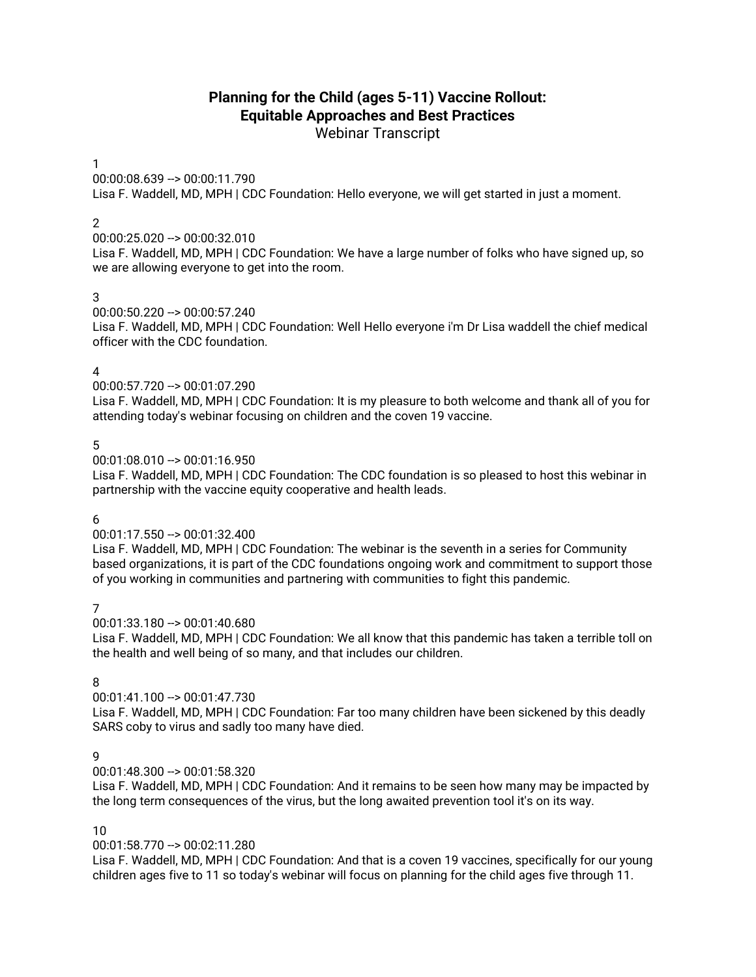# **Planning for the Child (ages 5-11) Vaccine Rollout: Equitable Approaches and Best Practices**

Webinar Transcript

### 1

00:00:08.639 --> 00:00:11.790

Lisa F. Waddell, MD, MPH | CDC Foundation: Hello everyone, we will get started in just a moment.

### $\mathcal{P}$

00:00:25.020 --> 00:00:32.010

Lisa F. Waddell, MD, MPH | CDC Foundation: We have a large number of folks who have signed up, so we are allowing everyone to get into the room.

### 3

00:00:50.220 --> 00:00:57.240 Lisa F. Waddell, MD, MPH | CDC Foundation: Well Hello everyone i'm Dr Lisa waddell the chief medical officer with the CDC foundation.

### 4

00:00:57.720 --> 00:01:07.290

Lisa F. Waddell, MD, MPH | CDC Foundation: It is my pleasure to both welcome and thank all of you for attending today's webinar focusing on children and the coven 19 vaccine.

#### 5

 $00:01:08.010 -> 00:01:16.950$ 

Lisa F. Waddell, MD, MPH | CDC Foundation: The CDC foundation is so pleased to host this webinar in partnership with the vaccine equity cooperative and health leads.

#### 6

#### 00:01:17.550 --> 00:01:32.400

Lisa F. Waddell, MD, MPH | CDC Foundation: The webinar is the seventh in a series for Community based organizations, it is part of the CDC foundations ongoing work and commitment to support those of you working in communities and partnering with communities to fight this pandemic.

#### 7

00:01:33.180 --> 00:01:40.680

Lisa F. Waddell, MD, MPH | CDC Foundation: We all know that this pandemic has taken a terrible toll on the health and well being of so many, and that includes our children.

#### 8

 $00:01:41.100 -> 00:01:47.730$ 

Lisa F. Waddell, MD, MPH | CDC Foundation: Far too many children have been sickened by this deadly SARS coby to virus and sadly too many have died.

### 9

00:01:48.300 --> 00:01:58.320

Lisa F. Waddell, MD, MPH | CDC Foundation: And it remains to be seen how many may be impacted by the long term consequences of the virus, but the long awaited prevention tool it's on its way.

#### 10

#### 00:01:58.770 --> 00:02:11.280

Lisa F. Waddell, MD, MPH | CDC Foundation: And that is a coven 19 vaccines, specifically for our young children ages five to 11 so today's webinar will focus on planning for the child ages five through 11.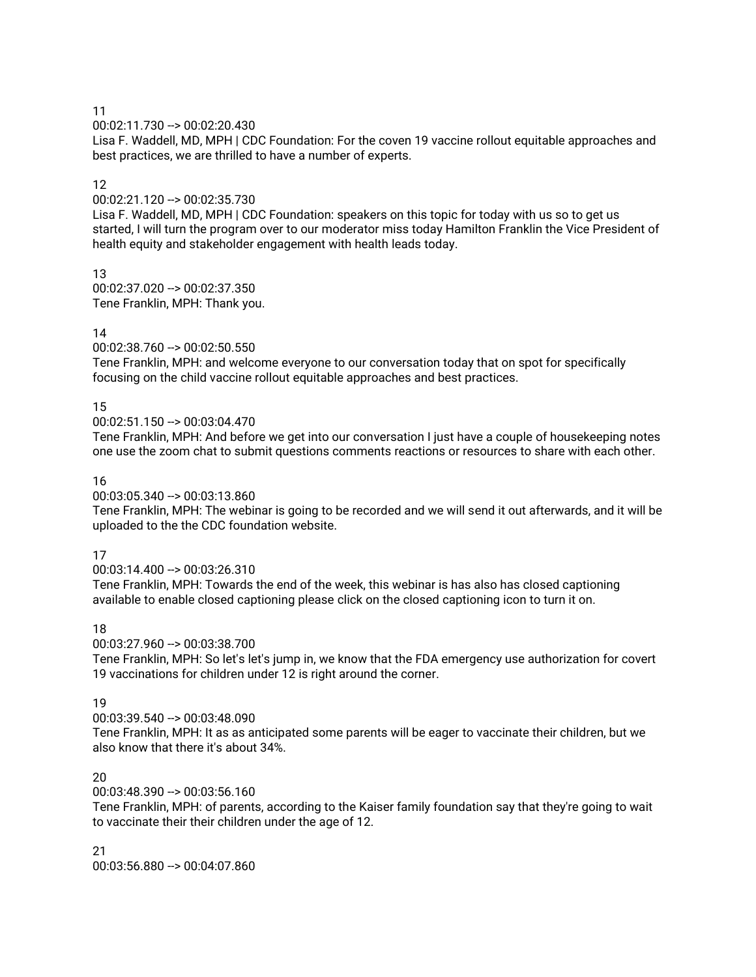00:02:11.730 --> 00:02:20.430

Lisa F. Waddell, MD, MPH | CDC Foundation: For the coven 19 vaccine rollout equitable approaches and best practices, we are thrilled to have a number of experts.

## 12

00:02:21.120 --> 00:02:35.730

Lisa F. Waddell, MD, MPH | CDC Foundation: speakers on this topic for today with us so to get us started, I will turn the program over to our moderator miss today Hamilton Franklin the Vice President of health equity and stakeholder engagement with health leads today.

13 00:02:37.020 --> 00:02:37.350 Tene Franklin, MPH: Thank you.

## 14

00:02:38.760 --> 00:02:50.550

Tene Franklin, MPH: and welcome everyone to our conversation today that on spot for specifically focusing on the child vaccine rollout equitable approaches and best practices.

## 15

00:02:51.150 --> 00:03:04.470

Tene Franklin, MPH: And before we get into our conversation I just have a couple of housekeeping notes one use the zoom chat to submit questions comments reactions or resources to share with each other.

### 16

00:03:05.340 --> 00:03:13.860

Tene Franklin, MPH: The webinar is going to be recorded and we will send it out afterwards, and it will be uploaded to the the CDC foundation website.

## 17

00:03:14.400 --> 00:03:26.310

Tene Franklin, MPH: Towards the end of the week, this webinar is has also has closed captioning available to enable closed captioning please click on the closed captioning icon to turn it on.

## 18

00:03:27.960 --> 00:03:38.700

Tene Franklin, MPH: So let's let's jump in, we know that the FDA emergency use authorization for covert 19 vaccinations for children under 12 is right around the corner.

## 19

00:03:39.540 --> 00:03:48.090

Tene Franklin, MPH: It as as anticipated some parents will be eager to vaccinate their children, but we also know that there it's about 34%.

## 20

00:03:48.390 --> 00:03:56.160

Tene Franklin, MPH: of parents, according to the Kaiser family foundation say that they're going to wait to vaccinate their their children under the age of 12.

# 21

00:03:56.880 --> 00:04:07.860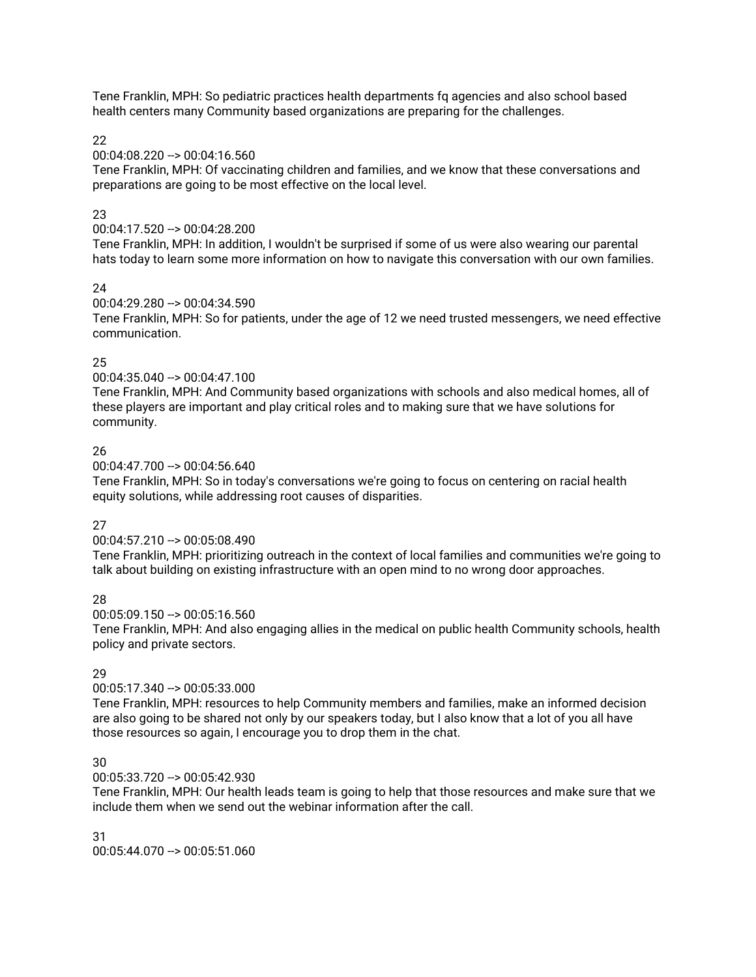Tene Franklin, MPH: So pediatric practices health departments fq agencies and also school based health centers many Community based organizations are preparing for the challenges.

22

## 00:04:08.220 --> 00:04:16.560

Tene Franklin, MPH: Of vaccinating children and families, and we know that these conversations and preparations are going to be most effective on the local level.

# 23

# 00:04:17.520 --> 00:04:28.200

Tene Franklin, MPH: In addition, I wouldn't be surprised if some of us were also wearing our parental hats today to learn some more information on how to navigate this conversation with our own families.

# 24

# 00:04:29.280 --> 00:04:34.590

Tene Franklin, MPH: So for patients, under the age of 12 we need trusted messengers, we need effective communication.

# 25

# 00:04:35.040 --> 00:04:47.100

Tene Franklin, MPH: And Community based organizations with schools and also medical homes, all of these players are important and play critical roles and to making sure that we have solutions for community.

# 26

00:04:47.700 --> 00:04:56.640

Tene Franklin, MPH: So in today's conversations we're going to focus on centering on racial health equity solutions, while addressing root causes of disparities.

# 27

## 00:04:57.210 --> 00:05:08.490

Tene Franklin, MPH: prioritizing outreach in the context of local families and communities we're going to talk about building on existing infrastructure with an open mind to no wrong door approaches.

# 28

00:05:09.150 --> 00:05:16.560

Tene Franklin, MPH: And also engaging allies in the medical on public health Community schools, health policy and private sectors.

# 29

## 00:05:17.340 --> 00:05:33.000

Tene Franklin, MPH: resources to help Community members and families, make an informed decision are also going to be shared not only by our speakers today, but I also know that a lot of you all have those resources so again, I encourage you to drop them in the chat.

## 30

## 00:05:33.720 --> 00:05:42.930

Tene Franklin, MPH: Our health leads team is going to help that those resources and make sure that we include them when we send out the webinar information after the call.

31  $00:05:44.070 \rightarrow 00:05:51.060$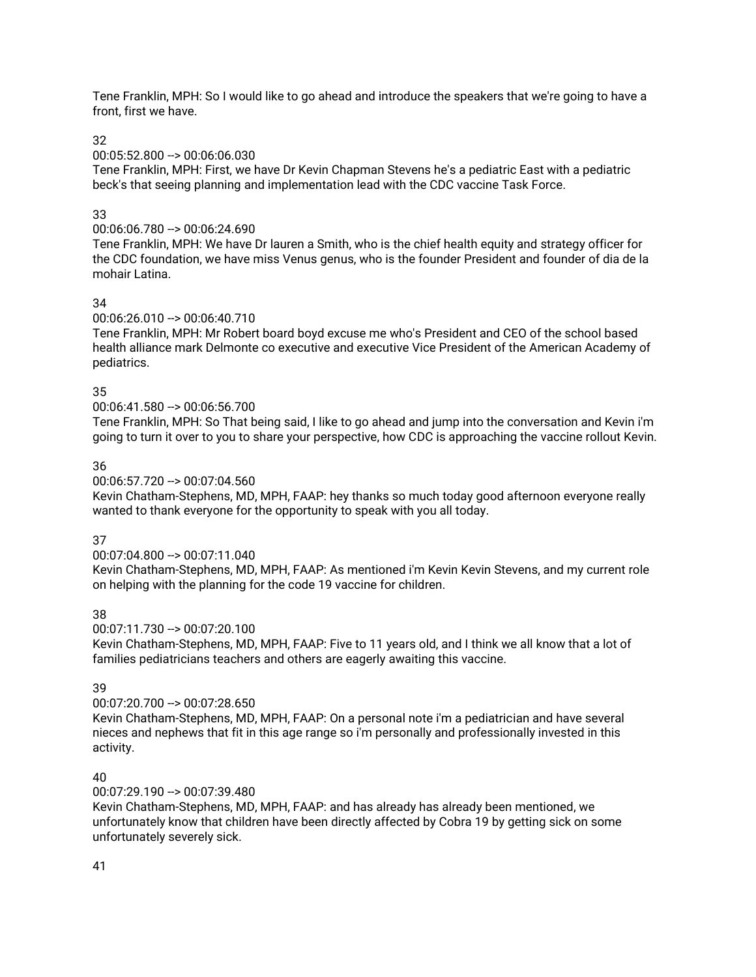Tene Franklin, MPH: So I would like to go ahead and introduce the speakers that we're going to have a front, first we have.

### 32

### 00:05:52.800 --> 00:06:06.030

Tene Franklin, MPH: First, we have Dr Kevin Chapman Stevens he's a pediatric East with a pediatric beck's that seeing planning and implementation lead with the CDC vaccine Task Force.

### 33

## 00:06:06.780 --> 00:06:24.690

Tene Franklin, MPH: We have Dr lauren a Smith, who is the chief health equity and strategy officer for the CDC foundation, we have miss Venus genus, who is the founder President and founder of dia de la mohair Latina.

### 34

## 00:06:26.010 --> 00:06:40.710

Tene Franklin, MPH: Mr Robert board boyd excuse me who's President and CEO of the school based health alliance mark Delmonte co executive and executive Vice President of the American Academy of pediatrics.

### 35

## 00:06:41.580 --> 00:06:56.700

Tene Franklin, MPH: So That being said, I like to go ahead and jump into the conversation and Kevin i'm going to turn it over to you to share your perspective, how CDC is approaching the vaccine rollout Kevin.

### 36

### 00:06:57.720 --> 00:07:04.560

Kevin Chatham-Stephens, MD, MPH, FAAP: hey thanks so much today good afternoon everyone really wanted to thank everyone for the opportunity to speak with you all today.

#### 37

## 00:07:04.800 --> 00:07:11.040

Kevin Chatham-Stephens, MD, MPH, FAAP: As mentioned i'm Kevin Kevin Stevens, and my current role on helping with the planning for the code 19 vaccine for children.

## 38

 $00:07:11.730 \rightarrow 00:07:20.100$ 

Kevin Chatham-Stephens, MD, MPH, FAAP: Five to 11 years old, and I think we all know that a lot of families pediatricians teachers and others are eagerly awaiting this vaccine.

## 39

## 00:07:20.700 --> 00:07:28.650

Kevin Chatham-Stephens, MD, MPH, FAAP: On a personal note i'm a pediatrician and have several nieces and nephews that fit in this age range so i'm personally and professionally invested in this activity.

## 40

## $00:07:29.190 -> 00:07:39.480$

Kevin Chatham-Stephens, MD, MPH, FAAP: and has already has already been mentioned, we unfortunately know that children have been directly affected by Cobra 19 by getting sick on some unfortunately severely sick.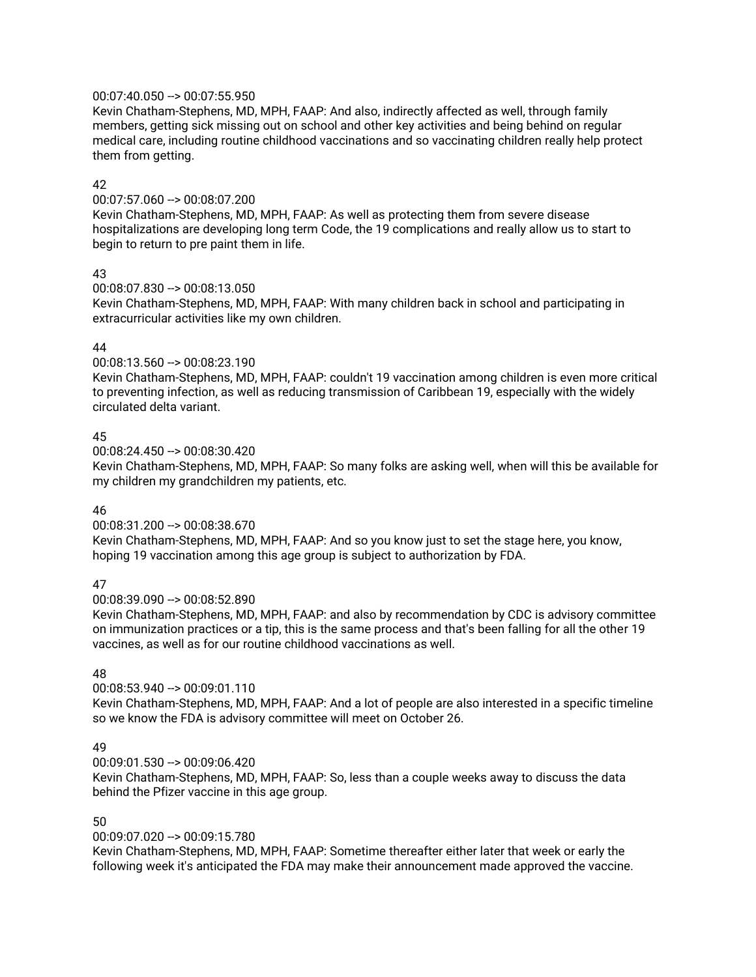### 00:07:40.050 --> 00:07:55.950

Kevin Chatham-Stephens, MD, MPH, FAAP: And also, indirectly affected as well, through family members, getting sick missing out on school and other key activities and being behind on regular medical care, including routine childhood vaccinations and so vaccinating children really help protect them from getting.

## 42

00:07:57.060 --> 00:08:07.200 Kevin Chatham-Stephens, MD, MPH, FAAP: As well as protecting them from severe disease hospitalizations are developing long term Code, the 19 complications and really allow us to start to begin to return to pre paint them in life.

## 43

00:08:07.830 --> 00:08:13.050 Kevin Chatham-Stephens, MD, MPH, FAAP: With many children back in school and participating in extracurricular activities like my own children.

# 44

00:08:13.560 --> 00:08:23.190

Kevin Chatham-Stephens, MD, MPH, FAAP: couldn't 19 vaccination among children is even more critical to preventing infection, as well as reducing transmission of Caribbean 19, especially with the widely circulated delta variant.

## 45

00:08:24.450 --> 00:08:30.420

Kevin Chatham-Stephens, MD, MPH, FAAP: So many folks are asking well, when will this be available for my children my grandchildren my patients, etc.

## 46

00:08:31.200 --> 00:08:38.670 Kevin Chatham-Stephens, MD, MPH, FAAP: And so you know just to set the stage here, you know, hoping 19 vaccination among this age group is subject to authorization by FDA.

## 47

00:08:39.090 --> 00:08:52.890

Kevin Chatham-Stephens, MD, MPH, FAAP: and also by recommendation by CDC is advisory committee on immunization practices or a tip, this is the same process and that's been falling for all the other 19 vaccines, as well as for our routine childhood vaccinations as well.

# 48

 $00:08:53.940 -> 00:09:01.110$ Kevin Chatham-Stephens, MD, MPH, FAAP: And a lot of people are also interested in a specific timeline so we know the FDA is advisory committee will meet on October 26.

## 49

00:09:01.530 --> 00:09:06.420

Kevin Chatham-Stephens, MD, MPH, FAAP: So, less than a couple weeks away to discuss the data behind the Pfizer vaccine in this age group.

# 50

00:09:07.020 --> 00:09:15.780

Kevin Chatham-Stephens, MD, MPH, FAAP: Sometime thereafter either later that week or early the following week it's anticipated the FDA may make their announcement made approved the vaccine.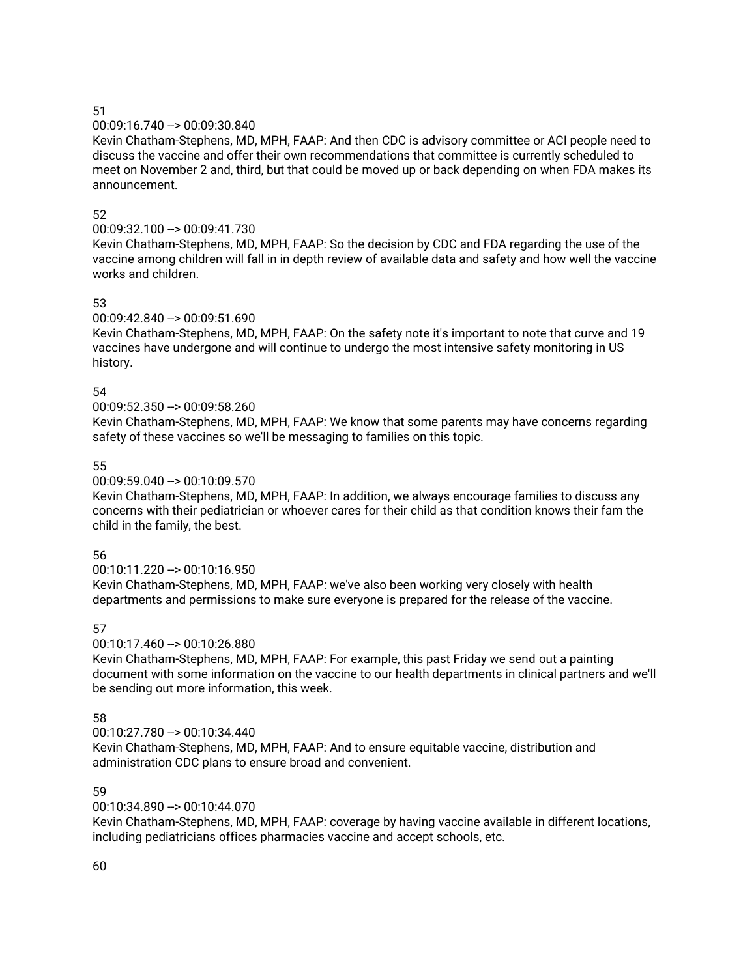### 00:09:16.740 --> 00:09:30.840

Kevin Chatham-Stephens, MD, MPH, FAAP: And then CDC is advisory committee or ACI people need to discuss the vaccine and offer their own recommendations that committee is currently scheduled to meet on November 2 and, third, but that could be moved up or back depending on when FDA makes its announcement.

### 52

## 00:09:32.100 --> 00:09:41.730

Kevin Chatham-Stephens, MD, MPH, FAAP: So the decision by CDC and FDA regarding the use of the vaccine among children will fall in in depth review of available data and safety and how well the vaccine works and children.

# 53

# 00:09:42.840 --> 00:09:51.690

Kevin Chatham-Stephens, MD, MPH, FAAP: On the safety note it's important to note that curve and 19 vaccines have undergone and will continue to undergo the most intensive safety monitoring in US history.

## 54

## 00:09:52.350 --> 00:09:58.260

Kevin Chatham-Stephens, MD, MPH, FAAP: We know that some parents may have concerns regarding safety of these vaccines so we'll be messaging to families on this topic.

## 55

## 00:09:59.040 --> 00:10:09.570

Kevin Chatham-Stephens, MD, MPH, FAAP: In addition, we always encourage families to discuss any concerns with their pediatrician or whoever cares for their child as that condition knows their fam the child in the family, the best.

## 56

## 00:10:11.220 --> 00:10:16.950

Kevin Chatham-Stephens, MD, MPH, FAAP: we've also been working very closely with health departments and permissions to make sure everyone is prepared for the release of the vaccine.

# 57

## 00:10:17.460 --> 00:10:26.880

Kevin Chatham-Stephens, MD, MPH, FAAP: For example, this past Friday we send out a painting document with some information on the vaccine to our health departments in clinical partners and we'll be sending out more information, this week.

## 58

## 00:10:27.780 --> 00:10:34.440

Kevin Chatham-Stephens, MD, MPH, FAAP: And to ensure equitable vaccine, distribution and administration CDC plans to ensure broad and convenient.

## 59

## 00:10:34.890 --> 00:10:44.070

Kevin Chatham-Stephens, MD, MPH, FAAP: coverage by having vaccine available in different locations, including pediatricians offices pharmacies vaccine and accept schools, etc.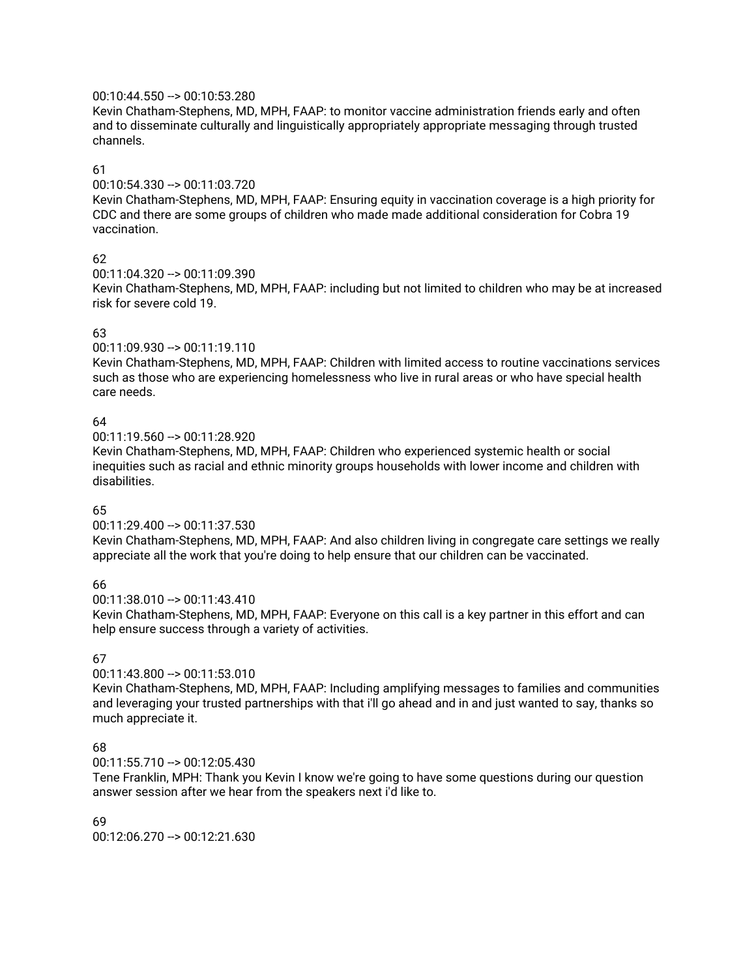### 00:10:44.550 --> 00:10:53.280

Kevin Chatham-Stephens, MD, MPH, FAAP: to monitor vaccine administration friends early and often and to disseminate culturally and linguistically appropriately appropriate messaging through trusted channels.

### 61

00:10:54.330 --> 00:11:03.720

Kevin Chatham-Stephens, MD, MPH, FAAP: Ensuring equity in vaccination coverage is a high priority for CDC and there are some groups of children who made made additional consideration for Cobra 19 vaccination.

## 62

00:11:04.320 --> 00:11:09.390

Kevin Chatham-Stephens, MD, MPH, FAAP: including but not limited to children who may be at increased risk for severe cold 19.

## 63

00:11:09.930 --> 00:11:19.110

Kevin Chatham-Stephens, MD, MPH, FAAP: Children with limited access to routine vaccinations services such as those who are experiencing homelessness who live in rural areas or who have special health care needs.

## 64

00:11:19.560 --> 00:11:28.920

Kevin Chatham-Stephens, MD, MPH, FAAP: Children who experienced systemic health or social inequities such as racial and ethnic minority groups households with lower income and children with disabilities.

## 65

 $00:11:29.400 -> 00:11:37.530$ 

Kevin Chatham-Stephens, MD, MPH, FAAP: And also children living in congregate care settings we really appreciate all the work that you're doing to help ensure that our children can be vaccinated.

## 66

 $00:11:38.010 - > 00:11:43.410$ 

Kevin Chatham-Stephens, MD, MPH, FAAP: Everyone on this call is a key partner in this effort and can help ensure success through a variety of activities.

## 67

00:11:43.800 --> 00:11:53.010

Kevin Chatham-Stephens, MD, MPH, FAAP: Including amplifying messages to families and communities and leveraging your trusted partnerships with that i'll go ahead and in and just wanted to say, thanks so much appreciate it.

## 68

00:11:55.710 --> 00:12:05.430

Tene Franklin, MPH: Thank you Kevin I know we're going to have some questions during our question answer session after we hear from the speakers next i'd like to.

69 00:12:06.270 --> 00:12:21.630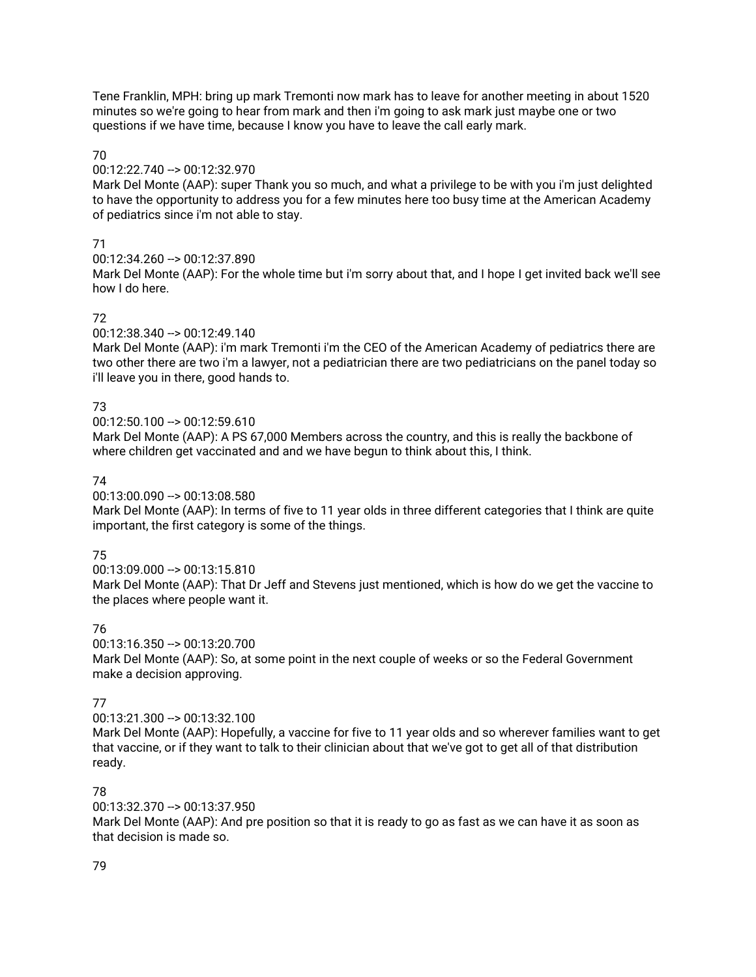Tene Franklin, MPH: bring up mark Tremonti now mark has to leave for another meeting in about 1520 minutes so we're going to hear from mark and then i'm going to ask mark just maybe one or two questions if we have time, because I know you have to leave the call early mark.

### 70

00:12:22.740 --> 00:12:32.970

Mark Del Monte (AAP): super Thank you so much, and what a privilege to be with you i'm just delighted to have the opportunity to address you for a few minutes here too busy time at the American Academy of pediatrics since i'm not able to stay.

## 71

00:12:34.260 --> 00:12:37.890

Mark Del Monte (AAP): For the whole time but i'm sorry about that, and I hope I get invited back we'll see how I do here.

# 72

00:12:38.340 --> 00:12:49.140

Mark Del Monte (AAP): i'm mark Tremonti i'm the CEO of the American Academy of pediatrics there are two other there are two i'm a lawyer, not a pediatrician there are two pediatricians on the panel today so i'll leave you in there, good hands to.

# 73

00:12:50.100 --> 00:12:59.610

Mark Del Monte (AAP): A PS 67,000 Members across the country, and this is really the backbone of where children get vaccinated and and we have begun to think about this, I think.

## 74

00:13:00.090 --> 00:13:08.580

Mark Del Monte (AAP): In terms of five to 11 year olds in three different categories that I think are quite important, the first category is some of the things.

# 75

00:13:09.000 --> 00:13:15.810 Mark Del Monte (AAP): That Dr Jeff and Stevens just mentioned, which is how do we get the vaccine to the places where people want it.

# 76

00:13:16.350 --> 00:13:20.700 Mark Del Monte (AAP): So, at some point in the next couple of weeks or so the Federal Government

make a decision approving.

# 77

00:13:21.300 --> 00:13:32.100

Mark Del Monte (AAP): Hopefully, a vaccine for five to 11 year olds and so wherever families want to get that vaccine, or if they want to talk to their clinician about that we've got to get all of that distribution ready.

# 78

00:13:32.370 --> 00:13:37.950

Mark Del Monte (AAP): And pre position so that it is ready to go as fast as we can have it as soon as that decision is made so.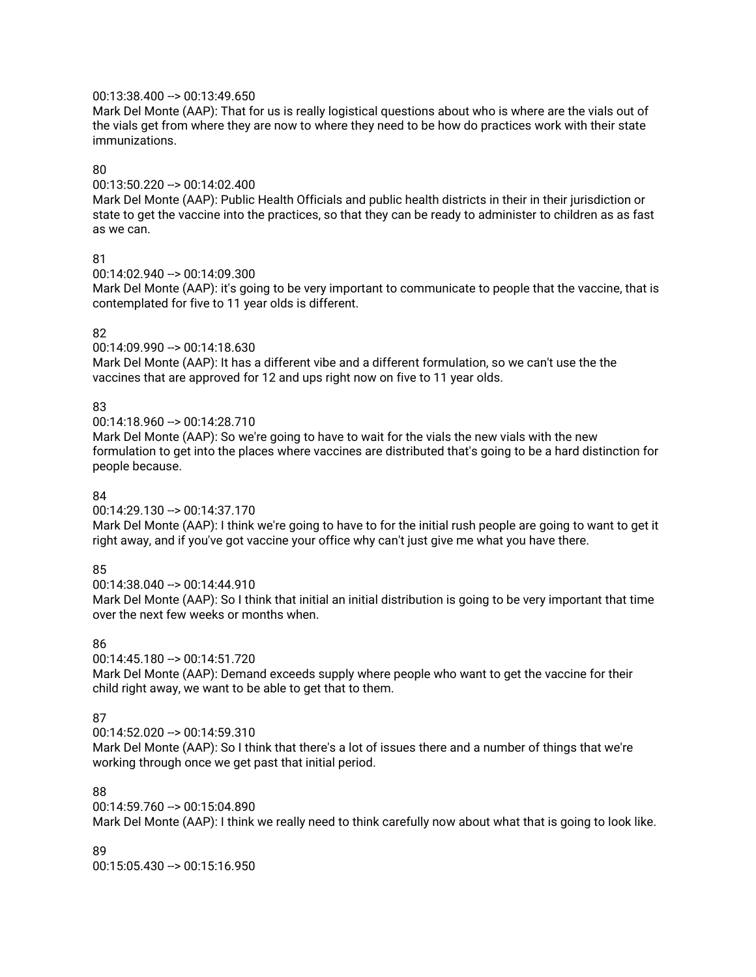## 00:13:38.400 --> 00:13:49.650

Mark Del Monte (AAP): That for us is really logistical questions about who is where are the vials out of the vials get from where they are now to where they need to be how do practices work with their state immunizations.

### 80

00:13:50.220 --> 00:14:02.400

Mark Del Monte (AAP): Public Health Officials and public health districts in their in their jurisdiction or state to get the vaccine into the practices, so that they can be ready to administer to children as as fast as we can.

## 81

00:14:02.940 --> 00:14:09.300

Mark Del Monte (AAP): it's going to be very important to communicate to people that the vaccine, that is contemplated for five to 11 year olds is different.

# 82

00:14:09.990 --> 00:14:18.630 Mark Del Monte (AAP): It has a different vibe and a different formulation, so we can't use the the vaccines that are approved for 12 and ups right now on five to 11 year olds.

# 83

00:14:18.960 --> 00:14:28.710

Mark Del Monte (AAP): So we're going to have to wait for the vials the new vials with the new formulation to get into the places where vaccines are distributed that's going to be a hard distinction for people because.

# 84

00:14:29.130 --> 00:14:37.170

Mark Del Monte (AAP): I think we're going to have to for the initial rush people are going to want to get it right away, and if you've got vaccine your office why can't just give me what you have there.

# 85

00:14:38.040 --> 00:14:44.910

Mark Del Monte (AAP): So I think that initial an initial distribution is going to be very important that time over the next few weeks or months when.

# 86

00:14:45.180 --> 00:14:51.720

Mark Del Monte (AAP): Demand exceeds supply where people who want to get the vaccine for their child right away, we want to be able to get that to them.

# 87

00:14:52.020 --> 00:14:59.310

Mark Del Monte (AAP): So I think that there's a lot of issues there and a number of things that we're working through once we get past that initial period.

# 88

00:14:59.760 --> 00:15:04.890

Mark Del Monte (AAP): I think we really need to think carefully now about what that is going to look like.

# 89

00:15:05.430 --> 00:15:16.950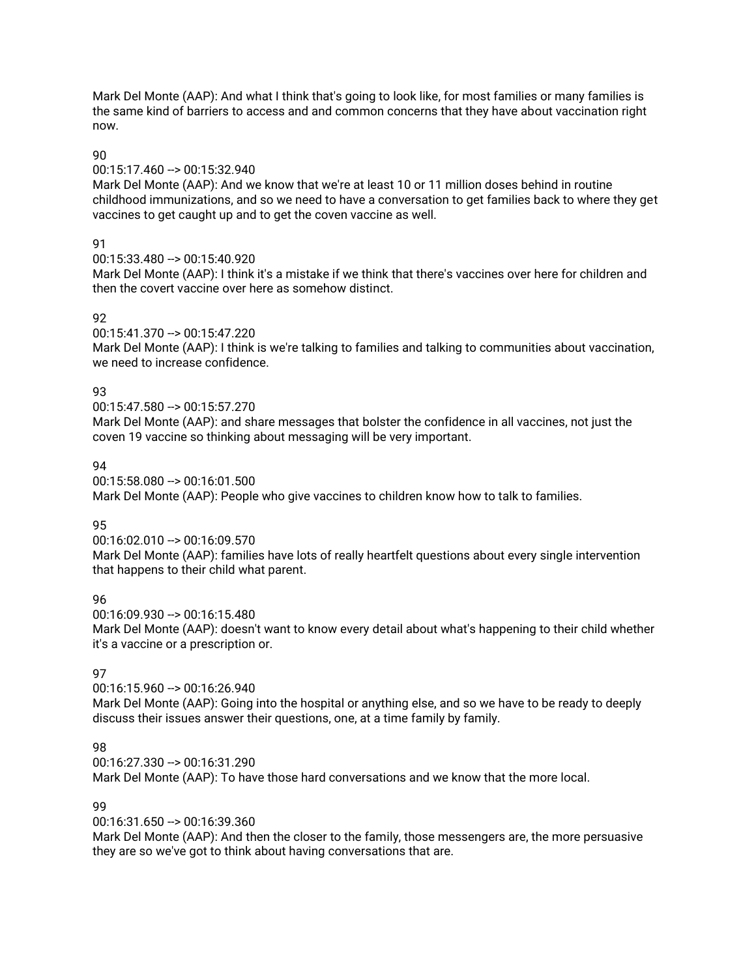Mark Del Monte (AAP): And what I think that's going to look like, for most families or many families is the same kind of barriers to access and and common concerns that they have about vaccination right now.

### 90

## 00:15:17.460 --> 00:15:32.940

Mark Del Monte (AAP): And we know that we're at least 10 or 11 million doses behind in routine childhood immunizations, and so we need to have a conversation to get families back to where they get vaccines to get caught up and to get the coven vaccine as well.

# 91

00:15:33.480 --> 00:15:40.920

Mark Del Monte (AAP): I think it's a mistake if we think that there's vaccines over here for children and then the covert vaccine over here as somehow distinct.

# 92

## 00:15:41.370 --> 00:15:47.220

Mark Del Monte (AAP): I think is we're talking to families and talking to communities about vaccination, we need to increase confidence.

# 93

00:15:47.580 --> 00:15:57.270

Mark Del Monte (AAP): and share messages that bolster the confidence in all vaccines, not just the coven 19 vaccine so thinking about messaging will be very important.

# $Q_{\Delta}$

00:15:58.080 --> 00:16:01.500

Mark Del Monte (AAP): People who give vaccines to children know how to talk to families.

# 95

00:16:02.010 --> 00:16:09.570

Mark Del Monte (AAP): families have lots of really heartfelt questions about every single intervention that happens to their child what parent.

## 96

00:16:09.930 --> 00:16:15.480 Mark Del Monte (AAP): doesn't want to know every detail about what's happening to their child whether it's a vaccine or a prescription or.

# 97

00:16:15.960 --> 00:16:26.940

Mark Del Monte (AAP): Going into the hospital or anything else, and so we have to be ready to deeply discuss their issues answer their questions, one, at a time family by family.

# 98

00:16:27.330 --> 00:16:31.290

Mark Del Monte (AAP): To have those hard conversations and we know that the more local.

## 99

00:16:31.650 --> 00:16:39.360

Mark Del Monte (AAP): And then the closer to the family, those messengers are, the more persuasive they are so we've got to think about having conversations that are.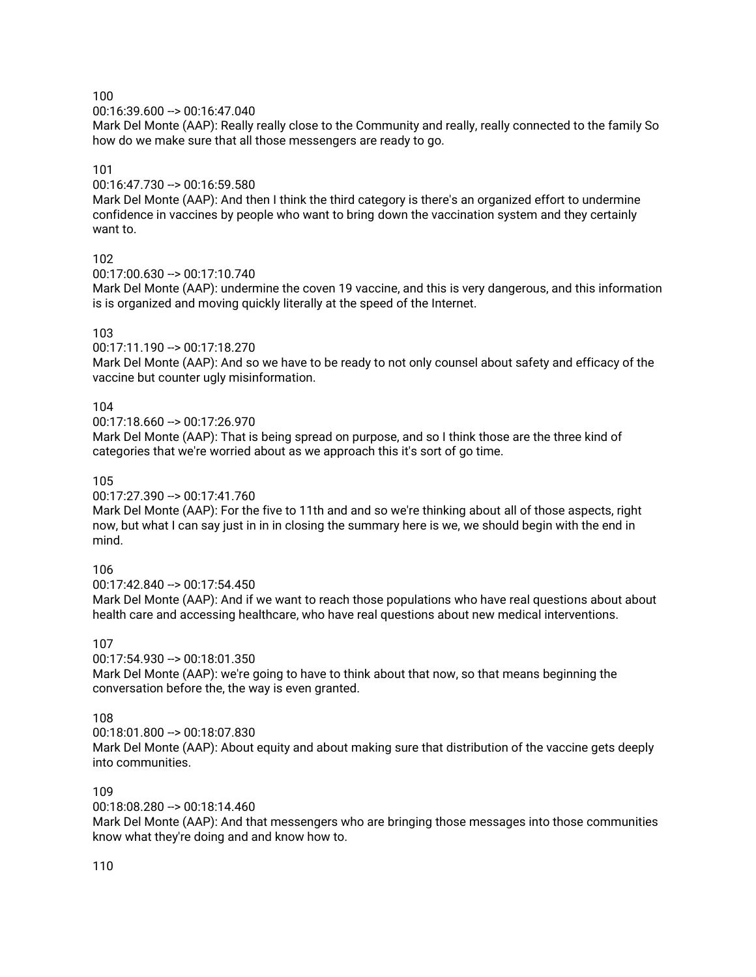00:16:39.600 --> 00:16:47.040

Mark Del Monte (AAP): Really really close to the Community and really, really connected to the family So how do we make sure that all those messengers are ready to go.

## 101

00:16:47.730 --> 00:16:59.580

Mark Del Monte (AAP): And then I think the third category is there's an organized effort to undermine confidence in vaccines by people who want to bring down the vaccination system and they certainly want to.

### 102

00:17:00.630 --> 00:17:10.740

Mark Del Monte (AAP): undermine the coven 19 vaccine, and this is very dangerous, and this information is is organized and moving quickly literally at the speed of the Internet.

### 103

00:17:11.190 --> 00:17:18.270

Mark Del Monte (AAP): And so we have to be ready to not only counsel about safety and efficacy of the vaccine but counter ugly misinformation.

### 104

00:17:18.660 --> 00:17:26.970

Mark Del Monte (AAP): That is being spread on purpose, and so I think those are the three kind of categories that we're worried about as we approach this it's sort of go time.

### 105

00:17:27.390 --> 00:17:41.760

Mark Del Monte (AAP): For the five to 11th and and so we're thinking about all of those aspects, right now, but what I can say just in in in closing the summary here is we, we should begin with the end in mind.

## 106

00:17:42.840 --> 00:17:54.450

Mark Del Monte (AAP): And if we want to reach those populations who have real questions about about health care and accessing healthcare, who have real questions about new medical interventions.

## 107

 $00:17:54.930 - > 00:18:01.350$ 

Mark Del Monte (AAP): we're going to have to think about that now, so that means beginning the conversation before the, the way is even granted.

## 108

00:18:01.800 --> 00:18:07.830 Mark Del Monte (AAP): About equity and about making sure that distribution of the vaccine gets deeply into communities.

#### 109

00:18:08.280 --> 00:18:14.460

Mark Del Monte (AAP): And that messengers who are bringing those messages into those communities know what they're doing and and know how to.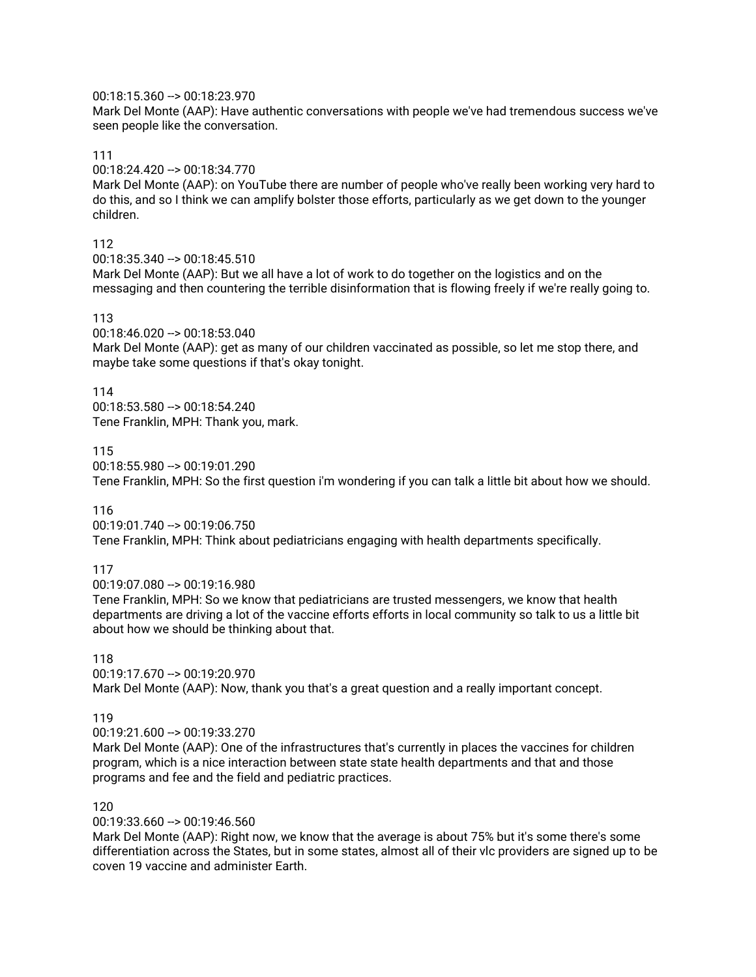## 00:18:15.360 --> 00:18:23.970

Mark Del Monte (AAP): Have authentic conversations with people we've had tremendous success we've seen people like the conversation.

### 111

00:18:24.420 --> 00:18:34.770

Mark Del Monte (AAP): on YouTube there are number of people who've really been working very hard to do this, and so I think we can amplify bolster those efforts, particularly as we get down to the younger children.

## 112

00:18:35.340 --> 00:18:45.510

Mark Del Monte (AAP): But we all have a lot of work to do together on the logistics and on the messaging and then countering the terrible disinformation that is flowing freely if we're really going to.

# 113

00:18:46.020 --> 00:18:53.040

Mark Del Monte (AAP): get as many of our children vaccinated as possible, so let me stop there, and maybe take some questions if that's okay tonight.

# 114

00:18:53.580 --> 00:18:54.240 Tene Franklin, MPH: Thank you, mark.

## 115

00:18:55.980 --> 00:19:01.290

Tene Franklin, MPH: So the first question i'm wondering if you can talk a little bit about how we should.

## 116

00:19:01.740 --> 00:19:06.750 Tene Franklin, MPH: Think about pediatricians engaging with health departments specifically.

# 117

00:19:07.080 --> 00:19:16.980

Tene Franklin, MPH: So we know that pediatricians are trusted messengers, we know that health departments are driving a lot of the vaccine efforts efforts in local community so talk to us a little bit about how we should be thinking about that.

# 118

00:19:17.670 --> 00:19:20.970 Mark Del Monte (AAP): Now, thank you that's a great question and a really important concept.

## 119

00:19:21.600 --> 00:19:33.270

Mark Del Monte (AAP): One of the infrastructures that's currently in places the vaccines for children program, which is a nice interaction between state state health departments and that and those programs and fee and the field and pediatric practices.

## 120

00:19:33.660 --> 00:19:46.560

Mark Del Monte (AAP): Right now, we know that the average is about 75% but it's some there's some differentiation across the States, but in some states, almost all of their vlc providers are signed up to be coven 19 vaccine and administer Earth.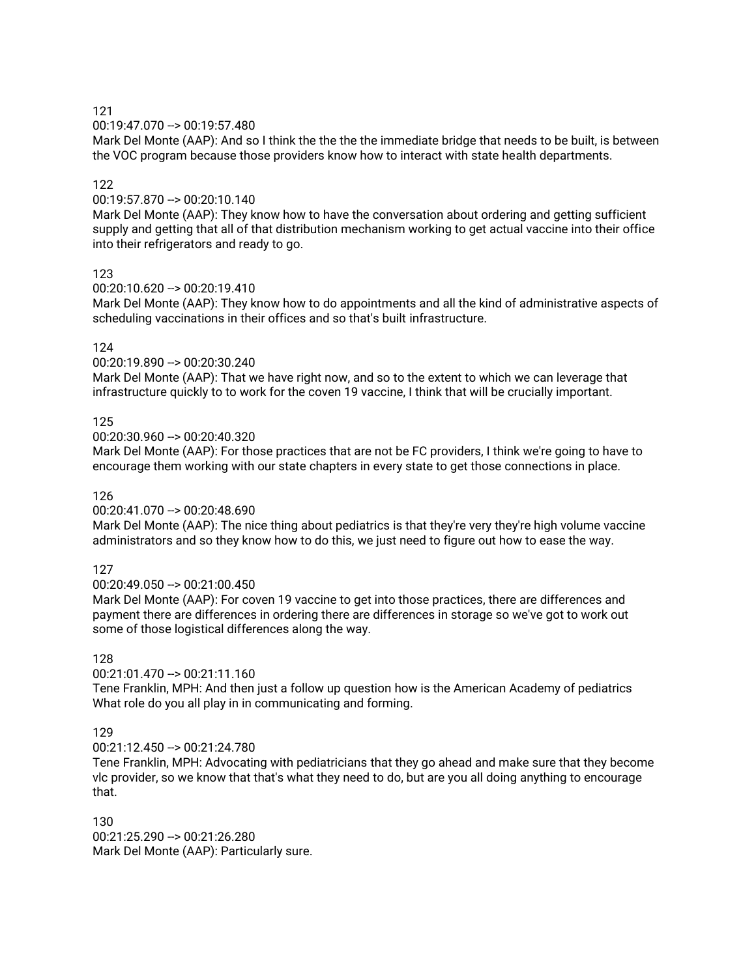00:19:47.070 --> 00:19:57.480

Mark Del Monte (AAP): And so I think the the the the immediate bridge that needs to be built, is between the VOC program because those providers know how to interact with state health departments.

### 122

00:19:57.870 --> 00:20:10.140

Mark Del Monte (AAP): They know how to have the conversation about ordering and getting sufficient supply and getting that all of that distribution mechanism working to get actual vaccine into their office into their refrigerators and ready to go.

### 123

00:20:10.620 --> 00:20:19.410

Mark Del Monte (AAP): They know how to do appointments and all the kind of administrative aspects of scheduling vaccinations in their offices and so that's built infrastructure.

### 124

00:20:19.890 --> 00:20:30.240

Mark Del Monte (AAP): That we have right now, and so to the extent to which we can leverage that infrastructure quickly to to work for the coven 19 vaccine, I think that will be crucially important.

### 125

00:20:30.960 --> 00:20:40.320

Mark Del Monte (AAP): For those practices that are not be FC providers, I think we're going to have to encourage them working with our state chapters in every state to get those connections in place.

#### 126

00:20:41.070 --> 00:20:48.690

Mark Del Monte (AAP): The nice thing about pediatrics is that they're very they're high volume vaccine administrators and so they know how to do this, we just need to figure out how to ease the way.

## 127

00:20:49.050 --> 00:21:00.450

Mark Del Monte (AAP): For coven 19 vaccine to get into those practices, there are differences and payment there are differences in ordering there are differences in storage so we've got to work out some of those logistical differences along the way.

#### 128

00:21:01.470 --> 00:21:11.160

Tene Franklin, MPH: And then just a follow up question how is the American Academy of pediatrics What role do you all play in in communicating and forming.

## 129

00:21:12.450 --> 00:21:24.780

Tene Franklin, MPH: Advocating with pediatricians that they go ahead and make sure that they become vlc provider, so we know that that's what they need to do, but are you all doing anything to encourage that.

130 00:21:25.290 --> 00:21:26.280 Mark Del Monte (AAP): Particularly sure.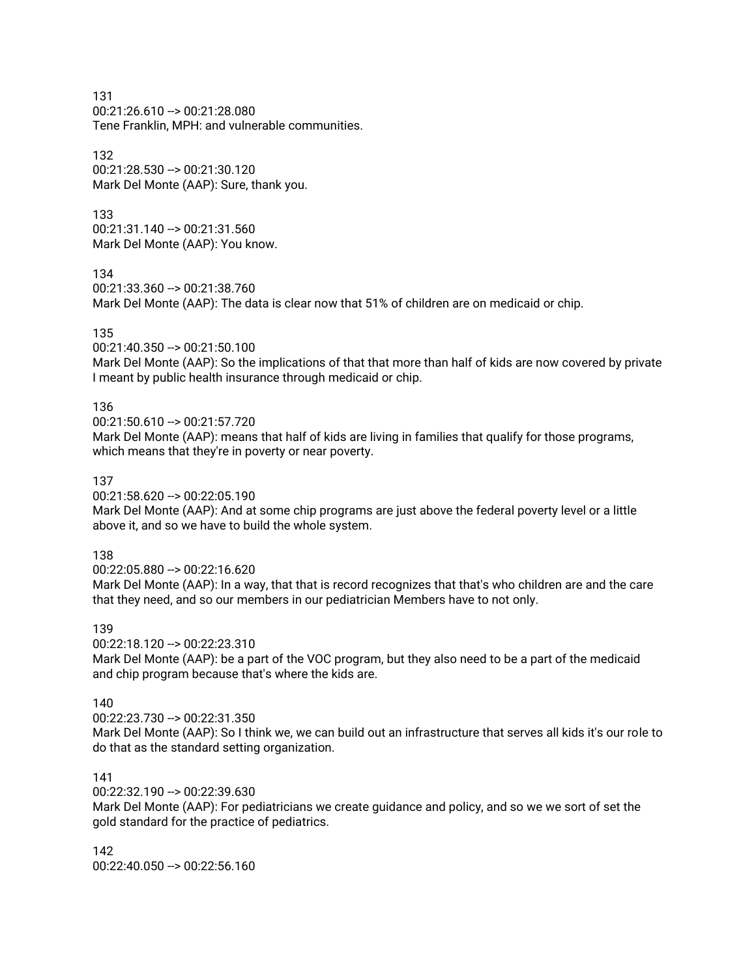00:21:26.610 --> 00:21:28.080 Tene Franklin, MPH: and vulnerable communities.

## 132

00:21:28.530 --> 00:21:30.120 Mark Del Monte (AAP): Sure, thank you.

## 133

00:21:31.140 --> 00:21:31.560 Mark Del Monte (AAP): You know.

134

```
00:21:33.360 --> 00:21:38.760
```
Mark Del Monte (AAP): The data is clear now that 51% of children are on medicaid or chip.

### 135

00:21:40.350 --> 00:21:50.100

Mark Del Monte (AAP): So the implications of that that more than half of kids are now covered by private I meant by public health insurance through medicaid or chip.

### 136

00:21:50.610 --> 00:21:57.720

Mark Del Monte (AAP): means that half of kids are living in families that qualify for those programs, which means that they're in poverty or near poverty.

### 137

00:21:58.620 --> 00:22:05.190

Mark Del Monte (AAP): And at some chip programs are just above the federal poverty level or a little above it, and so we have to build the whole system.

## 138

00:22:05.880 --> 00:22:16.620

Mark Del Monte (AAP): In a way, that that is record recognizes that that's who children are and the care that they need, and so our members in our pediatrician Members have to not only.

#### 139

00:22:18.120 --> 00:22:23.310 Mark Del Monte (AAP): be a part of the VOC program, but they also need to be a part of the medicaid and chip program because that's where the kids are.

#### 140

00:22:23.730 --> 00:22:31.350

Mark Del Monte (AAP): So I think we, we can build out an infrastructure that serves all kids it's our role to do that as the standard setting organization.

## 141

00:22:32.190 --> 00:22:39.630

Mark Del Monte (AAP): For pediatricians we create guidance and policy, and so we we sort of set the gold standard for the practice of pediatrics.

142 00:22:40.050 --> 00:22:56.160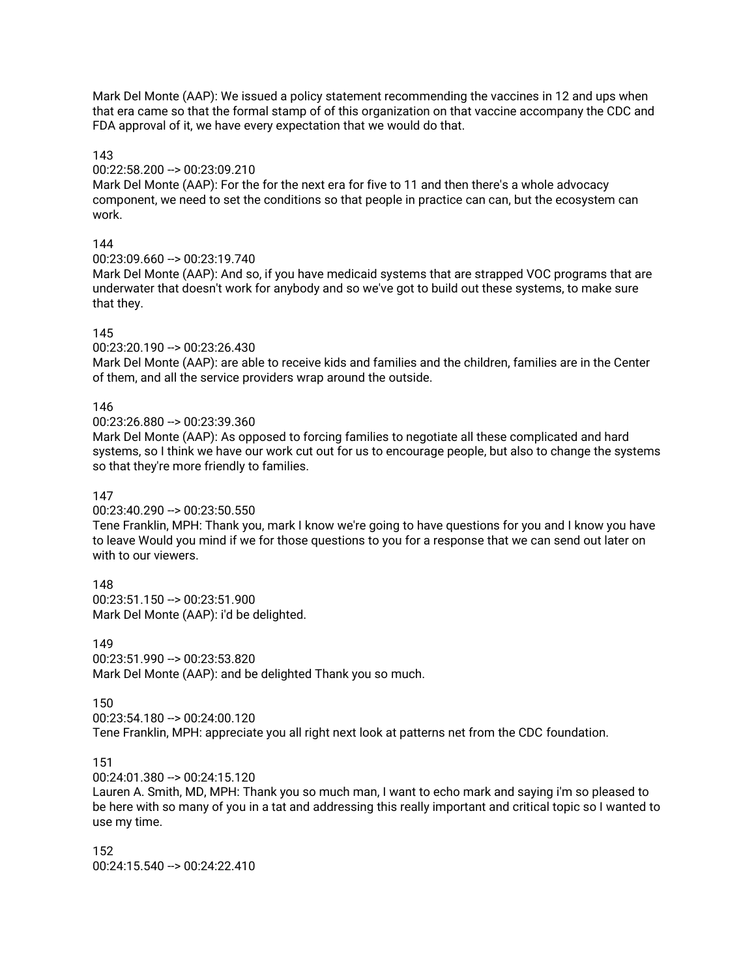Mark Del Monte (AAP): We issued a policy statement recommending the vaccines in 12 and ups when that era came so that the formal stamp of of this organization on that vaccine accompany the CDC and FDA approval of it, we have every expectation that we would do that.

### 143

### 00:22:58.200 --> 00:23:09.210

Mark Del Monte (AAP): For the for the next era for five to 11 and then there's a whole advocacy component, we need to set the conditions so that people in practice can can, but the ecosystem can work.

## 144

00:23:09.660 --> 00:23:19.740

Mark Del Monte (AAP): And so, if you have medicaid systems that are strapped VOC programs that are underwater that doesn't work for anybody and so we've got to build out these systems, to make sure that they.

## 145

00:23:20.190 --> 00:23:26.430

Mark Del Monte (AAP): are able to receive kids and families and the children, families are in the Center of them, and all the service providers wrap around the outside.

### 146

00:23:26.880 --> 00:23:39.360

Mark Del Monte (AAP): As opposed to forcing families to negotiate all these complicated and hard systems, so I think we have our work cut out for us to encourage people, but also to change the systems so that they're more friendly to families.

### 147

00:23:40.290 --> 00:23:50.550

Tene Franklin, MPH: Thank you, mark I know we're going to have questions for you and I know you have to leave Would you mind if we for those questions to you for a response that we can send out later on with to our viewers.

148  $00:23:51.150 \rightarrow 00:23:51.900$ Mark Del Monte (AAP): i'd be delighted.

149  $00:23:51.990 - > 00:23:53.820$ Mark Del Monte (AAP): and be delighted Thank you so much.

150 00:23:54.180 --> 00:24:00.120 Tene Franklin, MPH: appreciate you all right next look at patterns net from the CDC foundation.

#### 151

00:24:01.380 --> 00:24:15.120

Lauren A. Smith, MD, MPH: Thank you so much man, I want to echo mark and saying i'm so pleased to be here with so many of you in a tat and addressing this really important and critical topic so I wanted to use my time.

152 00:24:15.540 --> 00:24:22.410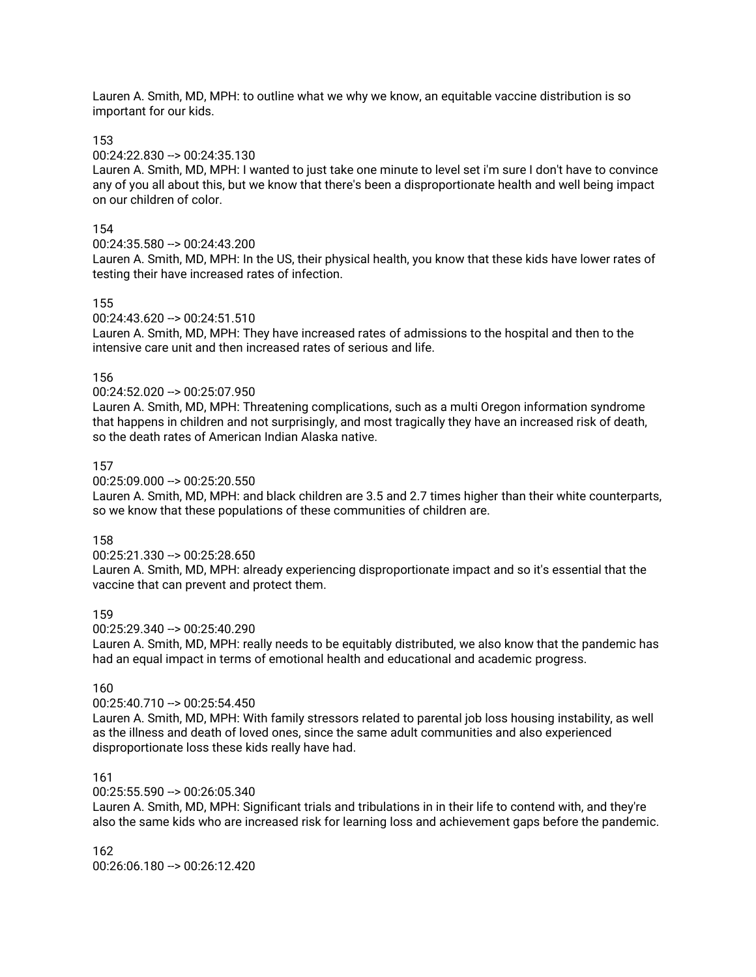Lauren A. Smith, MD, MPH: to outline what we why we know, an equitable vaccine distribution is so important for our kids.

#### 153

#### 00:24:22.830 --> 00:24:35.130

Lauren A. Smith, MD, MPH: I wanted to just take one minute to level set i'm sure I don't have to convince any of you all about this, but we know that there's been a disproportionate health and well being impact on our children of color.

#### 154

#### 00:24:35.580 --> 00:24:43.200

Lauren A. Smith, MD, MPH: In the US, their physical health, you know that these kids have lower rates of testing their have increased rates of infection.

#### 155

#### 00:24:43.620 --> 00:24:51.510

Lauren A. Smith, MD, MPH: They have increased rates of admissions to the hospital and then to the intensive care unit and then increased rates of serious and life.

#### 156

#### 00:24:52.020 --> 00:25:07.950

Lauren A. Smith, MD, MPH: Threatening complications, such as a multi Oregon information syndrome that happens in children and not surprisingly, and most tragically they have an increased risk of death, so the death rates of American Indian Alaska native.

#### 157

#### 00:25:09.000 --> 00:25:20.550

Lauren A. Smith, MD, MPH: and black children are 3.5 and 2.7 times higher than their white counterparts, so we know that these populations of these communities of children are.

#### 158

00:25:21.330 --> 00:25:28.650

Lauren A. Smith, MD, MPH: already experiencing disproportionate impact and so it's essential that the vaccine that can prevent and protect them.

#### 159

00:25:29.340 --> 00:25:40.290

Lauren A. Smith, MD, MPH: really needs to be equitably distributed, we also know that the pandemic has had an equal impact in terms of emotional health and educational and academic progress.

#### 160

#### 00:25:40.710 --> 00:25:54.450

Lauren A. Smith, MD, MPH: With family stressors related to parental job loss housing instability, as well as the illness and death of loved ones, since the same adult communities and also experienced disproportionate loss these kids really have had.

#### 161

#### $00:25:55.590 -> 00:26:05.340$

Lauren A. Smith, MD, MPH: Significant trials and tribulations in in their life to contend with, and they're also the same kids who are increased risk for learning loss and achievement gaps before the pandemic.

#### 162 00:26:06.180 --> 00:26:12.420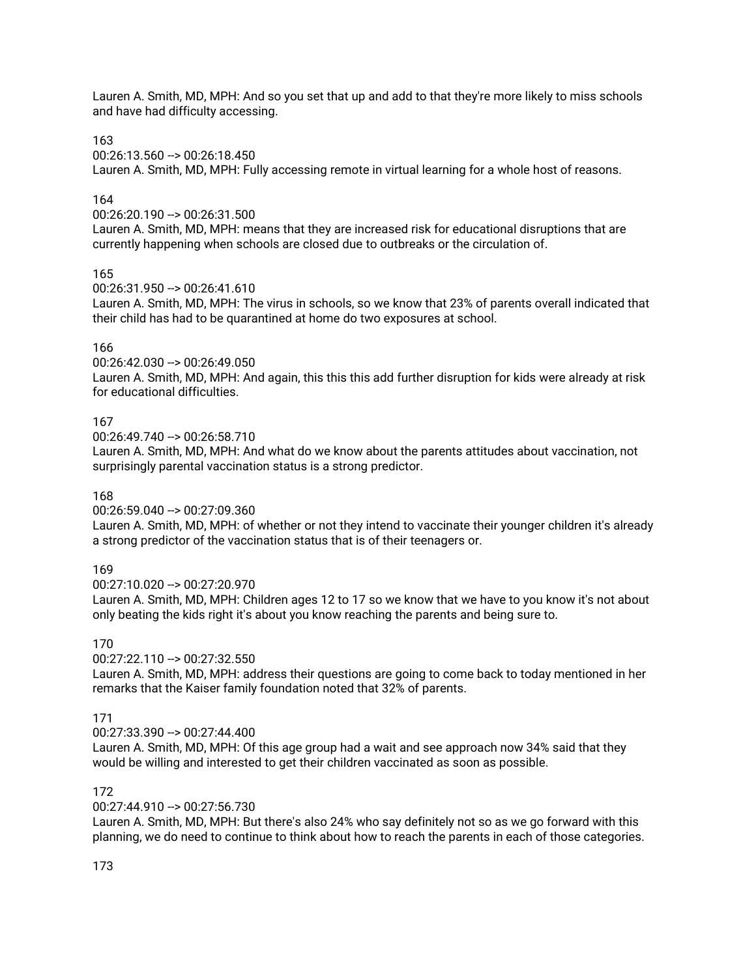Lauren A. Smith, MD, MPH: And so you set that up and add to that they're more likely to miss schools and have had difficulty accessing.

163

00:26:13.560 --> 00:26:18.450

Lauren A. Smith, MD, MPH: Fully accessing remote in virtual learning for a whole host of reasons.

## 164

00:26:20.190 --> 00:26:31.500

Lauren A. Smith, MD, MPH: means that they are increased risk for educational disruptions that are currently happening when schools are closed due to outbreaks or the circulation of.

### 165

00:26:31.950 --> 00:26:41.610

Lauren A. Smith, MD, MPH: The virus in schools, so we know that 23% of parents overall indicated that their child has had to be quarantined at home do two exposures at school.

## 166

00:26:42.030 --> 00:26:49.050

Lauren A. Smith, MD, MPH: And again, this this this add further disruption for kids were already at risk for educational difficulties.

### 167

00:26:49.740 --> 00:26:58.710

Lauren A. Smith, MD, MPH: And what do we know about the parents attitudes about vaccination, not surprisingly parental vaccination status is a strong predictor.

#### 168

00:26:59.040 --> 00:27:09.360

Lauren A. Smith, MD, MPH: of whether or not they intend to vaccinate their younger children it's already a strong predictor of the vaccination status that is of their teenagers or.

## 169

00:27:10.020 --> 00:27:20.970

Lauren A. Smith, MD, MPH: Children ages 12 to 17 so we know that we have to you know it's not about only beating the kids right it's about you know reaching the parents and being sure to.

### 170

00:27:22.110 --> 00:27:32.550

Lauren A. Smith, MD, MPH: address their questions are going to come back to today mentioned in her remarks that the Kaiser family foundation noted that 32% of parents.

## 171

00:27:33.390 --> 00:27:44.400

Lauren A. Smith, MD, MPH: Of this age group had a wait and see approach now 34% said that they would be willing and interested to get their children vaccinated as soon as possible.

## 172

00:27:44.910 --> 00:27:56.730

Lauren A. Smith, MD, MPH: But there's also 24% who say definitely not so as we go forward with this planning, we do need to continue to think about how to reach the parents in each of those categories.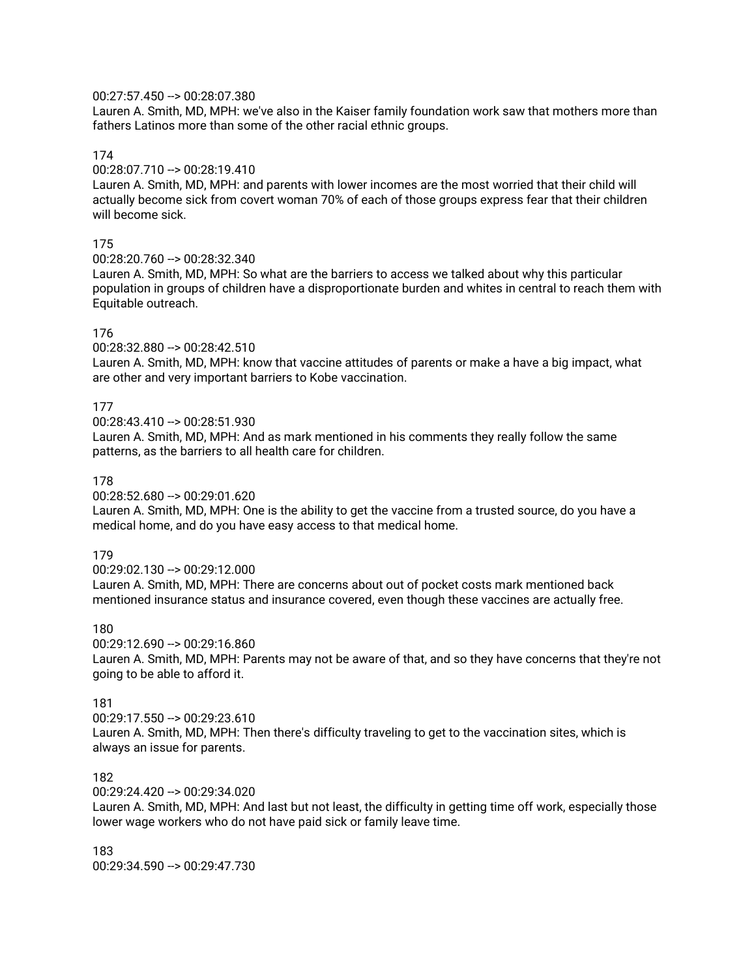### 00:27:57.450 --> 00:28:07.380

Lauren A. Smith, MD, MPH: we've also in the Kaiser family foundation work saw that mothers more than fathers Latinos more than some of the other racial ethnic groups.

#### 174

## 00:28:07.710 --> 00:28:19.410

Lauren A. Smith, MD, MPH: and parents with lower incomes are the most worried that their child will actually become sick from covert woman 70% of each of those groups express fear that their children will become sick.

#### 175

00:28:20.760 --> 00:28:32.340

Lauren A. Smith, MD, MPH: So what are the barriers to access we talked about why this particular population in groups of children have a disproportionate burden and whites in central to reach them with Equitable outreach.

#### 176

00:28:32.880 --> 00:28:42.510

Lauren A. Smith, MD, MPH: know that vaccine attitudes of parents or make a have a big impact, what are other and very important barriers to Kobe vaccination.

#### 177

00:28:43.410 --> 00:28:51.930

Lauren A. Smith, MD, MPH: And as mark mentioned in his comments they really follow the same patterns, as the barriers to all health care for children.

#### 178

00:28:52.680 --> 00:29:01.620

Lauren A. Smith, MD, MPH: One is the ability to get the vaccine from a trusted source, do you have a medical home, and do you have easy access to that medical home.

#### 179

00:29:02.130 --> 00:29:12.000 Lauren A. Smith, MD, MPH: There are concerns about out of pocket costs mark mentioned back mentioned insurance status and insurance covered, even though these vaccines are actually free.

#### 180

00:29:12.690 --> 00:29:16.860 Lauren A. Smith, MD, MPH: Parents may not be aware of that, and so they have concerns that they're not going to be able to afford it.

#### 181

00:29:17.550 --> 00:29:23.610 Lauren A. Smith, MD, MPH: Then there's difficulty traveling to get to the vaccination sites, which is always an issue for parents.

#### 182

00:29:24.420 --> 00:29:34.020

Lauren A. Smith, MD, MPH: And last but not least, the difficulty in getting time off work, especially those lower wage workers who do not have paid sick or family leave time.

#### 183 00:29:34.590 --> 00:29:47.730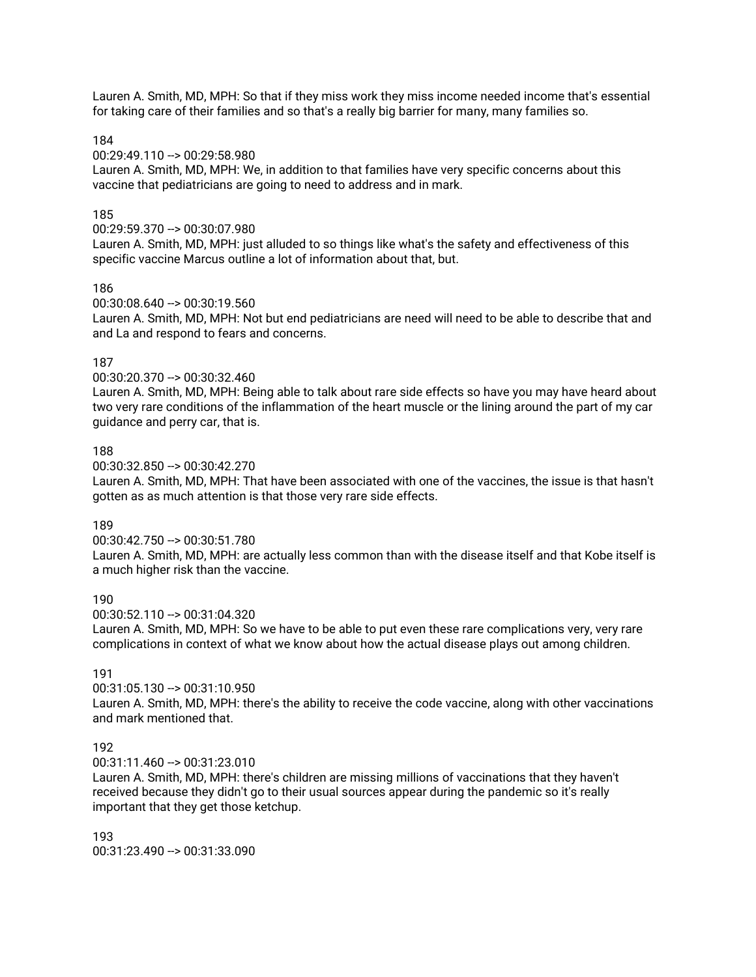Lauren A. Smith, MD, MPH: So that if they miss work they miss income needed income that's essential for taking care of their families and so that's a really big barrier for many, many families so.

184

00:29:49.110 --> 00:29:58.980

Lauren A. Smith, MD, MPH: We, in addition to that families have very specific concerns about this vaccine that pediatricians are going to need to address and in mark.

### 185

00:29:59.370 --> 00:30:07.980

Lauren A. Smith, MD, MPH: just alluded to so things like what's the safety and effectiveness of this specific vaccine Marcus outline a lot of information about that, but.

#### 186

00:30:08.640 --> 00:30:19.560

Lauren A. Smith, MD, MPH: Not but end pediatricians are need will need to be able to describe that and and La and respond to fears and concerns.

#### 187

00:30:20.370 --> 00:30:32.460

Lauren A. Smith, MD, MPH: Being able to talk about rare side effects so have you may have heard about two very rare conditions of the inflammation of the heart muscle or the lining around the part of my car guidance and perry car, that is.

### 188

00:30:32.850 --> 00:30:42.270

Lauren A. Smith, MD, MPH: That have been associated with one of the vaccines, the issue is that hasn't gotten as as much attention is that those very rare side effects.

#### 189

00:30:42.750 --> 00:30:51.780

Lauren A. Smith, MD, MPH: are actually less common than with the disease itself and that Kobe itself is a much higher risk than the vaccine.

### 190

00:30:52.110 --> 00:31:04.320

Lauren A. Smith, MD, MPH: So we have to be able to put even these rare complications very, very rare complications in context of what we know about how the actual disease plays out among children.

#### 191

 $00:31:05.130 \rightarrow 00:31:10.950$ Lauren A. Smith, MD, MPH: there's the ability to receive the code vaccine, along with other vaccinations and mark mentioned that.

### 192

 $00:31:11.460 \rightarrow 00:31:23.010$ 

Lauren A. Smith, MD, MPH: there's children are missing millions of vaccinations that they haven't received because they didn't go to their usual sources appear during the pandemic so it's really important that they get those ketchup.

193  $00:31:23.490 - > 00:31:33.090$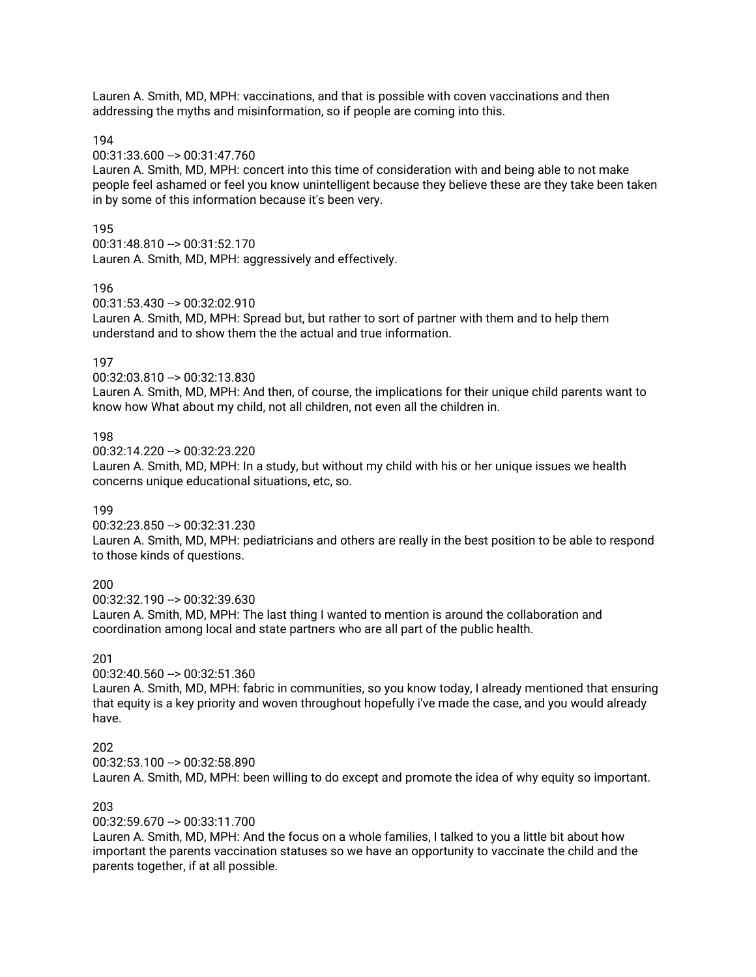Lauren A. Smith, MD, MPH: vaccinations, and that is possible with coven vaccinations and then addressing the myths and misinformation, so if people are coming into this.

194

00:31:33.600 --> 00:31:47.760

Lauren A. Smith, MD, MPH: concert into this time of consideration with and being able to not make people feel ashamed or feel you know unintelligent because they believe these are they take been taken in by some of this information because it's been very.

#### 195

00:31:48.810 --> 00:31:52.170 Lauren A. Smith, MD, MPH: aggressively and effectively.

#### 196

00:31:53.430 --> 00:32:02.910

Lauren A. Smith, MD, MPH: Spread but, but rather to sort of partner with them and to help them understand and to show them the the actual and true information.

#### 197

00:32:03.810 --> 00:32:13.830

Lauren A. Smith, MD, MPH: And then, of course, the implications for their unique child parents want to know how What about my child, not all children, not even all the children in.

#### 198

00:32:14.220 --> 00:32:23.220

Lauren A. Smith, MD, MPH: In a study, but without my child with his or her unique issues we health concerns unique educational situations, etc, so.

#### 199

00:32:23.850 --> 00:32:31.230

Lauren A. Smith, MD, MPH: pediatricians and others are really in the best position to be able to respond to those kinds of questions.

## 200

 $00:32:32.190 -\geq 00:32:39.630$ 

Lauren A. Smith, MD, MPH: The last thing I wanted to mention is around the collaboration and coordination among local and state partners who are all part of the public health.

#### 201

00:32:40.560 --> 00:32:51.360

Lauren A. Smith, MD, MPH: fabric in communities, so you know today, I already mentioned that ensuring that equity is a key priority and woven throughout hopefully i've made the case, and you would already have.

#### 202

 $00:32:53.100 -> 00:32:58.890$ 

Lauren A. Smith, MD, MPH: been willing to do except and promote the idea of why equity so important.

#### 203

00:32:59.670 --> 00:33:11.700

Lauren A. Smith, MD, MPH: And the focus on a whole families, I talked to you a little bit about how important the parents vaccination statuses so we have an opportunity to vaccinate the child and the parents together, if at all possible.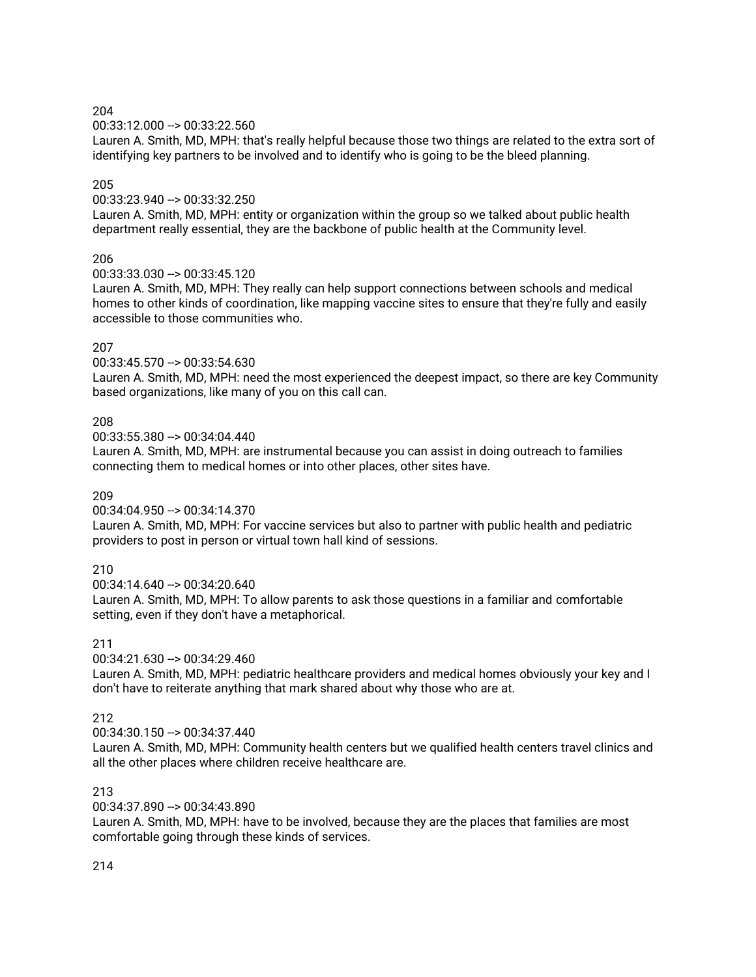00:33:12.000 --> 00:33:22.560

Lauren A. Smith, MD, MPH: that's really helpful because those two things are related to the extra sort of identifying key partners to be involved and to identify who is going to be the bleed planning.

#### 205

00:33:23.940 --> 00:33:32.250

Lauren A. Smith, MD, MPH: entity or organization within the group so we talked about public health department really essential, they are the backbone of public health at the Community level.

### 206

00:33:33.030 --> 00:33:45.120

Lauren A. Smith, MD, MPH: They really can help support connections between schools and medical homes to other kinds of coordination, like mapping vaccine sites to ensure that they're fully and easily accessible to those communities who.

### 207

00:33:45.570 --> 00:33:54.630

Lauren A. Smith, MD, MPH: need the most experienced the deepest impact, so there are key Community based organizations, like many of you on this call can.

## 208

00:33:55.380 --> 00:34:04.440

Lauren A. Smith, MD, MPH: are instrumental because you can assist in doing outreach to families connecting them to medical homes or into other places, other sites have.

#### 209

00:34:04.950 --> 00:34:14.370

Lauren A. Smith, MD, MPH: For vaccine services but also to partner with public health and pediatric providers to post in person or virtual town hall kind of sessions.

## 210

00:34:14.640 --> 00:34:20.640 Lauren A. Smith, MD, MPH: To allow parents to ask those questions in a familiar and comfortable setting, even if they don't have a metaphorical.

### 211

00:34:21.630 --> 00:34:29.460

Lauren A. Smith, MD, MPH: pediatric healthcare providers and medical homes obviously your key and I don't have to reiterate anything that mark shared about why those who are at.

## 212

00:34:30.150 --> 00:34:37.440

Lauren A. Smith, MD, MPH: Community health centers but we qualified health centers travel clinics and all the other places where children receive healthcare are.

#### 213

00:34:37.890 --> 00:34:43.890

Lauren A. Smith, MD, MPH: have to be involved, because they are the places that families are most comfortable going through these kinds of services.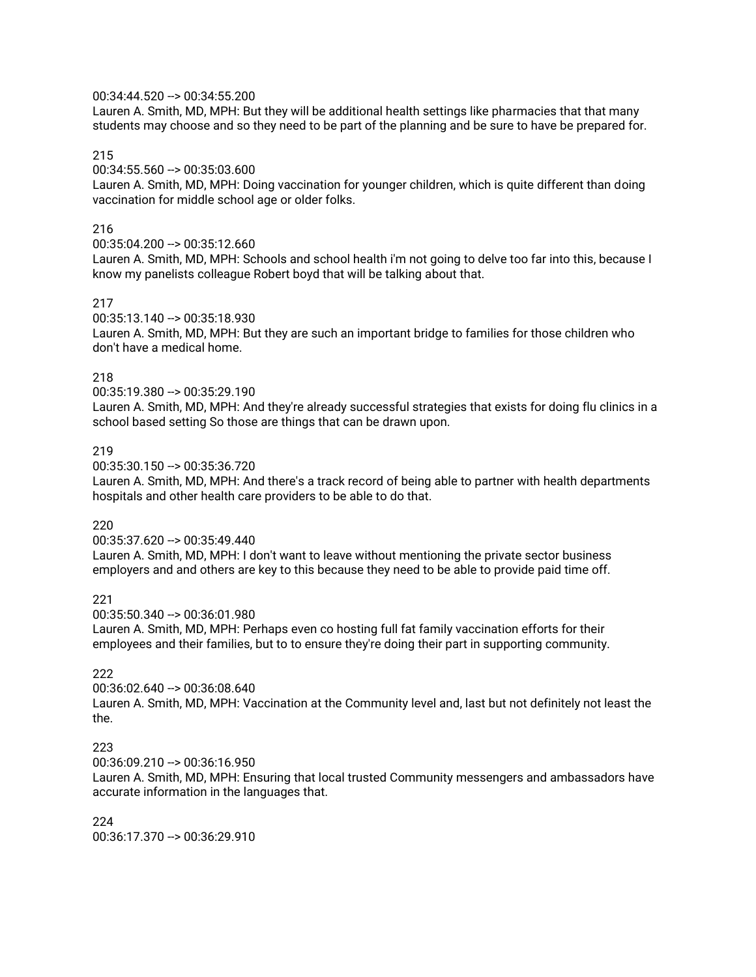### 00:34:44.520 --> 00:34:55.200

Lauren A. Smith, MD, MPH: But they will be additional health settings like pharmacies that that many students may choose and so they need to be part of the planning and be sure to have be prepared for.

#### 215

## 00:34:55.560 --> 00:35:03.600

Lauren A. Smith, MD, MPH: Doing vaccination for younger children, which is quite different than doing vaccination for middle school age or older folks.

#### 216

00:35:04.200 --> 00:35:12.660

Lauren A. Smith, MD, MPH: Schools and school health i'm not going to delve too far into this, because I know my panelists colleague Robert boyd that will be talking about that.

#### 217

#### 00:35:13.140 --> 00:35:18.930

Lauren A. Smith, MD, MPH: But they are such an important bridge to families for those children who don't have a medical home.

## 218

00:35:19.380 --> 00:35:29.190

Lauren A. Smith, MD, MPH: And they're already successful strategies that exists for doing flu clinics in a school based setting So those are things that can be drawn upon.

#### 219

00:35:30.150 --> 00:35:36.720

Lauren A. Smith, MD, MPH: And there's a track record of being able to partner with health departments hospitals and other health care providers to be able to do that.

#### 220

00:35:37.620 --> 00:35:49.440

Lauren A. Smith, MD, MPH: I don't want to leave without mentioning the private sector business employers and and others are key to this because they need to be able to provide paid time off.

#### 221

00:35:50.340 --> 00:36:01.980

Lauren A. Smith, MD, MPH: Perhaps even co hosting full fat family vaccination efforts for their employees and their families, but to to ensure they're doing their part in supporting community.

### 222

00:36:02.640 --> 00:36:08.640 Lauren A. Smith, MD, MPH: Vaccination at the Community level and, last but not definitely not least the the.

### 223

 $00:36:09.210 - \geq 00:36:16.950$ 

Lauren A. Smith, MD, MPH: Ensuring that local trusted Community messengers and ambassadors have accurate information in the languages that.

224 00:36:17.370 --> 00:36:29.910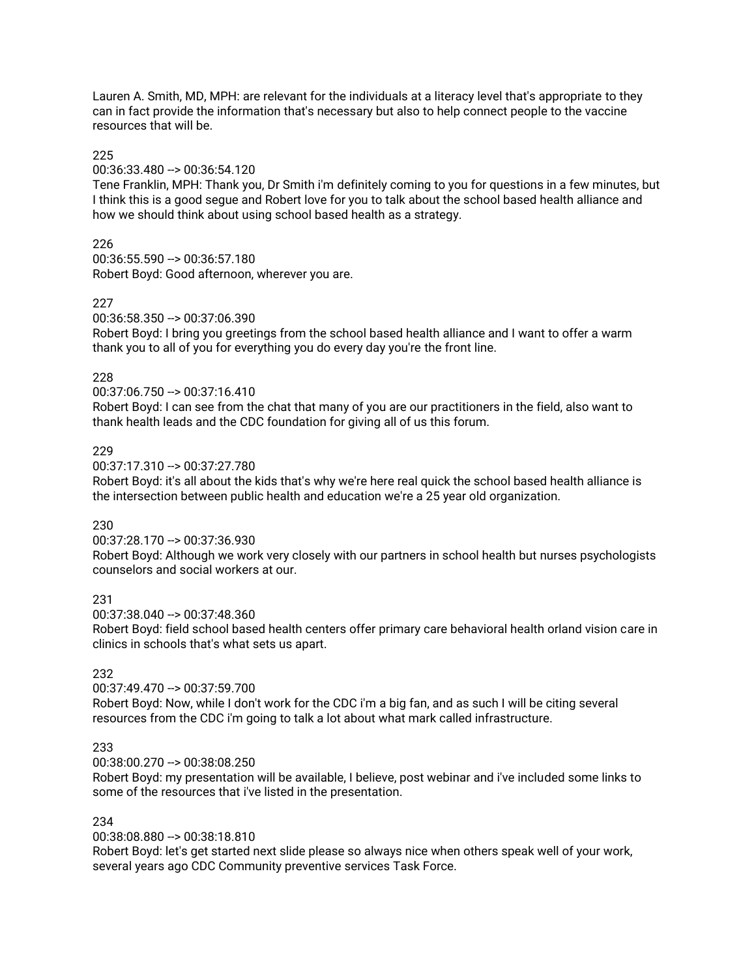Lauren A. Smith, MD, MPH: are relevant for the individuals at a literacy level that's appropriate to they can in fact provide the information that's necessary but also to help connect people to the vaccine resources that will be.

### 225

00:36:33.480 --> 00:36:54.120

Tene Franklin, MPH: Thank you, Dr Smith i'm definitely coming to you for questions in a few minutes, but I think this is a good segue and Robert love for you to talk about the school based health alliance and how we should think about using school based health as a strategy.

## 226

00:36:55.590 --> 00:36:57.180 Robert Boyd: Good afternoon, wherever you are.

## 227

00:36:58.350 --> 00:37:06.390

Robert Boyd: I bring you greetings from the school based health alliance and I want to offer a warm thank you to all of you for everything you do every day you're the front line.

## 228

00:37:06.750 --> 00:37:16.410

Robert Boyd: I can see from the chat that many of you are our practitioners in the field, also want to thank health leads and the CDC foundation for giving all of us this forum.

## 229

00:37:17.310 --> 00:37:27.780

Robert Boyd: it's all about the kids that's why we're here real quick the school based health alliance is the intersection between public health and education we're a 25 year old organization.

## 230

00:37:28.170 --> 00:37:36.930

Robert Boyd: Although we work very closely with our partners in school health but nurses psychologists counselors and social workers at our.

## 231

00:37:38.040 --> 00:37:48.360

Robert Boyd: field school based health centers offer primary care behavioral health orland vision care in clinics in schools that's what sets us apart.

## 232

00:37:49.470 --> 00:37:59.700

Robert Boyd: Now, while I don't work for the CDC i'm a big fan, and as such I will be citing several resources from the CDC i'm going to talk a lot about what mark called infrastructure.

## 233

00:38:00.270 --> 00:38:08.250

Robert Boyd: my presentation will be available, I believe, post webinar and i've included some links to some of the resources that i've listed in the presentation.

## 234

00:38:08.880 --> 00:38:18.810

Robert Boyd: let's get started next slide please so always nice when others speak well of your work, several years ago CDC Community preventive services Task Force.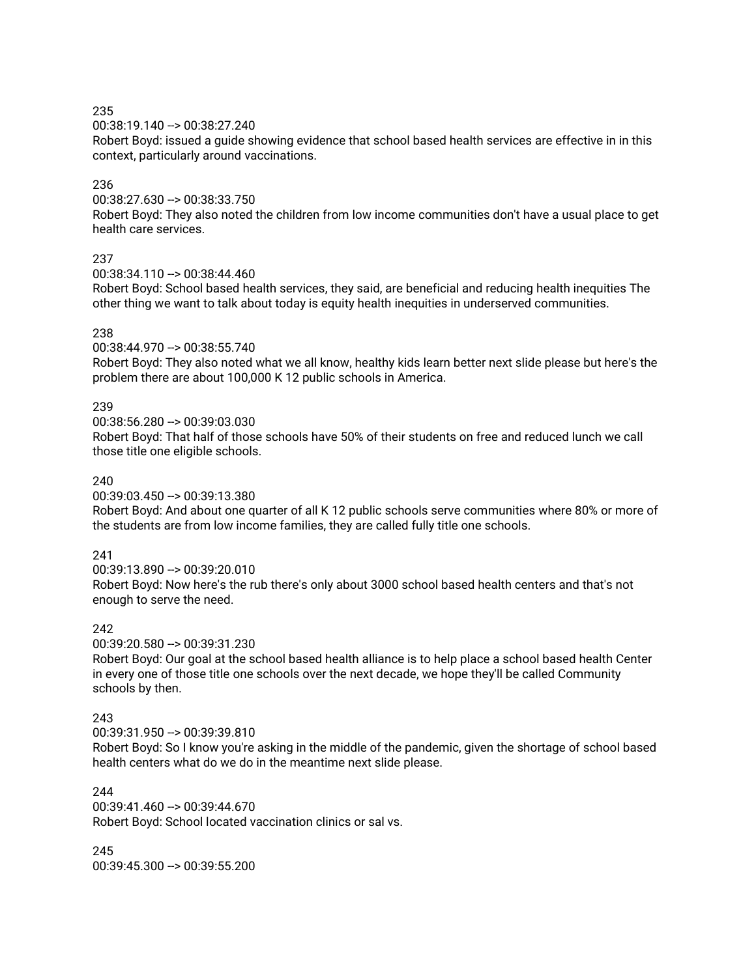00:38:19.140 --> 00:38:27.240

Robert Boyd: issued a guide showing evidence that school based health services are effective in in this context, particularly around vaccinations.

### 236

00:38:27.630 --> 00:38:33.750

Robert Boyd: They also noted the children from low income communities don't have a usual place to get health care services.

### 237

 $00:38:34.110 -> 00:38:44.460$ 

Robert Boyd: School based health services, they said, are beneficial and reducing health inequities The other thing we want to talk about today is equity health inequities in underserved communities.

### 238

00:38:44.970 --> 00:38:55.740

Robert Boyd: They also noted what we all know, healthy kids learn better next slide please but here's the problem there are about 100,000 K 12 public schools in America.

### 239

00:38:56.280 --> 00:39:03.030

Robert Boyd: That half of those schools have 50% of their students on free and reduced lunch we call those title one eligible schools.

#### 240

00:39:03.450 --> 00:39:13.380

Robert Boyd: And about one quarter of all K 12 public schools serve communities where 80% or more of the students are from low income families, they are called fully title one schools.

## 241

00:39:13.890 --> 00:39:20.010 Robert Boyd: Now here's the rub there's only about 3000 school based health centers and that's not enough to serve the need.

#### 242

00:39:20.580 --> 00:39:31.230

Robert Boyd: Our goal at the school based health alliance is to help place a school based health Center in every one of those title one schools over the next decade, we hope they'll be called Community schools by then.

#### 243

00:39:31.950 --> 00:39:39.810

Robert Boyd: So I know you're asking in the middle of the pandemic, given the shortage of school based health centers what do we do in the meantime next slide please.

#### 244

00:39:41.460 --> 00:39:44.670 Robert Boyd: School located vaccination clinics or sal vs.

245 00:39:45.300 --> 00:39:55.200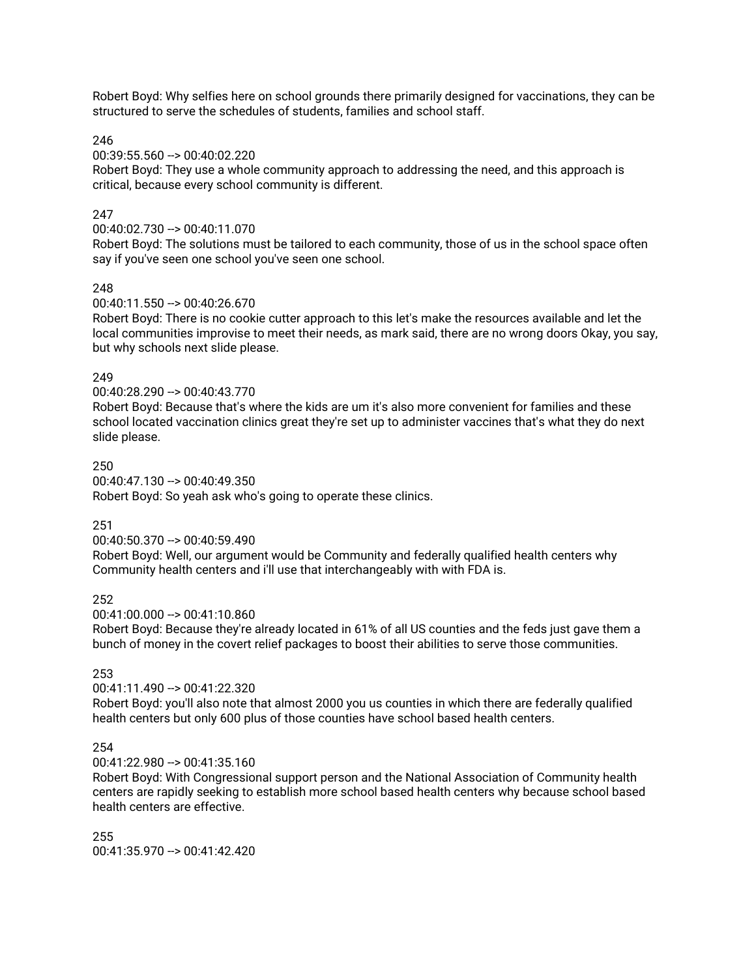Robert Boyd: Why selfies here on school grounds there primarily designed for vaccinations, they can be structured to serve the schedules of students, families and school staff.

246

00:39:55.560 --> 00:40:02.220

Robert Boyd: They use a whole community approach to addressing the need, and this approach is critical, because every school community is different.

### 247

#### 00:40:02.730 --> 00:40:11.070

Robert Boyd: The solutions must be tailored to each community, those of us in the school space often say if you've seen one school you've seen one school.

### 248

00:40:11.550 --> 00:40:26.670

Robert Boyd: There is no cookie cutter approach to this let's make the resources available and let the local communities improvise to meet their needs, as mark said, there are no wrong doors Okay, you say, but why schools next slide please.

### 249

00:40:28.290 --> 00:40:43.770

Robert Boyd: Because that's where the kids are um it's also more convenient for families and these school located vaccination clinics great they're set up to administer vaccines that's what they do next slide please.

#### 250

00:40:47.130 --> 00:40:49.350 Robert Boyd: So yeah ask who's going to operate these clinics.

#### 251

#### 00:40:50.370 --> 00:40:59.490

Robert Boyd: Well, our argument would be Community and federally qualified health centers why Community health centers and i'll use that interchangeably with with FDA is.

#### 252

00:41:00.000 --> 00:41:10.860

Robert Boyd: Because they're already located in 61% of all US counties and the feds just gave them a bunch of money in the covert relief packages to boost their abilities to serve those communities.

### 253

 $00:41:11.490 \rightarrow 00:41:22.320$ 

Robert Boyd: you'll also note that almost 2000 you us counties in which there are federally qualified health centers but only 600 plus of those counties have school based health centers.

### 254

00:41:22.980 --> 00:41:35.160

Robert Boyd: With Congressional support person and the National Association of Community health centers are rapidly seeking to establish more school based health centers why because school based health centers are effective.

255  $00:41:35.970 - > 00:41:42.420$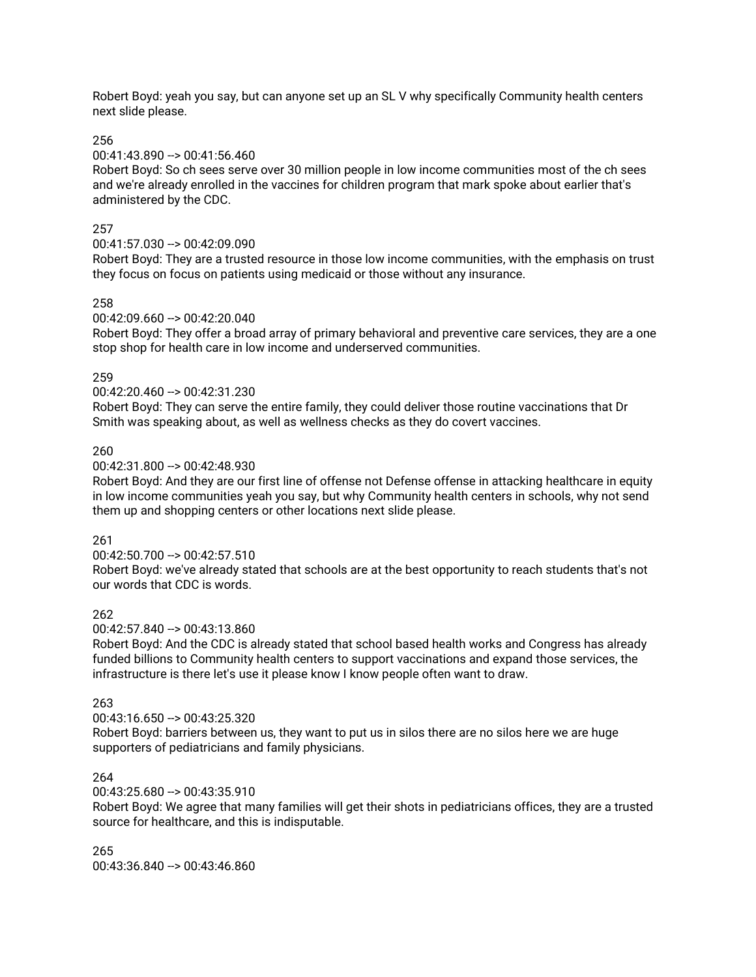Robert Boyd: yeah you say, but can anyone set up an SL V why specifically Community health centers next slide please.

#### 256

### 00:41:43.890 --> 00:41:56.460

Robert Boyd: So ch sees serve over 30 million people in low income communities most of the ch sees and we're already enrolled in the vaccines for children program that mark spoke about earlier that's administered by the CDC.

### 257

### 00:41:57.030 --> 00:42:09.090

Robert Boyd: They are a trusted resource in those low income communities, with the emphasis on trust they focus on focus on patients using medicaid or those without any insurance.

### 258

#### 00:42:09.660 --> 00:42:20.040

Robert Boyd: They offer a broad array of primary behavioral and preventive care services, they are a one stop shop for health care in low income and underserved communities.

### 259

00:42:20.460 --> 00:42:31.230

Robert Boyd: They can serve the entire family, they could deliver those routine vaccinations that Dr Smith was speaking about, as well as wellness checks as they do covert vaccines.

### 260

#### 00:42:31.800 --> 00:42:48.930

Robert Boyd: And they are our first line of offense not Defense offense in attacking healthcare in equity in low income communities yeah you say, but why Community health centers in schools, why not send them up and shopping centers or other locations next slide please.

#### 261

#### $00:42:50.700 -> 00:42:57.510$

Robert Boyd: we've already stated that schools are at the best opportunity to reach students that's not our words that CDC is words.

#### 262

#### $00:42:57.840 \rightarrow 00:43:13.860$

Robert Boyd: And the CDC is already stated that school based health works and Congress has already funded billions to Community health centers to support vaccinations and expand those services, the infrastructure is there let's use it please know I know people often want to draw.

#### 263

#### 00:43:16.650 --> 00:43:25.320

Robert Boyd: barriers between us, they want to put us in silos there are no silos here we are huge supporters of pediatricians and family physicians.

#### 264

#### $00:43:25.680 \rightarrow 00:43:35.910$

Robert Boyd: We agree that many families will get their shots in pediatricians offices, they are a trusted source for healthcare, and this is indisputable.

#### 265 00:43:36.840 --> 00:43:46.860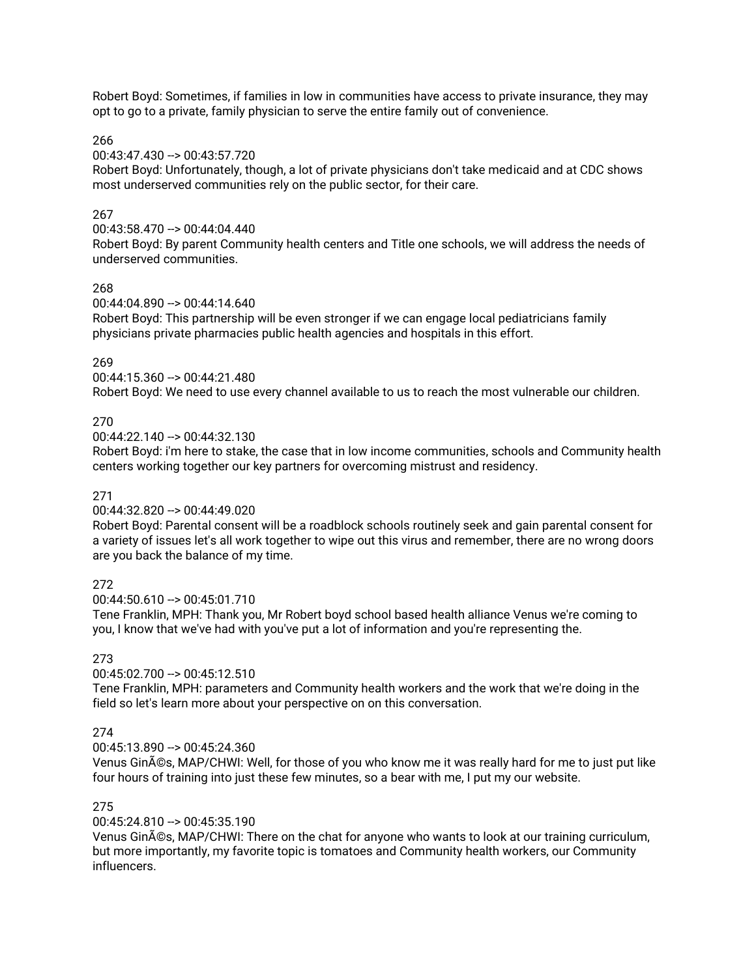Robert Boyd: Sometimes, if families in low in communities have access to private insurance, they may opt to go to a private, family physician to serve the entire family out of convenience.

266

00:43:47.430 --> 00:43:57.720

Robert Boyd: Unfortunately, though, a lot of private physicians don't take medicaid and at CDC shows most underserved communities rely on the public sector, for their care.

### 267

00:43:58.470 --> 00:44:04.440

Robert Boyd: By parent Community health centers and Title one schools, we will address the needs of underserved communities.

## 268

00:44:04.890 --> 00:44:14.640

Robert Boyd: This partnership will be even stronger if we can engage local pediatricians family physicians private pharmacies public health agencies and hospitals in this effort.

269

00:44:15.360 --> 00:44:21.480

Robert Boyd: We need to use every channel available to us to reach the most vulnerable our children.

### 270

00:44:22.140 --> 00:44:32.130

Robert Boyd: i'm here to stake, the case that in low income communities, schools and Community health centers working together our key partners for overcoming mistrust and residency.

### 271

00:44:32.820 --> 00:44:49.020

Robert Boyd: Parental consent will be a roadblock schools routinely seek and gain parental consent for a variety of issues let's all work together to wipe out this virus and remember, there are no wrong doors are you back the balance of my time.

## 272

 $00:44:50.610 -> 00:45:01.710$ 

Tene Franklin, MPH: Thank you, Mr Robert boyd school based health alliance Venus we're coming to you, I know that we've had with you've put a lot of information and you're representing the.

#### 273

00:45:02.700 --> 00:45:12.510

Tene Franklin, MPH: parameters and Community health workers and the work that we're doing in the field so let's learn more about your perspective on on this conversation.

## 274

00:45:13.890 --> 00:45:24.360

Venus Ginés, MAP/CHWI: Well, for those of you who know me it was really hard for me to just put like four hours of training into just these few minutes, so a bear with me, I put my our website.

#### 275

00:45:24.810 --> 00:45:35.190

Venus Ginés, MAP/CHWI: There on the chat for anyone who wants to look at our training curriculum, but more importantly, my favorite topic is tomatoes and Community health workers, our Community influencers.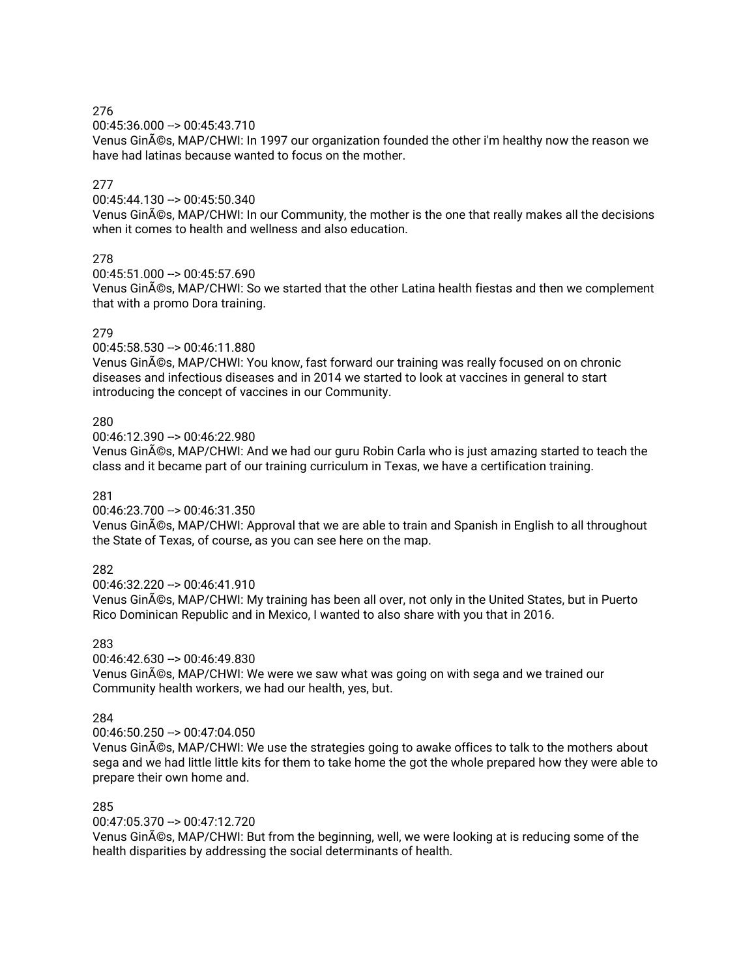00:45:36.000 --> 00:45:43.710

Venus Ginés, MAP/CHWI: In 1997 our organization founded the other i'm healthy now the reason we have had latinas because wanted to focus on the mother.

## 277

00:45:44.130 --> 00:45:50.340

Venus Ginés, MAP/CHWI: In our Community, the mother is the one that really makes all the decisions when it comes to health and wellness and also education.

## 278

00:45:51.000 --> 00:45:57.690

Venus Ginés, MAP/CHWI: So we started that the other Latina health fiestas and then we complement that with a promo Dora training.

### 279

00:45:58.530 --> 00:46:11.880

Venus Ginés, MAP/CHWI: You know, fast forward our training was really focused on on chronic diseases and infectious diseases and in 2014 we started to look at vaccines in general to start introducing the concept of vaccines in our Community.

### 280

00:46:12.390 --> 00:46:22.980

Venus Ginés, MAP/CHWI: And we had our guru Robin Carla who is just amazing started to teach the class and it became part of our training curriculum in Texas, we have a certification training.

### 281

00:46:23.700 --> 00:46:31.350

Venus Ginés, MAP/CHWI: Approval that we are able to train and Spanish in English to all throughout the State of Texas, of course, as you can see here on the map.

## 282

00:46:32.220 --> 00:46:41.910

Venus Ginés, MAP/CHWI: My training has been all over, not only in the United States, but in Puerto Rico Dominican Republic and in Mexico, I wanted to also share with you that in 2016.

## 283

 $00:46:42.630 \rightarrow 00:46:49.830$ 

Venus Ginés, MAP/CHWI: We were we saw what was going on with sega and we trained our Community health workers, we had our health, yes, but.

## 284

00:46:50.250 --> 00:47:04.050

Venus Ginés, MAP/CHWI: We use the strategies going to awake offices to talk to the mothers about sega and we had little little kits for them to take home the got the whole prepared how they were able to prepare their own home and.

## 285

00:47:05.370 --> 00:47:12.720

Venus Ginés, MAP/CHWI: But from the beginning, well, we were looking at is reducing some of the health disparities by addressing the social determinants of health.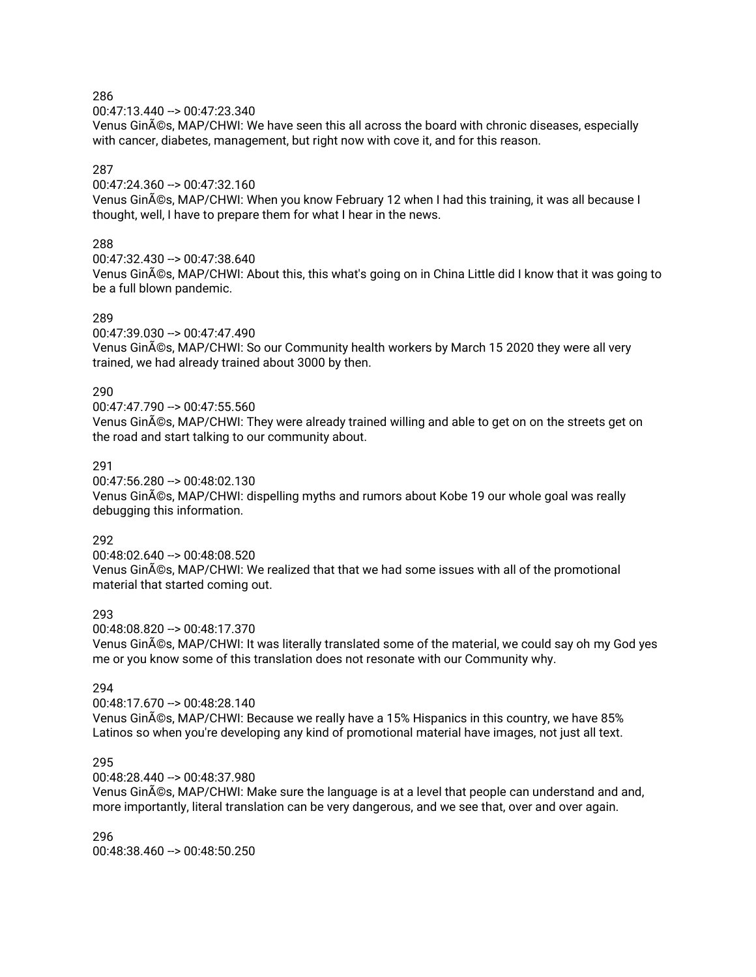00:47:13.440 --> 00:47:23.340

Venus Ginés, MAP/CHWI: We have seen this all across the board with chronic diseases, especially with cancer, diabetes, management, but right now with cove it, and for this reason.

## 287

00:47:24.360 --> 00:47:32.160

Venus Ginés, MAP/CHWI: When you know February 12 when I had this training, it was all because I thought, well, I have to prepare them for what I hear in the news.

### 288

00:47:32.430 --> 00:47:38.640

Venus Ginés, MAP/CHWI: About this, this what's going on in China Little did I know that it was going to be a full blown pandemic.

#### 289

00:47:39.030 --> 00:47:47.490

Venus Ginés, MAP/CHWI: So our Community health workers by March 15 2020 they were all very trained, we had already trained about 3000 by then.

### 290

00:47:47.790 --> 00:47:55.560

Venus Ginés, MAP/CHWI: They were already trained willing and able to get on on the streets get on the road and start talking to our community about.

### 291

00:47:56.280 --> 00:48:02.130

Venus Ginés, MAP/CHWI: dispelling myths and rumors about Kobe 19 our whole goal was really debugging this information.

#### 292

00:48:02.640 --> 00:48:08.520 Venus Ginés, MAP/CHWI: We realized that that we had some issues with all of the promotional material that started coming out.

#### 293

00:48:08.820 --> 00:48:17.370

Venus Ginés, MAP/CHWI: It was literally translated some of the material, we could say oh my God yes me or you know some of this translation does not resonate with our Community why.

#### 294

00:48:17.670 --> 00:48:28.140

Venus Ginés, MAP/CHWI: Because we really have a 15% Hispanics in this country, we have 85% Latinos so when you're developing any kind of promotional material have images, not just all text.

#### 295

00:48:28.440 --> 00:48:37.980

Venus Ginés, MAP/CHWI: Make sure the language is at a level that people can understand and and, more importantly, literal translation can be very dangerous, and we see that, over and over again.

296 00:48:38.460 --> 00:48:50.250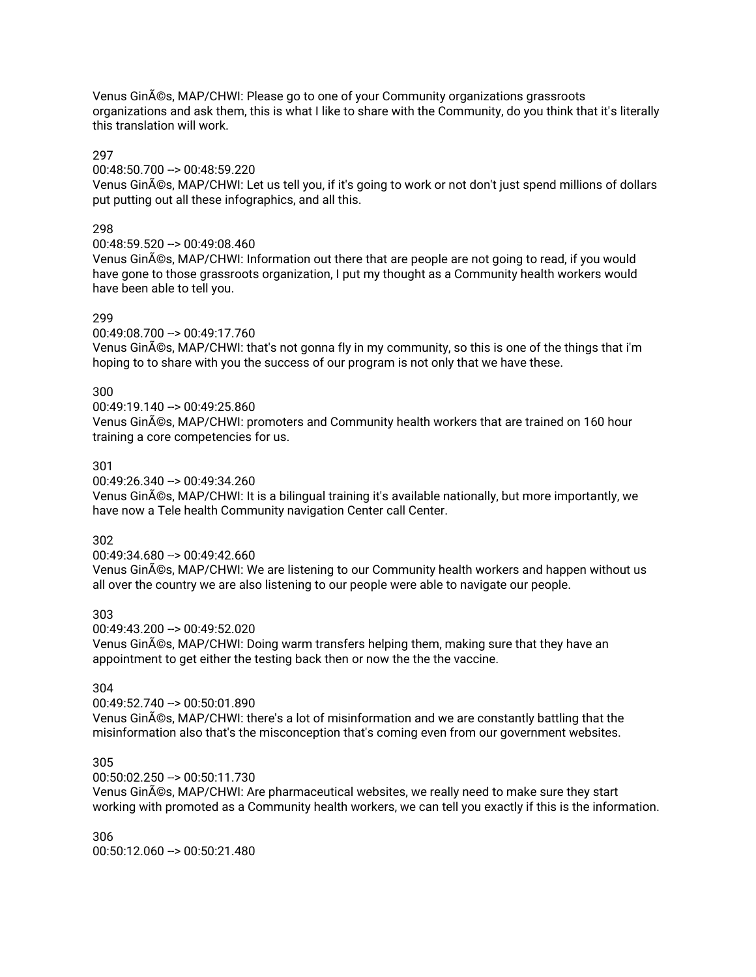Venus Ginés, MAP/CHWI: Please go to one of your Community organizations grassroots organizations and ask them, this is what I like to share with the Community, do you think that it's literally this translation will work.

### 297

### 00:48:50.700 --> 00:48:59.220

Venus Ginés, MAP/CHWI: Let us tell you, if it's going to work or not don't just spend millions of dollars put putting out all these infographics, and all this.

### 298

## 00:48:59.520 --> 00:49:08.460

Venus Ginés, MAP/CHWI: Information out there that are people are not going to read, if you would have gone to those grassroots organization, I put my thought as a Community health workers would have been able to tell you.

### 299

### 00:49:08.700 --> 00:49:17.760

Venus Ginés, MAP/CHWI: that's not gonna fly in my community, so this is one of the things that i'm hoping to to share with you the success of our program is not only that we have these.

### 300

#### 00:49:19.140 --> 00:49:25.860

Venus Ginés, MAP/CHWI: promoters and Community health workers that are trained on 160 hour training a core competencies for us.

### 301

#### 00:49:26.340 --> 00:49:34.260

Venus Ginés, MAP/CHWI: It is a bilingual training it's available nationally, but more importantly, we have now a Tele health Community navigation Center call Center.

#### 302

#### 00:49:34.680 --> 00:49:42.660

Venus Ginés, MAP/CHWI: We are listening to our Community health workers and happen without us all over the country we are also listening to our people were able to navigate our people.

### 303

#### $00:49:43.200 - \geq 00:49:52.020$ Venus Ginés, MAP/CHWI: Doing warm transfers helping them, making sure that they have an appointment to get either the testing back then or now the the the vaccine.

# 304

# 00:49:52.740 --> 00:50:01.890

Venus Ginés, MAP/CHWI: there's a lot of misinformation and we are constantly battling that the misinformation also that's the misconception that's coming even from our government websites.

### 305

## 00:50:02.250 --> 00:50:11.730

Venus Ginés, MAP/CHWI: Are pharmaceutical websites, we really need to make sure they start working with promoted as a Community health workers, we can tell you exactly if this is the information.

### 306  $00:50:12.060 -> 00:50:21.480$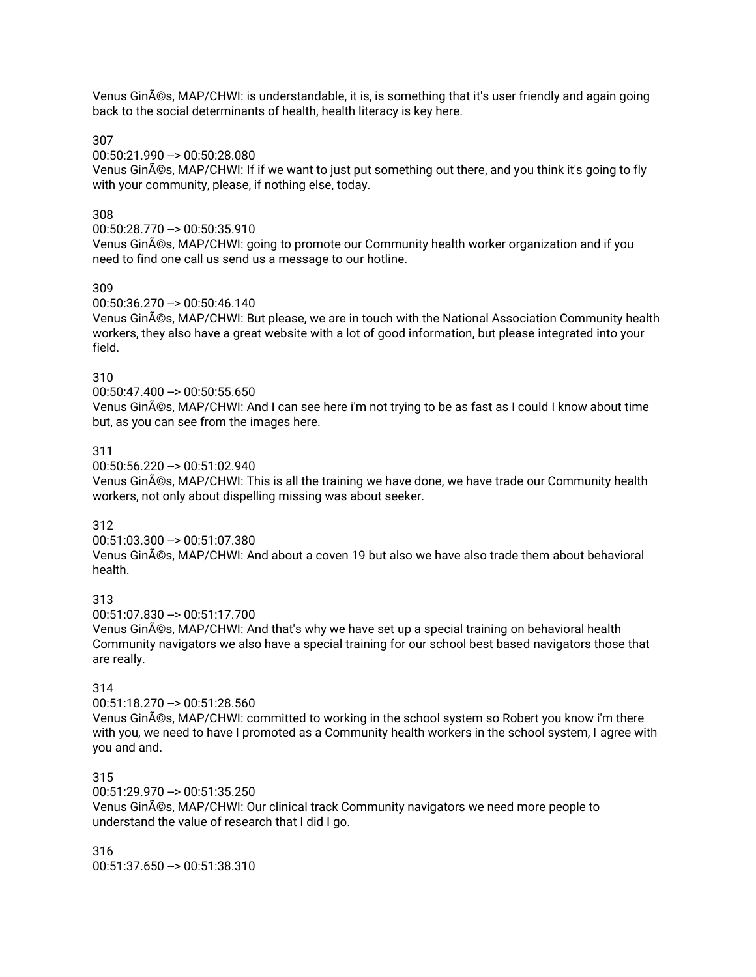Venus Ginés, MAP/CHWI: is understandable, it is, is something that it's user friendly and again going back to the social determinants of health, health literacy is key here.

307

00:50:21.990 --> 00:50:28.080

Venus Ginés, MAP/CHWI: If if we want to just put something out there, and you think it's going to fly with your community, please, if nothing else, today.

### 308

00:50:28.770 --> 00:50:35.910

Venus Ginés, MAP/CHWI: going to promote our Community health worker organization and if you need to find one call us send us a message to our hotline.

#### 309

00:50:36.270 --> 00:50:46.140

Venus Ginés, MAP/CHWI: But please, we are in touch with the National Association Community health workers, they also have a great website with a lot of good information, but please integrated into your field.

### 310

00:50:47.400 --> 00:50:55.650

Venus Ginés, MAP/CHWI: And I can see here i'm not trying to be as fast as I could I know about time but, as you can see from the images here.

#### 311

00:50:56.220 --> 00:51:02.940

Venus Ginés, MAP/CHWI: This is all the training we have done, we have trade our Community health workers, not only about dispelling missing was about seeker.

#### 312

00:51:03.300 --> 00:51:07.380

Venus Ginés, MAP/CHWI: And about a coven 19 but also we have also trade them about behavioral health.

## 313

00:51:07.830 --> 00:51:17.700

Venus Ginés, MAP/CHWI: And that's why we have set up a special training on behavioral health Community navigators we also have a special training for our school best based navigators those that are really.

## 314

00:51:18.270 --> 00:51:28.560

Venus Ginés, MAP/CHWI: committed to working in the school system so Robert you know i'm there with you, we need to have I promoted as a Community health workers in the school system, I agree with you and and.

#### 315

00:51:29.970 --> 00:51:35.250 Venus Ginés, MAP/CHWI: Our clinical track Community navigators we need more people to understand the value of research that I did I go.

316 00:51:37.650 --> 00:51:38.310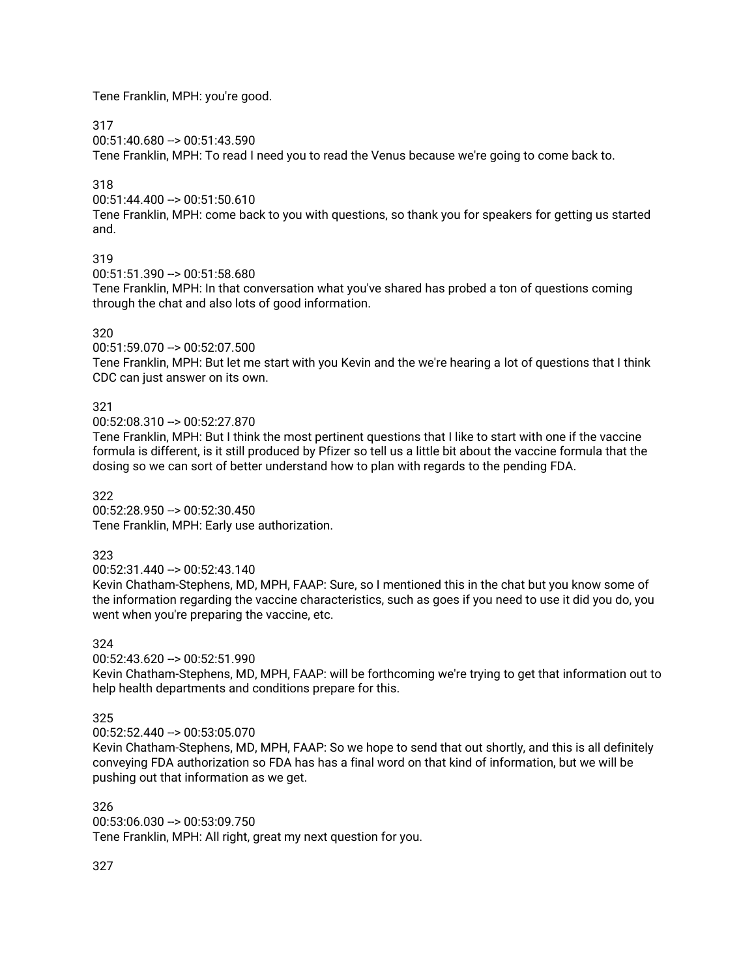Tene Franklin, MPH: you're good.

317

00:51:40.680 --> 00:51:43.590

Tene Franklin, MPH: To read I need you to read the Venus because we're going to come back to.

# 318

00:51:44.400 --> 00:51:50.610

Tene Franklin, MPH: come back to you with questions, so thank you for speakers for getting us started and.

# 319

00:51:51.390 --> 00:51:58.680

Tene Franklin, MPH: In that conversation what you've shared has probed a ton of questions coming through the chat and also lots of good information.

# 320

00:51:59.070 --> 00:52:07.500

Tene Franklin, MPH: But let me start with you Kevin and the we're hearing a lot of questions that I think CDC can just answer on its own.

# 321

00:52:08.310 --> 00:52:27.870

Tene Franklin, MPH: But I think the most pertinent questions that I like to start with one if the vaccine formula is different, is it still produced by Pfizer so tell us a little bit about the vaccine formula that the dosing so we can sort of better understand how to plan with regards to the pending FDA.

## 322

00:52:28.950 --> 00:52:30.450 Tene Franklin, MPH: Early use authorization.

# 323

00:52:31.440 --> 00:52:43.140

Kevin Chatham-Stephens, MD, MPH, FAAP: Sure, so I mentioned this in the chat but you know some of the information regarding the vaccine characteristics, such as goes if you need to use it did you do, you went when you're preparing the vaccine, etc.

# 324

00:52:43.620 --> 00:52:51.990

Kevin Chatham-Stephens, MD, MPH, FAAP: will be forthcoming we're trying to get that information out to help health departments and conditions prepare for this.

# 325

00:52:52.440 --> 00:53:05.070

Kevin Chatham-Stephens, MD, MPH, FAAP: So we hope to send that out shortly, and this is all definitely conveying FDA authorization so FDA has has a final word on that kind of information, but we will be pushing out that information as we get.

326 00:53:06.030 --> 00:53:09.750 Tene Franklin, MPH: All right, great my next question for you.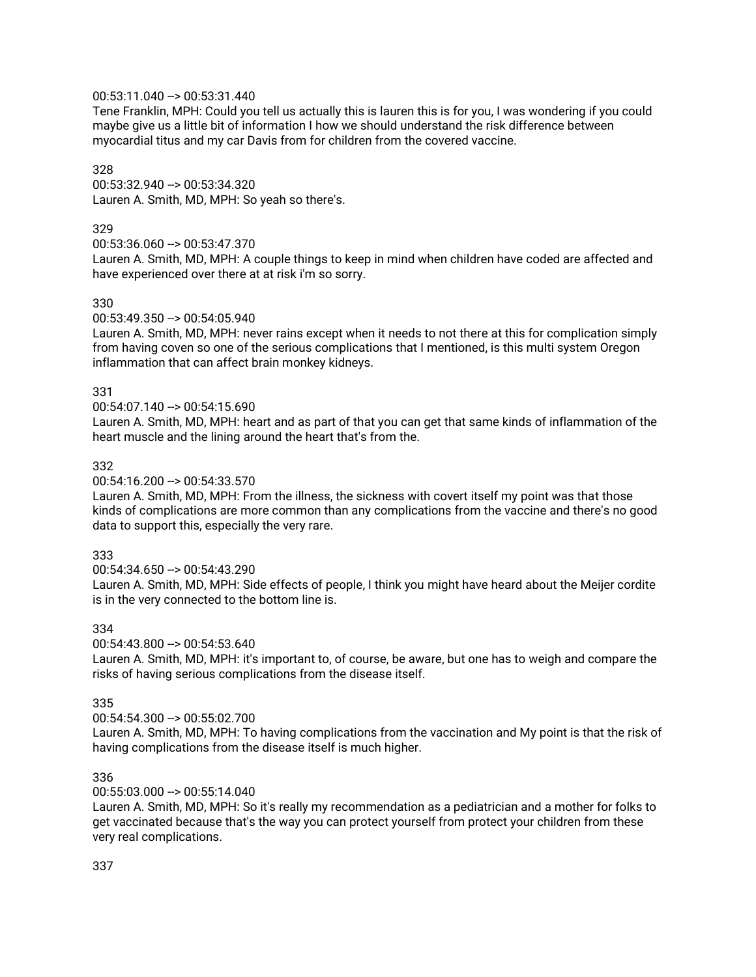## 00:53:11.040 --> 00:53:31.440

Tene Franklin, MPH: Could you tell us actually this is lauren this is for you, I was wondering if you could maybe give us a little bit of information I how we should understand the risk difference between myocardial titus and my car Davis from for children from the covered vaccine.

## 328

00:53:32.940 --> 00:53:34.320 Lauren A. Smith, MD, MPH: So yeah so there's.

#### 329

00:53:36.060 --> 00:53:47.370

Lauren A. Smith, MD, MPH: A couple things to keep in mind when children have coded are affected and have experienced over there at at risk i'm so sorry.

#### 330

#### 00:53:49.350 --> 00:54:05.940

Lauren A. Smith, MD, MPH: never rains except when it needs to not there at this for complication simply from having coven so one of the serious complications that I mentioned, is this multi system Oregon inflammation that can affect brain monkey kidneys.

#### 331

#### 00:54:07.140 --> 00:54:15.690

Lauren A. Smith, MD, MPH: heart and as part of that you can get that same kinds of inflammation of the heart muscle and the lining around the heart that's from the.

#### 332

#### 00:54:16.200 --> 00:54:33.570

Lauren A. Smith, MD, MPH: From the illness, the sickness with covert itself my point was that those kinds of complications are more common than any complications from the vaccine and there's no good data to support this, especially the very rare.

#### 333

#### 00:54:34.650 --> 00:54:43.290

Lauren A. Smith, MD, MPH: Side effects of people, I think you might have heard about the Meijer cordite is in the very connected to the bottom line is.

#### 334

#### 00:54:43.800 --> 00:54:53.640

Lauren A. Smith, MD, MPH: it's important to, of course, be aware, but one has to weigh and compare the risks of having serious complications from the disease itself.

#### 335

#### 00:54:54.300 --> 00:55:02.700

Lauren A. Smith, MD, MPH: To having complications from the vaccination and My point is that the risk of having complications from the disease itself is much higher.

#### 336

#### $00:55:03.000 \rightarrow 00:55:14.040$

Lauren A. Smith, MD, MPH: So it's really my recommendation as a pediatrician and a mother for folks to get vaccinated because that's the way you can protect yourself from protect your children from these very real complications.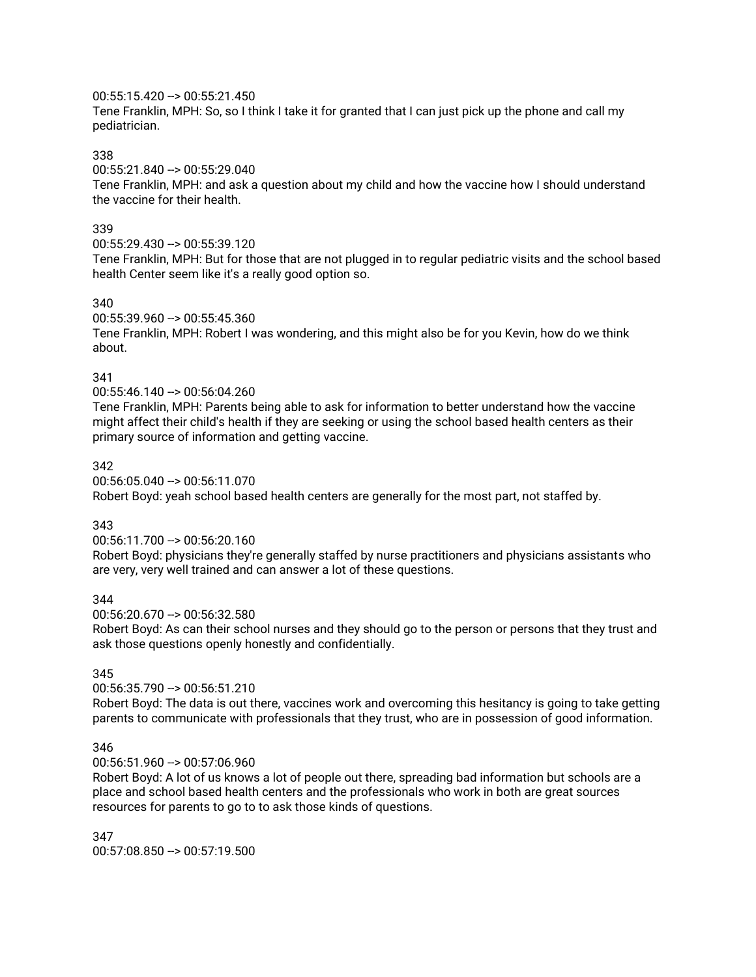### 00:55:15.420 --> 00:55:21.450

Tene Franklin, MPH: So, so I think I take it for granted that I can just pick up the phone and call my pediatrician.

#### 338

#### 00:55:21.840 --> 00:55:29.040

Tene Franklin, MPH: and ask a question about my child and how the vaccine how I should understand the vaccine for their health.

#### 339

#### 00:55:29.430 --> 00:55:39.120

Tene Franklin, MPH: But for those that are not plugged in to regular pediatric visits and the school based health Center seem like it's a really good option so.

#### 340

#### 00:55:39.960 --> 00:55:45.360

Tene Franklin, MPH: Robert I was wondering, and this might also be for you Kevin, how do we think about.

### 341

00:55:46.140 --> 00:56:04.260

Tene Franklin, MPH: Parents being able to ask for information to better understand how the vaccine might affect their child's health if they are seeking or using the school based health centers as their primary source of information and getting vaccine.

#### 342

00:56:05.040 --> 00:56:11.070 Robert Boyd: yeah school based health centers are generally for the most part, not staffed by.

#### 343

#### 00:56:11.700 --> 00:56:20.160

Robert Boyd: physicians they're generally staffed by nurse practitioners and physicians assistants who are very, very well trained and can answer a lot of these questions.

### 344

00:56:20.670 --> 00:56:32.580

Robert Boyd: As can their school nurses and they should go to the person or persons that they trust and ask those questions openly honestly and confidentially.

### 345

 $00:56:35.790 -> 00:56:51.210$ 

Robert Boyd: The data is out there, vaccines work and overcoming this hesitancy is going to take getting parents to communicate with professionals that they trust, who are in possession of good information.

#### 346

 $00:56:51.960 \rightarrow 00:57:06.960$ 

Robert Boyd: A lot of us knows a lot of people out there, spreading bad information but schools are a place and school based health centers and the professionals who work in both are great sources resources for parents to go to to ask those kinds of questions.

347  $00:57:08.850 -> 00:57:19.500$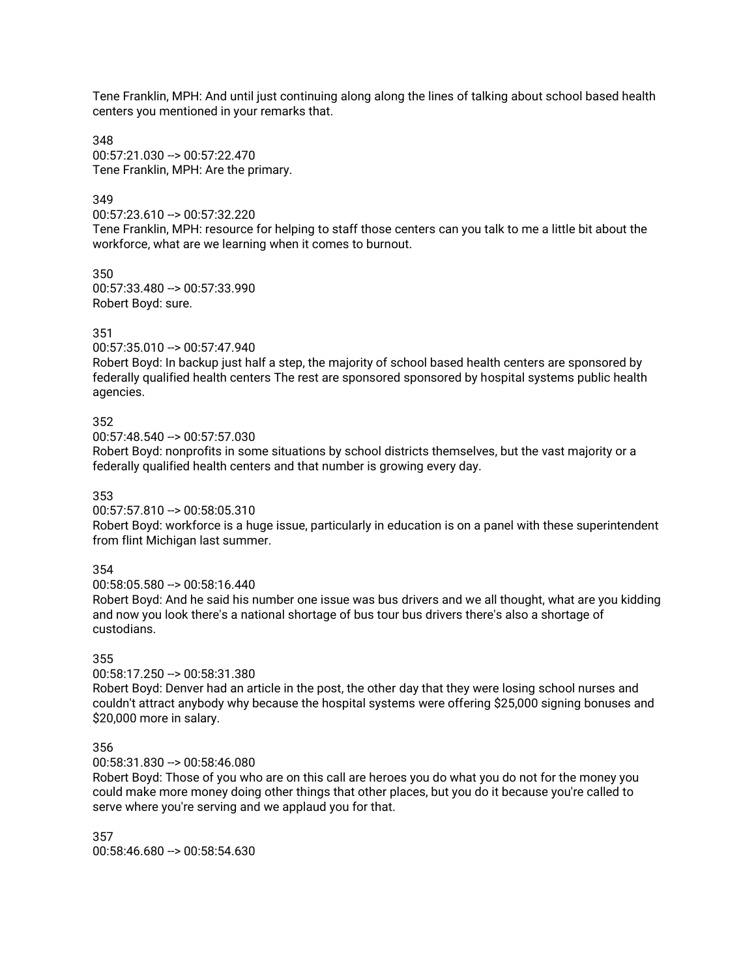Tene Franklin, MPH: And until just continuing along along the lines of talking about school based health centers you mentioned in your remarks that.

348 00:57:21.030 --> 00:57:22.470 Tene Franklin, MPH: Are the primary.

## 349

00:57:23.610 --> 00:57:32.220

Tene Franklin, MPH: resource for helping to staff those centers can you talk to me a little bit about the workforce, what are we learning when it comes to burnout.

350 00:57:33.480 --> 00:57:33.990 Robert Boyd: sure.

### 351

00:57:35.010 --> 00:57:47.940

Robert Boyd: In backup just half a step, the majority of school based health centers are sponsored by federally qualified health centers The rest are sponsored sponsored by hospital systems public health agencies.

### 352

00:57:48.540 --> 00:57:57.030

Robert Boyd: nonprofits in some situations by school districts themselves, but the vast majority or a federally qualified health centers and that number is growing every day.

#### 353

00:57:57.810 --> 00:58:05.310

Robert Boyd: workforce is a huge issue, particularly in education is on a panel with these superintendent from flint Michigan last summer.

## 354

00:58:05.580 --> 00:58:16.440

Robert Boyd: And he said his number one issue was bus drivers and we all thought, what are you kidding and now you look there's a national shortage of bus tour bus drivers there's also a shortage of custodians.

# 355

00:58:17.250 --> 00:58:31.380

Robert Boyd: Denver had an article in the post, the other day that they were losing school nurses and couldn't attract anybody why because the hospital systems were offering \$25,000 signing bonuses and \$20,000 more in salary.

## 356

00:58:31.830 --> 00:58:46.080

Robert Boyd: Those of you who are on this call are heroes you do what you do not for the money you could make more money doing other things that other places, but you do it because you're called to serve where you're serving and we applaud you for that.

357 00:58:46.680 --> 00:58:54.630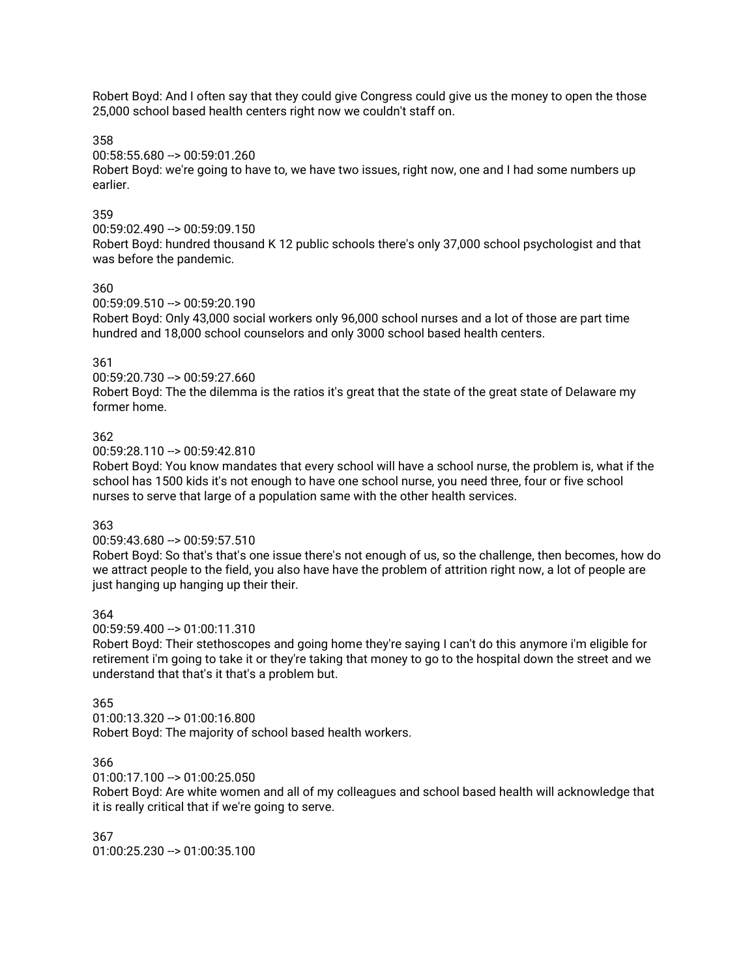Robert Boyd: And I often say that they could give Congress could give us the money to open the those 25,000 school based health centers right now we couldn't staff on.

358

00:58:55.680 --> 00:59:01.260

Robert Boyd: we're going to have to, we have two issues, right now, one and I had some numbers up earlier.

## 359

00:59:02.490 --> 00:59:09.150

Robert Boyd: hundred thousand K 12 public schools there's only 37,000 school psychologist and that was before the pandemic.

### 360

00:59:09.510 --> 00:59:20.190

Robert Boyd: Only 43,000 social workers only 96,000 school nurses and a lot of those are part time hundred and 18,000 school counselors and only 3000 school based health centers.

### 361

00:59:20.730 --> 00:59:27.660

Robert Boyd: The the dilemma is the ratios it's great that the state of the great state of Delaware my former home.

### 362

00:59:28.110 --> 00:59:42.810

Robert Boyd: You know mandates that every school will have a school nurse, the problem is, what if the school has 1500 kids it's not enough to have one school nurse, you need three, four or five school nurses to serve that large of a population same with the other health services.

#### 363

#### 00:59:43.680 --> 00:59:57.510

Robert Boyd: So that's that's one issue there's not enough of us, so the challenge, then becomes, how do we attract people to the field, you also have have the problem of attrition right now, a lot of people are just hanging up hanging up their their.

#### 364

00:59:59.400 --> 01:00:11.310

Robert Boyd: Their stethoscopes and going home they're saying I can't do this anymore i'm eligible for retirement i'm going to take it or they're taking that money to go to the hospital down the street and we understand that that's it that's a problem but.

#### 365

01:00:13.320 --> 01:00:16.800 Robert Boyd: The majority of school based health workers.

#### 366

01:00:17.100 --> 01:00:25.050

Robert Boyd: Are white women and all of my colleagues and school based health will acknowledge that it is really critical that if we're going to serve.

367 01:00:25.230 --> 01:00:35.100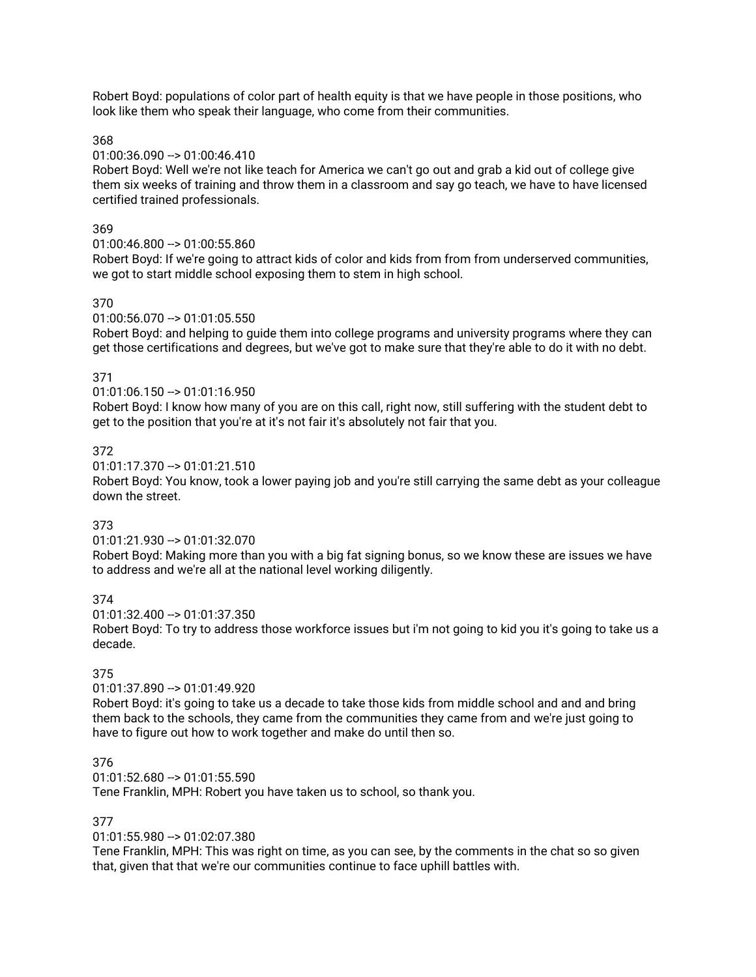Robert Boyd: populations of color part of health equity is that we have people in those positions, who look like them who speak their language, who come from their communities.

368

### 01:00:36.090 --> 01:00:46.410

Robert Boyd: Well we're not like teach for America we can't go out and grab a kid out of college give them six weeks of training and throw them in a classroom and say go teach, we have to have licensed certified trained professionals.

### 369

### 01:00:46.800 --> 01:00:55.860

Robert Boyd: If we're going to attract kids of color and kids from from from underserved communities, we got to start middle school exposing them to stem in high school.

### 370

### $01:00:56.070 \rightarrow 01:01:05.550$

Robert Boyd: and helping to guide them into college programs and university programs where they can get those certifications and degrees, but we've got to make sure that they're able to do it with no debt.

### 371

01:01:06.150 --> 01:01:16.950

Robert Boyd: I know how many of you are on this call, right now, still suffering with the student debt to get to the position that you're at it's not fair it's absolutely not fair that you.

### 372

01:01:17.370 --> 01:01:21.510

Robert Boyd: You know, took a lower paying job and you're still carrying the same debt as your colleague down the street.

## 373

#### 01:01:21.930 --> 01:01:32.070

Robert Boyd: Making more than you with a big fat signing bonus, so we know these are issues we have to address and we're all at the national level working diligently.

## 374

01:01:32.400 --> 01:01:37.350

Robert Boyd: To try to address those workforce issues but i'm not going to kid you it's going to take us a decade.

## 375

 $01:01:37.890 - > 01:01:49.920$ 

Robert Boyd: it's going to take us a decade to take those kids from middle school and and and bring them back to the schools, they came from the communities they came from and we're just going to have to figure out how to work together and make do until then so.

#### 376

01:01:52.680 --> 01:01:55.590

Tene Franklin, MPH: Robert you have taken us to school, so thank you.

## 377

01:01:55.980 --> 01:02:07.380

Tene Franklin, MPH: This was right on time, as you can see, by the comments in the chat so so given that, given that that we're our communities continue to face uphill battles with.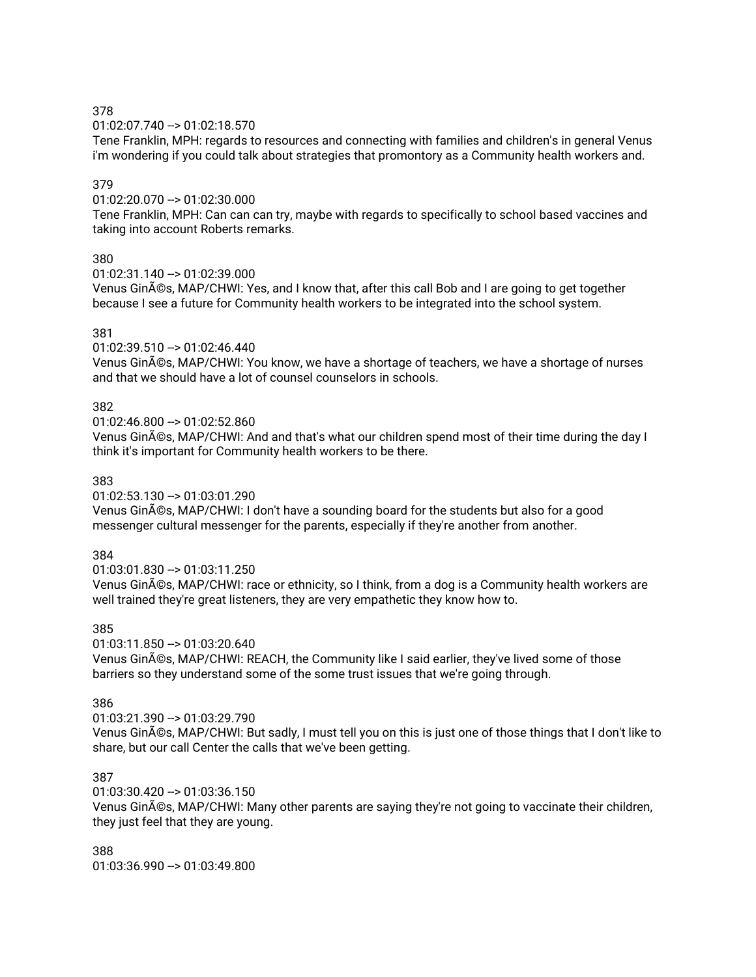01:02:07.740 --> 01:02:18.570

Tene Franklin, MPH: regards to resources and connecting with families and children's in general Venus i'm wondering if you could talk about strategies that promontory as a Community health workers and.

### 379

01:02:20.070 --> 01:02:30.000

Tene Franklin, MPH: Can can can try, maybe with regards to specifically to school based vaccines and taking into account Roberts remarks.

### 380

 $01:02:31.140 -> 01:02:39.000$ 

Venus Ginés, MAP/CHWI: Yes, and I know that, after this call Bob and I are going to get together because I see a future for Community health workers to be integrated into the school system.

### 381

 $01:02:39.510 -> 01:02:46.440$ 

Venus Ginés, MAP/CHWI: You know, we have a shortage of teachers, we have a shortage of nurses and that we should have a lot of counsel counselors in schools.

### 382

 $01:02:46.800 -> 01:02:52.860$ 

Venus Ginés, MAP/CHWI: And and that's what our children spend most of their time during the day I think it's important for Community health workers to be there.

### 383

01:02:53.130 --> 01:03:01.290

Venus Ginés, MAP/CHWI: I don't have a sounding board for the students but also for a good messenger cultural messenger for the parents, especially if they're another from another.

## 384

01:03:01.830 --> 01:03:11.250

Venus Ginés, MAP/CHWI: race or ethnicity, so I think, from a dog is a Community health workers are well trained they're great listeners, they are very empathetic they know how to.

#### 385

 $01:03:11.850 \rightarrow 01:03:20.640$ Venus Ginés, MAP/CHWI: REACH, the Community like I said earlier, they've lived some of those barriers so they understand some of the some trust issues that we're going through.

#### 386

01:03:21.390 --> 01:03:29.790

Venus Ginés, MAP/CHWI: But sadly, I must tell you on this is just one of those things that I don't like to share, but our call Center the calls that we've been getting.

## 387

 $01:03:30.420 - 01:03:36.150$ 

Venus Ginés, MAP/CHWI: Many other parents are saying they're not going to vaccinate their children, they just feel that they are young.

388 01:03:36.990 --> 01:03:49.800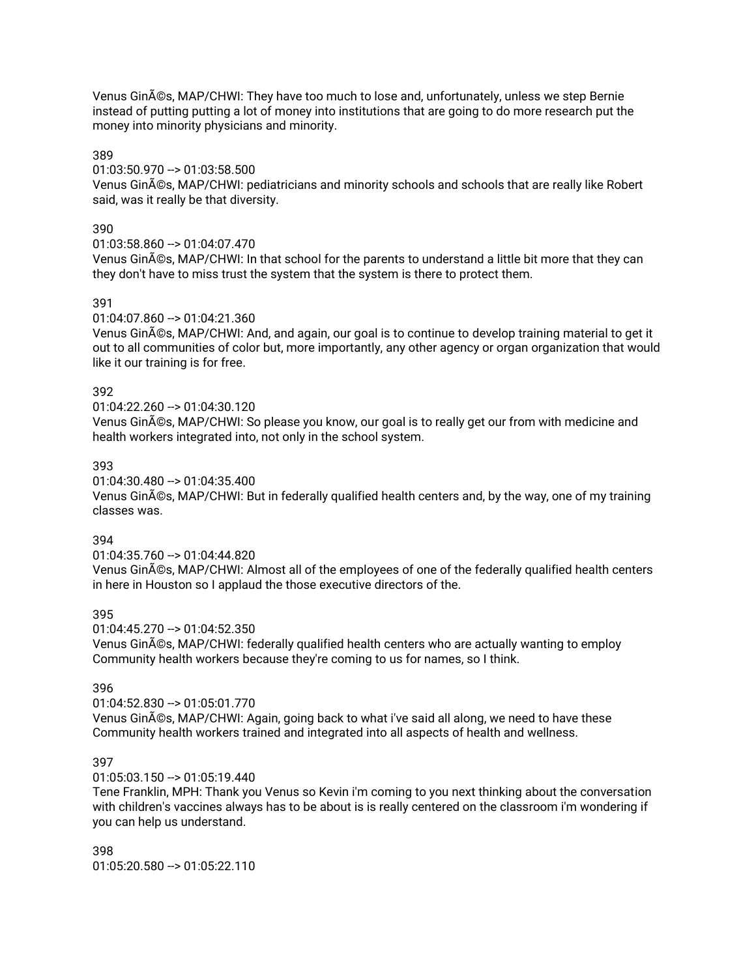Venus Ginés, MAP/CHWI: They have too much to lose and, unfortunately, unless we step Bernie instead of putting putting a lot of money into institutions that are going to do more research put the money into minority physicians and minority.

### 389

### 01:03:50.970 --> 01:03:58.500

Venus Ginés, MAP/CHWI: pediatricians and minority schools and schools that are really like Robert said, was it really be that diversity.

### 390

### 01:03:58.860 --> 01:04:07.470

Venus Ginés, MAP/CHWI: In that school for the parents to understand a little bit more that they can they don't have to miss trust the system that the system is there to protect them.

### 391

### 01:04:07.860 --> 01:04:21.360

Venus Ginés, MAP/CHWI: And, and again, our goal is to continue to develop training material to get it out to all communities of color but, more importantly, any other agency or organ organization that would like it our training is for free.

### 392

#### 01:04:22.260 --> 01:04:30.120

Venus Ginés, MAP/CHWI: So please you know, our goal is to really get our from with medicine and health workers integrated into, not only in the school system.

### 393

#### 01:04:30.480 --> 01:04:35.400

Venus Ginés, MAP/CHWI: But in federally qualified health centers and, by the way, one of my training classes was.

### 394

01:04:35.760 --> 01:04:44.820

Venus Ginés, MAP/CHWI: Almost all of the employees of one of the federally qualified health centers in here in Houston so I applaud the those executive directors of the.

#### 395

 $01:04:45.270 - 01:04:52.350$ 

Venus Ginés, MAP/CHWI: federally qualified health centers who are actually wanting to employ Community health workers because they're coming to us for names, so I think.

#### 396

#### 01:04:52.830 --> 01:05:01.770

Venus Ginés, MAP/CHWI: Again, going back to what i've said all along, we need to have these Community health workers trained and integrated into all aspects of health and wellness.

## 397

#### 01:05:03.150 --> 01:05:19.440

Tene Franklin, MPH: Thank you Venus so Kevin i'm coming to you next thinking about the conversation with children's vaccines always has to be about is is really centered on the classroom i'm wondering if you can help us understand.

398 01:05:20.580 --> 01:05:22.110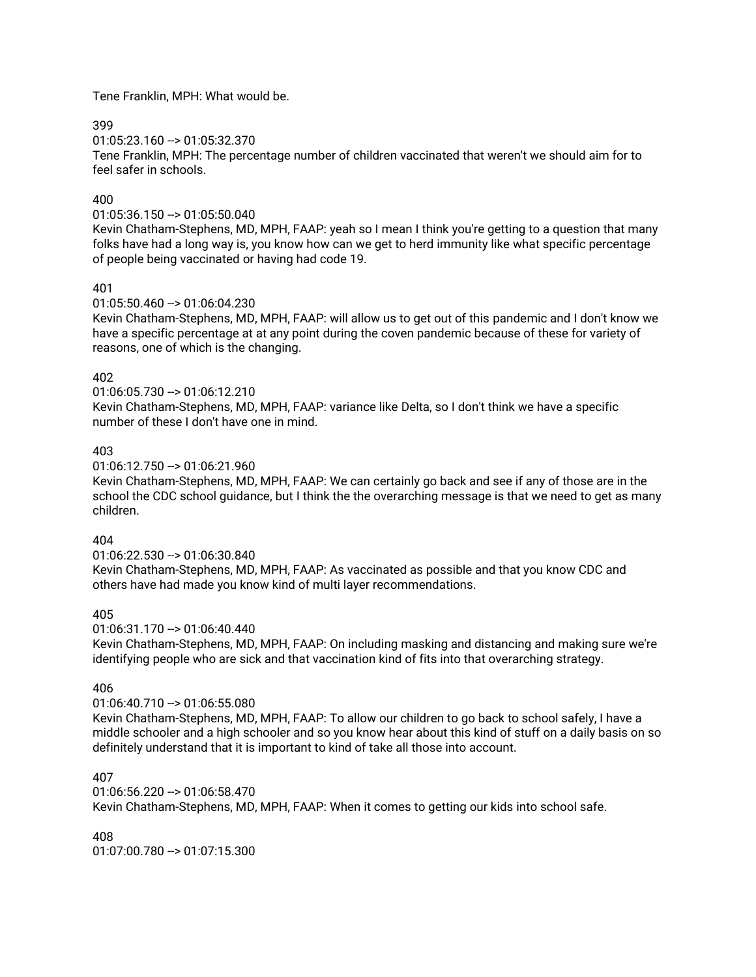Tene Franklin, MPH: What would be.

399

01:05:23.160 --> 01:05:32.370

Tene Franklin, MPH: The percentage number of children vaccinated that weren't we should aim for to feel safer in schools.

### 400

#### 01:05:36.150 --> 01:05:50.040

Kevin Chatham-Stephens, MD, MPH, FAAP: yeah so I mean I think you're getting to a question that many folks have had a long way is, you know how can we get to herd immunity like what specific percentage of people being vaccinated or having had code 19.

### 401

01:05:50.460 --> 01:06:04.230

Kevin Chatham-Stephens, MD, MPH, FAAP: will allow us to get out of this pandemic and I don't know we have a specific percentage at at any point during the coven pandemic because of these for variety of reasons, one of which is the changing.

#### 402

01:06:05.730 --> 01:06:12.210 Kevin Chatham-Stephens, MD, MPH, FAAP: variance like Delta, so I don't think we have a specific number of these I don't have one in mind.

### 403

01:06:12.750 --> 01:06:21.960

Kevin Chatham-Stephens, MD, MPH, FAAP: We can certainly go back and see if any of those are in the school the CDC school guidance, but I think the the overarching message is that we need to get as many children.

## 404

01:06:22.530 --> 01:06:30.840

Kevin Chatham-Stephens, MD, MPH, FAAP: As vaccinated as possible and that you know CDC and others have had made you know kind of multi layer recommendations.

## 405

 $01:06:31.170 \rightarrow 01:06:40.440$ 

Kevin Chatham-Stephens, MD, MPH, FAAP: On including masking and distancing and making sure we're identifying people who are sick and that vaccination kind of fits into that overarching strategy.

#### 406

#### $01:06:40.710 -> 01:06:55.080$

Kevin Chatham-Stephens, MD, MPH, FAAP: To allow our children to go back to school safely, I have a middle schooler and a high schooler and so you know hear about this kind of stuff on a daily basis on so definitely understand that it is important to kind of take all those into account.

## 407

 $01:06:56.220 - 01:06:58.470$ Kevin Chatham-Stephens, MD, MPH, FAAP: When it comes to getting our kids into school safe.

#### 408

 $01:07:00.780 \rightarrow 01:07:15.300$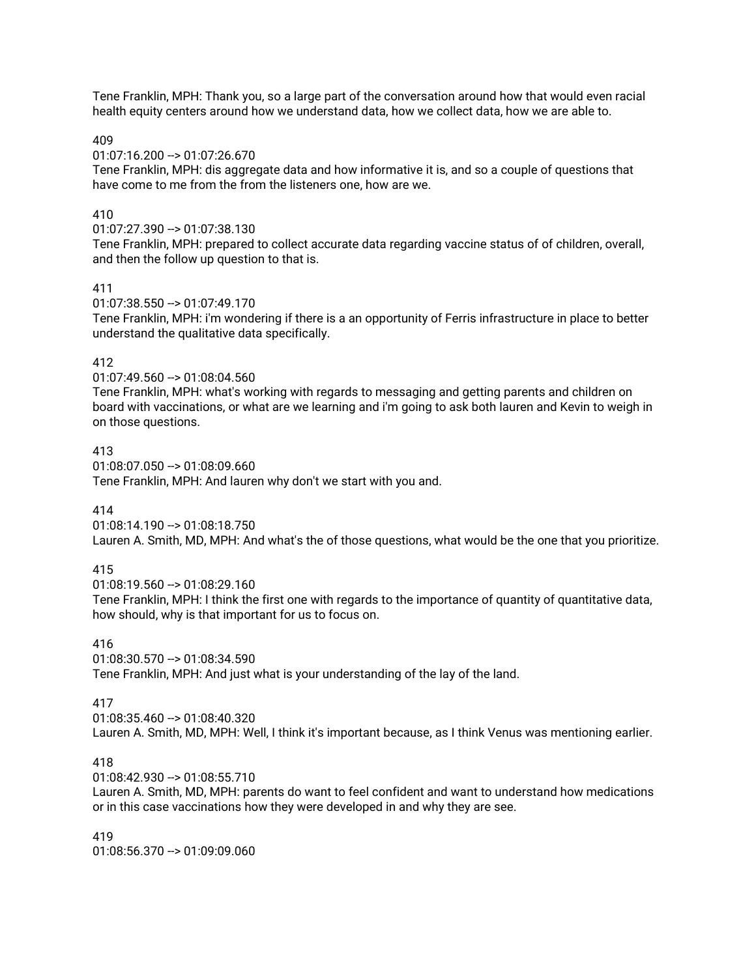Tene Franklin, MPH: Thank you, so a large part of the conversation around how that would even racial health equity centers around how we understand data, how we collect data, how we are able to.

409

01:07:16.200 --> 01:07:26.670

Tene Franklin, MPH: dis aggregate data and how informative it is, and so a couple of questions that have come to me from the from the listeners one, how are we.

## 410

01:07:27.390 --> 01:07:38.130

Tene Franklin, MPH: prepared to collect accurate data regarding vaccine status of of children, overall, and then the follow up question to that is.

### 411

01:07:38.550 --> 01:07:49.170

Tene Franklin, MPH: i'm wondering if there is a an opportunity of Ferris infrastructure in place to better understand the qualitative data specifically.

### 412

01:07:49.560 --> 01:08:04.560

Tene Franklin, MPH: what's working with regards to messaging and getting parents and children on board with vaccinations, or what are we learning and i'm going to ask both lauren and Kevin to weigh in on those questions.

#### 413

01:08:07.050 --> 01:08:09.660 Tene Franklin, MPH: And lauren why don't we start with you and.

## 414

01:08:14.190 --> 01:08:18.750

Lauren A. Smith, MD, MPH: And what's the of those questions, what would be the one that you prioritize.

## 415

 $01:08:19.560 -> 01:08:29.160$ 

Tene Franklin, MPH: I think the first one with regards to the importance of quantity of quantitative data, how should, why is that important for us to focus on.

## 416

01:08:30.570 --> 01:08:34.590

Tene Franklin, MPH: And just what is your understanding of the lay of the land.

#### 417

01:08:35.460 --> 01:08:40.320 Lauren A. Smith, MD, MPH: Well, I think it's important because, as I think Venus was mentioning earlier.

#### 418

01:08:42.930 --> 01:08:55.710

Lauren A. Smith, MD, MPH: parents do want to feel confident and want to understand how medications or in this case vaccinations how they were developed in and why they are see.

419  $01:08:56.370 - > 01:09:09.060$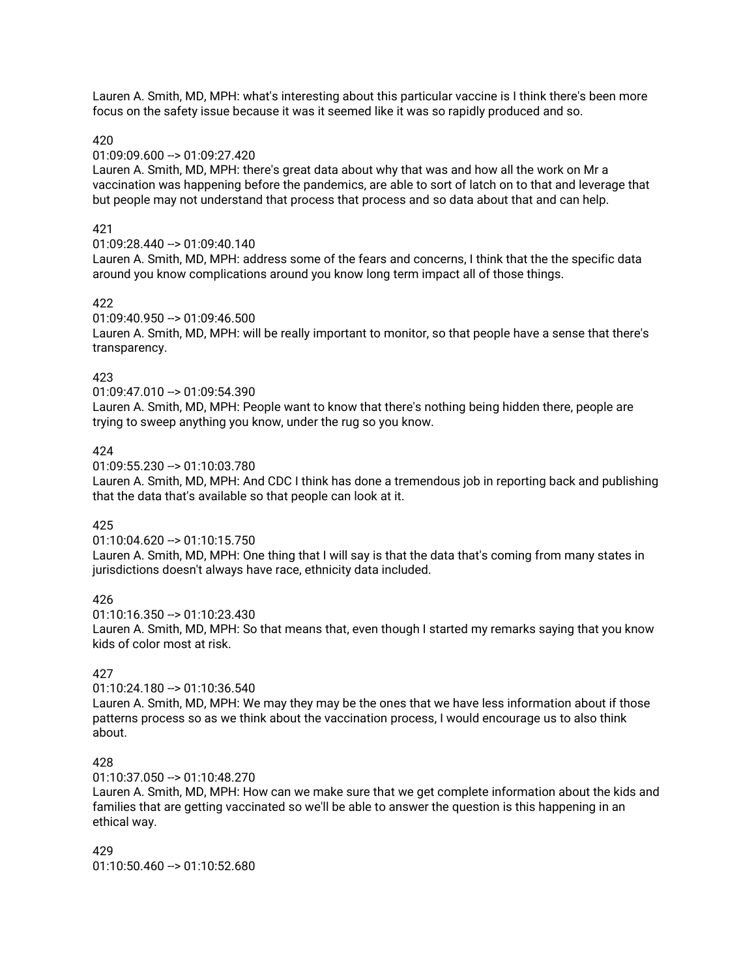Lauren A. Smith, MD, MPH: what's interesting about this particular vaccine is I think there's been more focus on the safety issue because it was it seemed like it was so rapidly produced and so.

#### 420

#### 01:09:09.600 --> 01:09:27.420

Lauren A. Smith, MD, MPH: there's great data about why that was and how all the work on Mr a vaccination was happening before the pandemics, are able to sort of latch on to that and leverage that but people may not understand that process that process and so data about that and can help.

#### 421

#### 01:09:28.440 --> 01:09:40.140

Lauren A. Smith, MD, MPH: address some of the fears and concerns, I think that the the specific data around you know complications around you know long term impact all of those things.

#### 422

#### 01:09:40.950 --> 01:09:46.500

Lauren A. Smith, MD, MPH: will be really important to monitor, so that people have a sense that there's transparency.

#### 423

01:09:47.010 --> 01:09:54.390

Lauren A. Smith, MD, MPH: People want to know that there's nothing being hidden there, people are trying to sweep anything you know, under the rug so you know.

#### 424

01:09:55.230 --> 01:10:03.780

Lauren A. Smith, MD, MPH: And CDC I think has done a tremendous job in reporting back and publishing that the data that's available so that people can look at it.

#### 425

#### 01:10:04.620 --> 01:10:15.750

Lauren A. Smith, MD, MPH: One thing that I will say is that the data that's coming from many states in jurisdictions doesn't always have race, ethnicity data included.

#### 426

 $01:10:16.350 -> 01:10:23.430$ Lauren A. Smith, MD, MPH: So that means that, even though I started my remarks saying that you know kids of color most at risk.

#### 427

01:10:24.180 --> 01:10:36.540 Lauren A. Smith, MD, MPH: We may they may be the ones that we have less information about if those patterns process so as we think about the vaccination process, I would encourage us to also think about.

#### 428

01:10:37.050 --> 01:10:48.270

Lauren A. Smith, MD, MPH: How can we make sure that we get complete information about the kids and families that are getting vaccinated so we'll be able to answer the question is this happening in an ethical way.

429  $01:10:50.460 -> 01:10:52.680$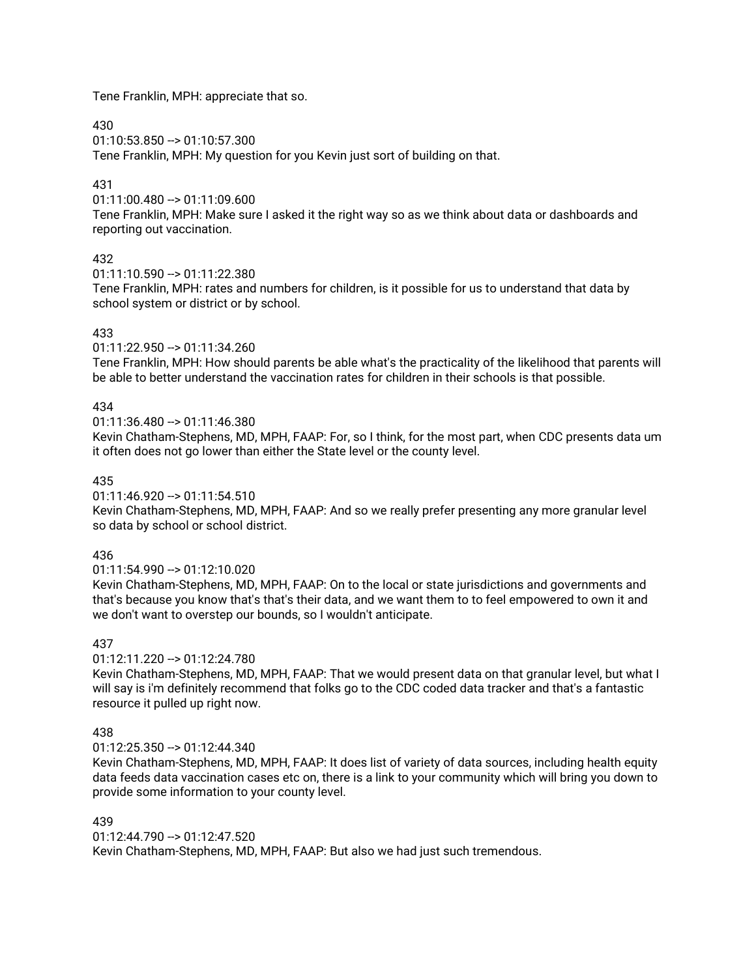Tene Franklin, MPH: appreciate that so.

430

01:10:53.850 --> 01:10:57.300

Tene Franklin, MPH: My question for you Kevin just sort of building on that.

## 431

01:11:00.480 --> 01:11:09.600

Tene Franklin, MPH: Make sure I asked it the right way so as we think about data or dashboards and reporting out vaccination.

## 432

01:11:10.590 --> 01:11:22.380

Tene Franklin, MPH: rates and numbers for children, is it possible for us to understand that data by school system or district or by school.

# 433

01:11:22.950 --> 01:11:34.260

Tene Franklin, MPH: How should parents be able what's the practicality of the likelihood that parents will be able to better understand the vaccination rates for children in their schools is that possible.

# 434

 $01:11:36.480 \rightarrow 01:11:46.380$ 

Kevin Chatham-Stephens, MD, MPH, FAAP: For, so I think, for the most part, when CDC presents data um it often does not go lower than either the State level or the county level.

## 435

01:11:46.920 --> 01:11:54.510

Kevin Chatham-Stephens, MD, MPH, FAAP: And so we really prefer presenting any more granular level so data by school or school district.

## 436

01:11:54.990 --> 01:12:10.020

Kevin Chatham-Stephens, MD, MPH, FAAP: On to the local or state jurisdictions and governments and that's because you know that's that's their data, and we want them to to feel empowered to own it and we don't want to overstep our bounds, so I wouldn't anticipate.

## 437

01:12:11.220 --> 01:12:24.780

Kevin Chatham-Stephens, MD, MPH, FAAP: That we would present data on that granular level, but what I will say is i'm definitely recommend that folks go to the CDC coded data tracker and that's a fantastic resource it pulled up right now.

# 438

01:12:25.350 --> 01:12:44.340

Kevin Chatham-Stephens, MD, MPH, FAAP: It does list of variety of data sources, including health equity data feeds data vaccination cases etc on, there is a link to your community which will bring you down to provide some information to your county level.

## 439

01:12:44.790 --> 01:12:47.520 Kevin Chatham-Stephens, MD, MPH, FAAP: But also we had just such tremendous.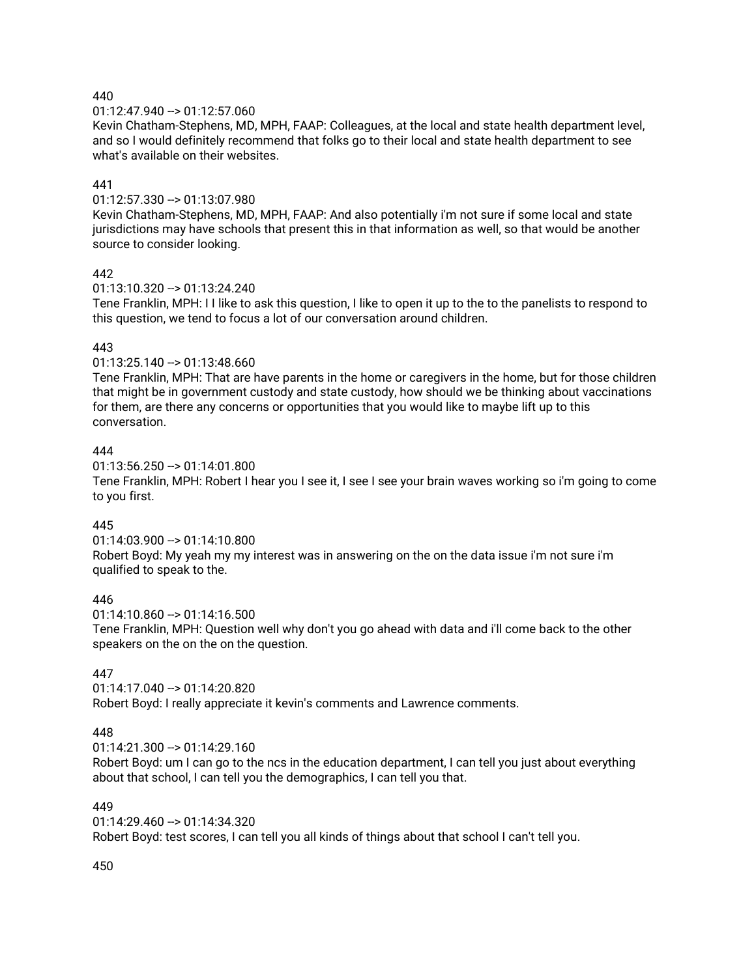01:12:47.940 --> 01:12:57.060

Kevin Chatham-Stephens, MD, MPH, FAAP: Colleagues, at the local and state health department level, and so I would definitely recommend that folks go to their local and state health department to see what's available on their websites.

## 441

01:12:57.330 --> 01:13:07.980

Kevin Chatham-Stephens, MD, MPH, FAAP: And also potentially i'm not sure if some local and state jurisdictions may have schools that present this in that information as well, so that would be another source to consider looking.

## 442

01:13:10.320 --> 01:13:24.240

Tene Franklin, MPH: I I like to ask this question, I like to open it up to the to the panelists to respond to this question, we tend to focus a lot of our conversation around children.

# 443

01:13:25.140 --> 01:13:48.660

Tene Franklin, MPH: That are have parents in the home or caregivers in the home, but for those children that might be in government custody and state custody, how should we be thinking about vaccinations for them, are there any concerns or opportunities that you would like to maybe lift up to this conversation.

## 444

01:13:56.250 --> 01:14:01.800

Tene Franklin, MPH: Robert I hear you I see it, I see I see your brain waves working so i'm going to come to you first.

# 445

01:14:03.900 --> 01:14:10.800 Robert Boyd: My yeah my my interest was in answering on the on the data issue i'm not sure i'm qualified to speak to the.

## 446

 $01:14:10.860 \rightarrow 01:14:16.500$ Tene Franklin, MPH: Question well why don't you go ahead with data and i'll come back to the other speakers on the on the on the question.

# 447

01:14:17.040 --> 01:14:20.820 Robert Boyd: I really appreciate it kevin's comments and Lawrence comments.

# 448

01:14:21.300 --> 01:14:29.160

Robert Boyd: um I can go to the ncs in the education department, I can tell you just about everything about that school, I can tell you the demographics, I can tell you that.

## 449

01:14:29.460 --> 01:14:34.320 Robert Boyd: test scores, I can tell you all kinds of things about that school I can't tell you.

450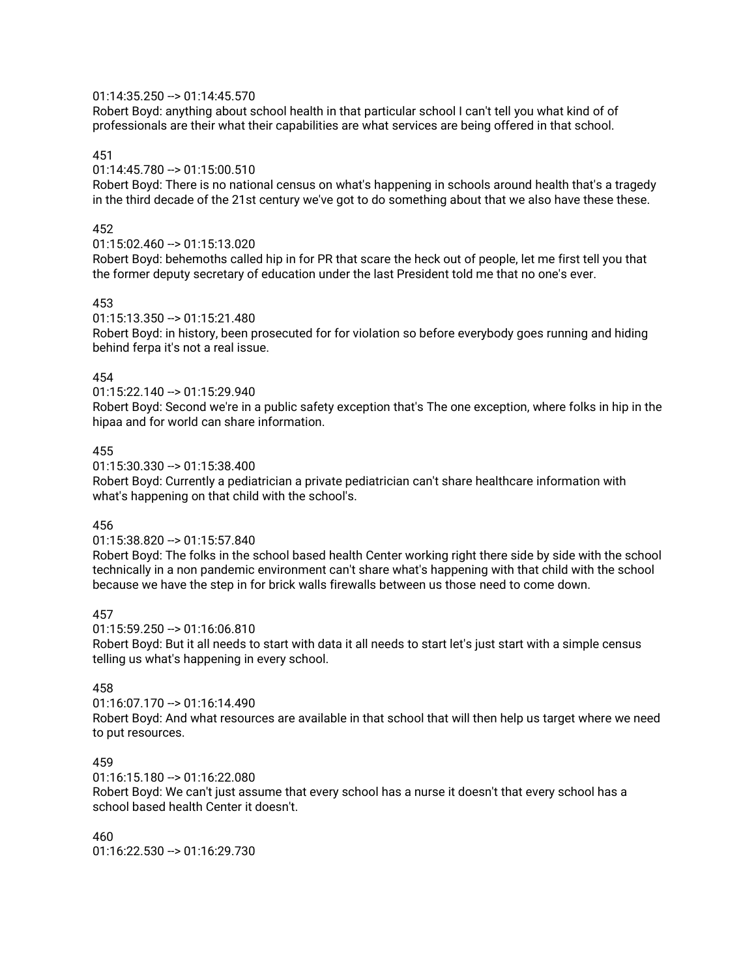### 01:14:35.250 --> 01:14:45.570

Robert Boyd: anything about school health in that particular school I can't tell you what kind of of professionals are their what their capabilities are what services are being offered in that school.

### 451

### 01:14:45.780 --> 01:15:00.510

Robert Boyd: There is no national census on what's happening in schools around health that's a tragedy in the third decade of the 21st century we've got to do something about that we also have these these.

### 452

#### 01:15:02.460 --> 01:15:13.020

Robert Boyd: behemoths called hip in for PR that scare the heck out of people, let me first tell you that the former deputy secretary of education under the last President told me that no one's ever.

### 453

#### 01:15:13.350 --> 01:15:21.480

Robert Boyd: in history, been prosecuted for for violation so before everybody goes running and hiding behind ferpa it's not a real issue.

### 454

01:15:22.140 --> 01:15:29.940

Robert Boyd: Second we're in a public safety exception that's The one exception, where folks in hip in the hipaa and for world can share information.

### 455

01:15:30.330 --> 01:15:38.400

Robert Boyd: Currently a pediatrician a private pediatrician can't share healthcare information with what's happening on that child with the school's.

#### 456

#### 01:15:38.820 --> 01:15:57.840

Robert Boyd: The folks in the school based health Center working right there side by side with the school technically in a non pandemic environment can't share what's happening with that child with the school because we have the step in for brick walls firewalls between us those need to come down.

#### 457

 $01:15:59.250 \rightarrow 01:16:06.810$ 

Robert Boyd: But it all needs to start with data it all needs to start let's just start with a simple census telling us what's happening in every school.

#### 458

01:16:07.170 --> 01:16:14.490

Robert Boyd: And what resources are available in that school that will then help us target where we need to put resources.

#### 459

01:16:15.180 --> 01:16:22.080

Robert Boyd: We can't just assume that every school has a nurse it doesn't that every school has a school based health Center it doesn't.

460  $01:16:22.530 \rightarrow 01:16:29.730$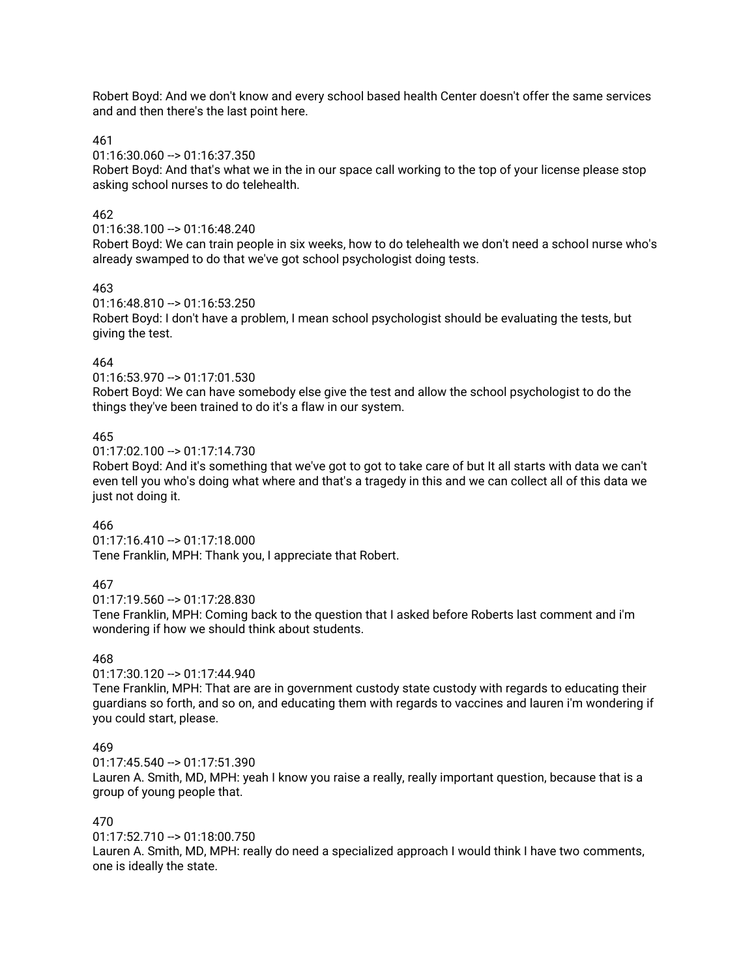Robert Boyd: And we don't know and every school based health Center doesn't offer the same services and and then there's the last point here.

#### 461

01:16:30.060 --> 01:16:37.350

Robert Boyd: And that's what we in the in our space call working to the top of your license please stop asking school nurses to do telehealth.

### 462

#### 01:16:38.100 --> 01:16:48.240

Robert Boyd: We can train people in six weeks, how to do telehealth we don't need a school nurse who's already swamped to do that we've got school psychologist doing tests.

#### 463

 $01:16:48.810 -> 01:16:53.250$ 

Robert Boyd: I don't have a problem, I mean school psychologist should be evaluating the tests, but giving the test.

#### 464

01:16:53.970 --> 01:17:01.530

Robert Boyd: We can have somebody else give the test and allow the school psychologist to do the things they've been trained to do it's a flaw in our system.

### 465

01:17:02.100 --> 01:17:14.730

Robert Boyd: And it's something that we've got to got to take care of but It all starts with data we can't even tell you who's doing what where and that's a tragedy in this and we can collect all of this data we just not doing it.

#### 466

01:17:16.410 --> 01:17:18.000 Tene Franklin, MPH: Thank you, I appreciate that Robert.

## 467

 $01:17:19.560 \rightarrow 01:17:28.830$ 

Tene Franklin, MPH: Coming back to the question that I asked before Roberts last comment and i'm wondering if how we should think about students.

#### 468

01:17:30.120 --> 01:17:44.940

Tene Franklin, MPH: That are are in government custody state custody with regards to educating their guardians so forth, and so on, and educating them with regards to vaccines and lauren i'm wondering if you could start, please.

### 469

 $01:17:45.540 \rightarrow 01:17:51.390$ 

Lauren A. Smith, MD, MPH: yeah I know you raise a really, really important question, because that is a group of young people that.

### 470

01:17:52.710 --> 01:18:00.750 Lauren A. Smith, MD, MPH: really do need a specialized approach I would think I have two comments, one is ideally the state.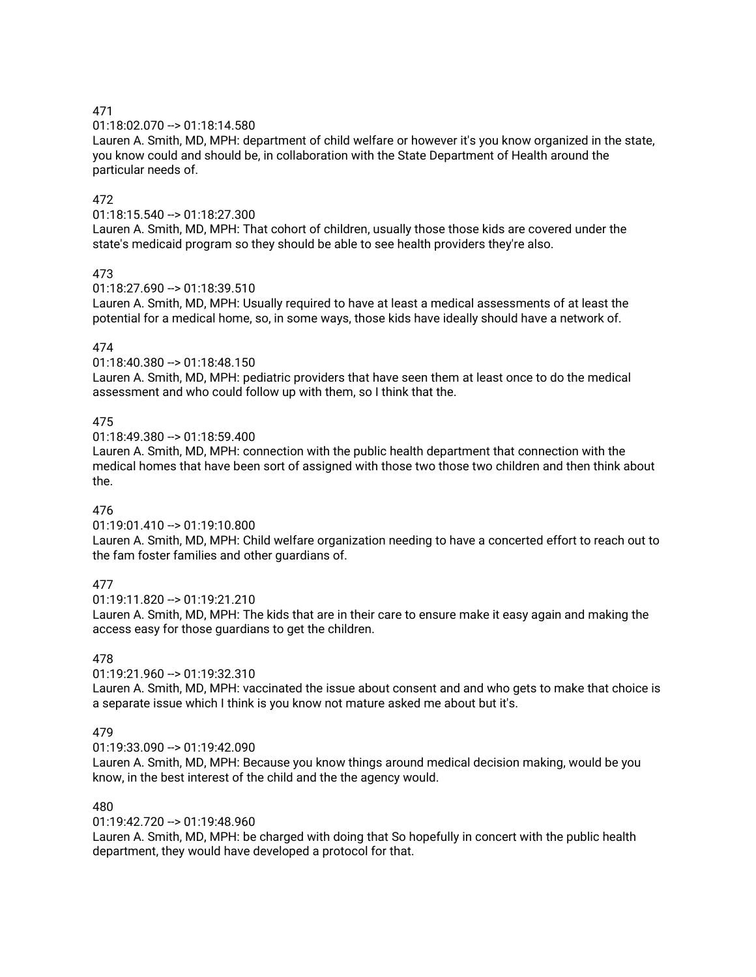01:18:02.070 --> 01:18:14.580

Lauren A. Smith, MD, MPH: department of child welfare or however it's you know organized in the state, you know could and should be, in collaboration with the State Department of Health around the particular needs of.

## 472

01:18:15.540 --> 01:18:27.300

Lauren A. Smith, MD, MPH: That cohort of children, usually those those kids are covered under the state's medicaid program so they should be able to see health providers they're also.

## 473

01:18:27.690 --> 01:18:39.510

Lauren A. Smith, MD, MPH: Usually required to have at least a medical assessments of at least the potential for a medical home, so, in some ways, those kids have ideally should have a network of.

## 474

01:18:40.380 --> 01:18:48.150

Lauren A. Smith, MD, MPH: pediatric providers that have seen them at least once to do the medical assessment and who could follow up with them, so I think that the.

## 475

01:18:49.380 --> 01:18:59.400

Lauren A. Smith, MD, MPH: connection with the public health department that connection with the medical homes that have been sort of assigned with those two those two children and then think about the.

## 476

01:19:01.410 --> 01:19:10.800

Lauren A. Smith, MD, MPH: Child welfare organization needing to have a concerted effort to reach out to the fam foster families and other guardians of.

## 477

 $01:19:11.820 \rightarrow 01:19:21.210$ 

Lauren A. Smith, MD, MPH: The kids that are in their care to ensure make it easy again and making the access easy for those guardians to get the children.

## 478

01:19:21.960 --> 01:19:32.310

Lauren A. Smith, MD, MPH: vaccinated the issue about consent and and who gets to make that choice is a separate issue which I think is you know not mature asked me about but it's.

## 479

01:19:33.090 --> 01:19:42.090

Lauren A. Smith, MD, MPH: Because you know things around medical decision making, would be you know, in the best interest of the child and the the agency would.

## 480

01:19:42.720 --> 01:19:48.960

Lauren A. Smith, MD, MPH: be charged with doing that So hopefully in concert with the public health department, they would have developed a protocol for that.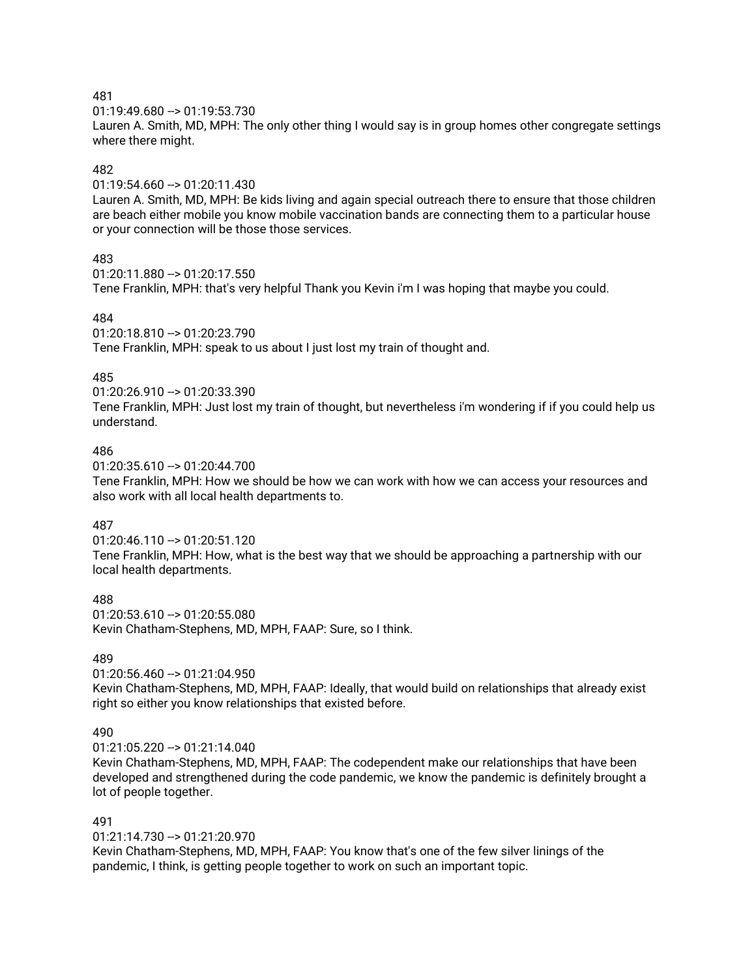01:19:49.680 --> 01:19:53.730

Lauren A. Smith, MD, MPH: The only other thing I would say is in group homes other congregate settings where there might.

## 482

01:19:54.660 --> 01:20:11.430

Lauren A. Smith, MD, MPH: Be kids living and again special outreach there to ensure that those children are beach either mobile you know mobile vaccination bands are connecting them to a particular house or your connection will be those those services.

### 483

01:20:11.880 --> 01:20:17.550

Tene Franklin, MPH: that's very helpful Thank you Kevin i'm I was hoping that maybe you could.

### 484

01:20:18.810 --> 01:20:23.790

Tene Franklin, MPH: speak to us about I just lost my train of thought and.

## 485

01:20:26.910 --> 01:20:33.390

Tene Franklin, MPH: Just lost my train of thought, but nevertheless i'm wondering if if you could help us understand.

### 486

01:20:35.610 --> 01:20:44.700

Tene Franklin, MPH: How we should be how we can work with how we can access your resources and also work with all local health departments to.

## 487

01:20:46.110 --> 01:20:51.120 Tene Franklin, MPH: How, what is the best way that we should be approaching a partnership with our local health departments.

488

01:20:53.610 --> 01:20:55.080 Kevin Chatham-Stephens, MD, MPH, FAAP: Sure, so I think.

# 489

 $01:20:56.460 -> 01:21:04.950$ 

Kevin Chatham-Stephens, MD, MPH, FAAP: Ideally, that would build on relationships that already exist right so either you know relationships that existed before.

## 490

01:21:05.220 --> 01:21:14.040

Kevin Chatham-Stephens, MD, MPH, FAAP: The codependent make our relationships that have been developed and strengthened during the code pandemic, we know the pandemic is definitely brought a lot of people together.

# 491

01:21:14.730 --> 01:21:20.970 Kevin Chatham-Stephens, MD, MPH, FAAP: You know that's one of the few silver linings of the pandemic, I think, is getting people together to work on such an important topic.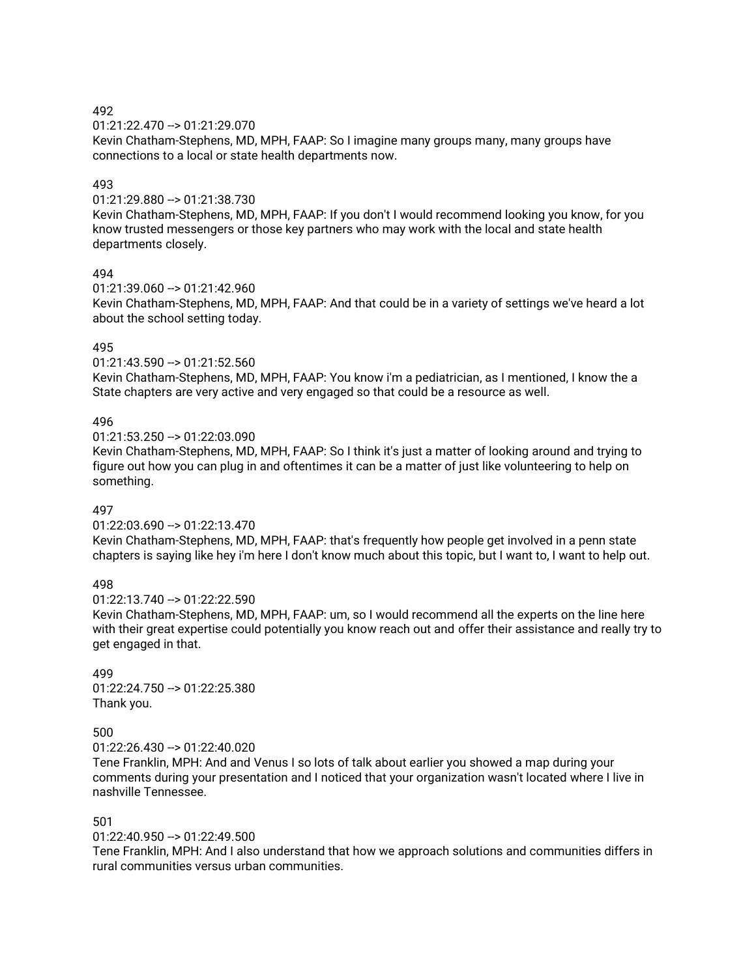01:21:22.470 --> 01:21:29.070

Kevin Chatham-Stephens, MD, MPH, FAAP: So I imagine many groups many, many groups have connections to a local or state health departments now.

### 493

01:21:29.880 --> 01:21:38.730

Kevin Chatham-Stephens, MD, MPH, FAAP: If you don't I would recommend looking you know, for you know trusted messengers or those key partners who may work with the local and state health departments closely.

### 494

01:21:39.060 --> 01:21:42.960 Kevin Chatham-Stephens, MD, MPH, FAAP: And that could be in a variety of settings we've heard a lot about the school setting today.

### 495

01:21:43.590 --> 01:21:52.560

Kevin Chatham-Stephens, MD, MPH, FAAP: You know i'm a pediatrician, as I mentioned, I know the a State chapters are very active and very engaged so that could be a resource as well.

### 496

01:21:53.250 --> 01:22:03.090

Kevin Chatham-Stephens, MD, MPH, FAAP: So I think it's just a matter of looking around and trying to figure out how you can plug in and oftentimes it can be a matter of just like volunteering to help on something.

## 497

01:22:03.690 --> 01:22:13.470 Kevin Chatham-Stephens, MD, MPH, FAAP: that's frequently how people get involved in a penn state chapters is saying like hey i'm here I don't know much about this topic, but I want to, I want to help out.

### 498

 $01:22:13.740 \rightarrow 01:22:22.590$ 

Kevin Chatham-Stephens, MD, MPH, FAAP: um, so I would recommend all the experts on the line here with their great expertise could potentially you know reach out and offer their assistance and really try to get engaged in that.

#### 499 01:22:24.750 --> 01:22:25.380 Thank you.

## 500

01:22:26.430 --> 01:22:40.020

Tene Franklin, MPH: And and Venus I so lots of talk about earlier you showed a map during your comments during your presentation and I noticed that your organization wasn't located where I live in nashville Tennessee.

# 501

01:22:40.950 --> 01:22:49.500

Tene Franklin, MPH: And I also understand that how we approach solutions and communities differs in rural communities versus urban communities.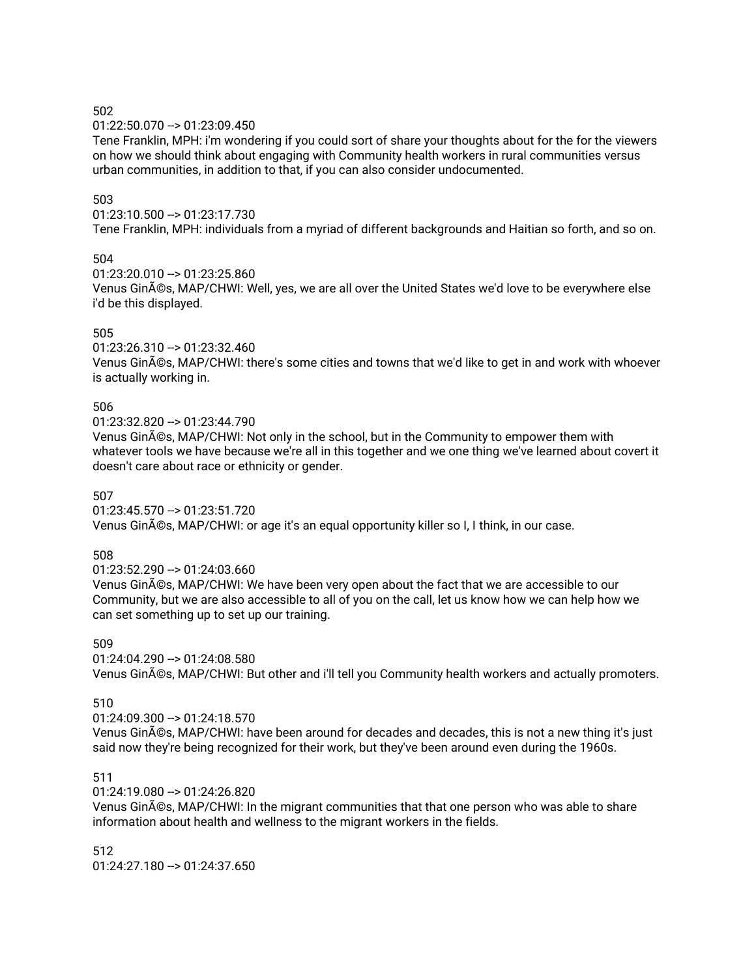#### 01:22:50.070 --> 01:23:09.450

Tene Franklin, MPH: i'm wondering if you could sort of share your thoughts about for the for the viewers on how we should think about engaging with Community health workers in rural communities versus urban communities, in addition to that, if you can also consider undocumented.

#### 503

#### 01:23:10.500 --> 01:23:17.730

Tene Franklin, MPH: individuals from a myriad of different backgrounds and Haitian so forth, and so on.

### 504

01:23:20.010 --> 01:23:25.860

Venus Ginés, MAP/CHWI: Well, yes, we are all over the United States we'd love to be everywhere else i'd be this displayed.

### 505

01:23:26.310 --> 01:23:32.460 Venus Ginés, MAP/CHWI: there's some cities and towns that we'd like to get in and work with whoever is actually working in.

#### 506

01:23:32.820 --> 01:23:44.790

Venus Ginés, MAP/CHWI: Not only in the school, but in the Community to empower them with whatever tools we have because we're all in this together and we one thing we've learned about covert it doesn't care about race or ethnicity or gender.

#### 507

01:23:45.570 --> 01:23:51.720 Venus Ginés, MAP/CHWI: or age it's an equal opportunity killer so I, I think, in our case.

#### 508

01:23:52.290 --> 01:24:03.660

Venus Ginés, MAP/CHWI: We have been very open about the fact that we are accessible to our Community, but we are also accessible to all of you on the call, let us know how we can help how we can set something up to set up our training.

#### 509

 $01:24:04.290 - 01:24:08.580$ 

Venus Ginés, MAP/CHWI: But other and i'll tell you Community health workers and actually promoters.

#### 510

01:24:09.300 --> 01:24:18.570

Venus Ginés, MAP/CHWI: have been around for decades and decades, this is not a new thing it's just said now they're being recognized for their work, but they've been around even during the 1960s.

#### 511

01:24:19.080 --> 01:24:26.820

Venus Ginés, MAP/CHWI: In the migrant communities that that one person who was able to share information about health and wellness to the migrant workers in the fields.

#### 512 01:24:27.180 --> 01:24:37.650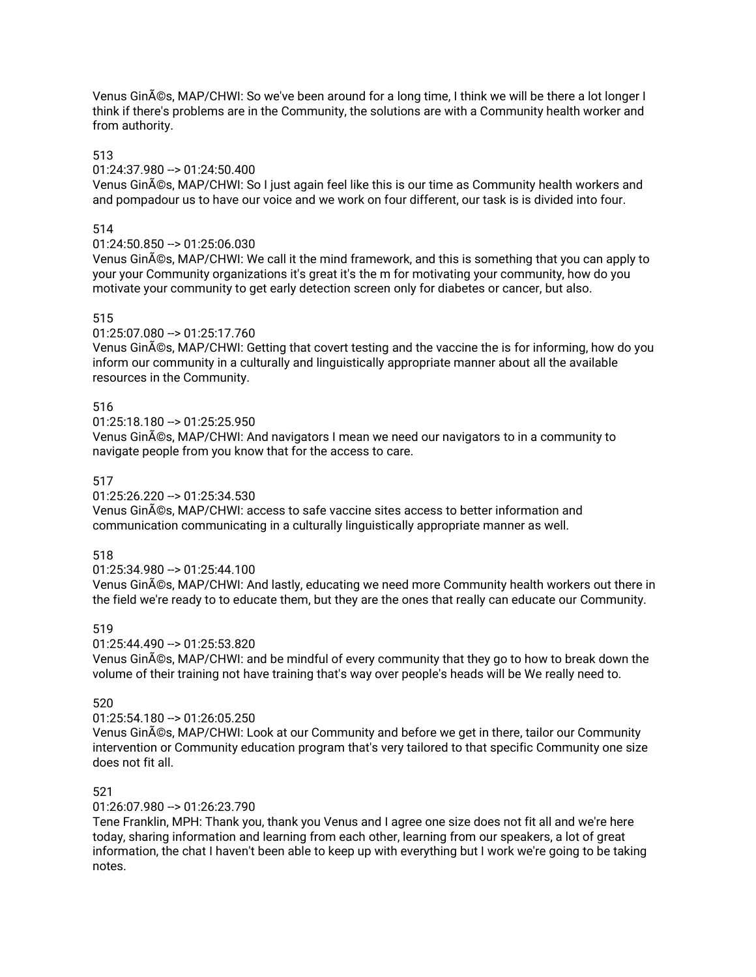Venus Ginés, MAP/CHWI: So we've been around for a long time, I think we will be there a lot longer I think if there's problems are in the Community, the solutions are with a Community health worker and from authority.

### 513

# 01:24:37.980 --> 01:24:50.400

Venus Ginés, MAP/CHWI: So I just again feel like this is our time as Community health workers and and pompadour us to have our voice and we work on four different, our task is is divided into four.

### 514

#### 01:24:50.850 --> 01:25:06.030

Venus Ginés, MAP/CHWI: We call it the mind framework, and this is something that you can apply to your your Community organizations it's great it's the m for motivating your community, how do you motivate your community to get early detection screen only for diabetes or cancer, but also.

### 515

### 01:25:07.080 --> 01:25:17.760

Venus Ginés, MAP/CHWI: Getting that covert testing and the vaccine the is for informing, how do you inform our community in a culturally and linguistically appropriate manner about all the available resources in the Community.

### 516

 $01:25:18.180 - > 01:25:25.950$ 

Venus Ginés, MAP/CHWI: And navigators I mean we need our navigators to in a community to navigate people from you know that for the access to care.

### 517

### 01:25:26.220 --> 01:25:34.530

Venus Ginés, MAP/CHWI: access to safe vaccine sites access to better information and communication communicating in a culturally linguistically appropriate manner as well.

## 518

#### 01:25:34.980 --> 01:25:44.100

Venus Ginés, MAP/CHWI: And lastly, educating we need more Community health workers out there in the field we're ready to to educate them, but they are the ones that really can educate our Community.

#### 519

#### 01:25:44.490 --> 01:25:53.820

Venus Ginés, MAP/CHWI: and be mindful of every community that they go to how to break down the volume of their training not have training that's way over people's heads will be We really need to.

#### 520

#### 01:25:54.180 --> 01:26:05.250

Venus Ginés, MAP/CHWI: Look at our Community and before we get in there, tailor our Community intervention or Community education program that's very tailored to that specific Community one size does not fit all.

#### 521

#### 01:26:07.980 --> 01:26:23.790

Tene Franklin, MPH: Thank you, thank you Venus and I agree one size does not fit all and we're here today, sharing information and learning from each other, learning from our speakers, a lot of great information, the chat I haven't been able to keep up with everything but I work we're going to be taking notes.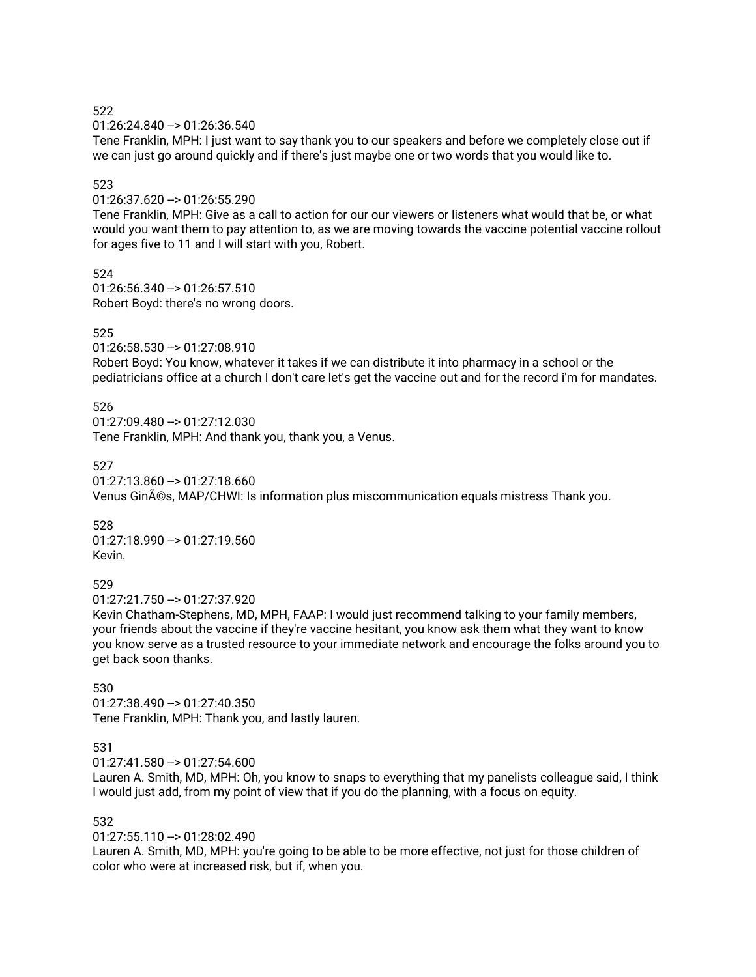01:26:24.840 --> 01:26:36.540

Tene Franklin, MPH: I just want to say thank you to our speakers and before we completely close out if we can just go around quickly and if there's just maybe one or two words that you would like to.

#### 523

01:26:37.620 --> 01:26:55.290

Tene Franklin, MPH: Give as a call to action for our our viewers or listeners what would that be, or what would you want them to pay attention to, as we are moving towards the vaccine potential vaccine rollout for ages five to 11 and I will start with you, Robert.

524 01:26:56.340 --> 01:26:57.510 Robert Boyd: there's no wrong doors.

### 525

01:26:58.530 --> 01:27:08.910

Robert Boyd: You know, whatever it takes if we can distribute it into pharmacy in a school or the pediatricians office at a church I don't care let's get the vaccine out and for the record i'm for mandates.

### 526

01:27:09.480 --> 01:27:12.030 Tene Franklin, MPH: And thank you, thank you, a Venus.

### 527

01:27:13.860 --> 01:27:18.660 Venus Ginés, MAP/CHWI: Is information plus miscommunication equals mistress Thank you.

528 01:27:18.990 --> 01:27:19.560 Kevin.

### 529

01:27:21.750 --> 01:27:37.920

Kevin Chatham-Stephens, MD, MPH, FAAP: I would just recommend talking to your family members, your friends about the vaccine if they're vaccine hesitant, you know ask them what they want to know you know serve as a trusted resource to your immediate network and encourage the folks around you to get back soon thanks.

### 530 01:27:38.490 --> 01:27:40.350 Tene Franklin, MPH: Thank you, and lastly lauren.

# 531

 $01:27:41.580 \rightarrow 01:27:54.600$ 

Lauren A. Smith, MD, MPH: Oh, you know to snaps to everything that my panelists colleague said, I think I would just add, from my point of view that if you do the planning, with a focus on equity.

## 532

 $01:27:55.110 -> 01:28:02.490$ Lauren A. Smith, MD, MPH: you're going to be able to be more effective, not just for those children of color who were at increased risk, but if, when you.